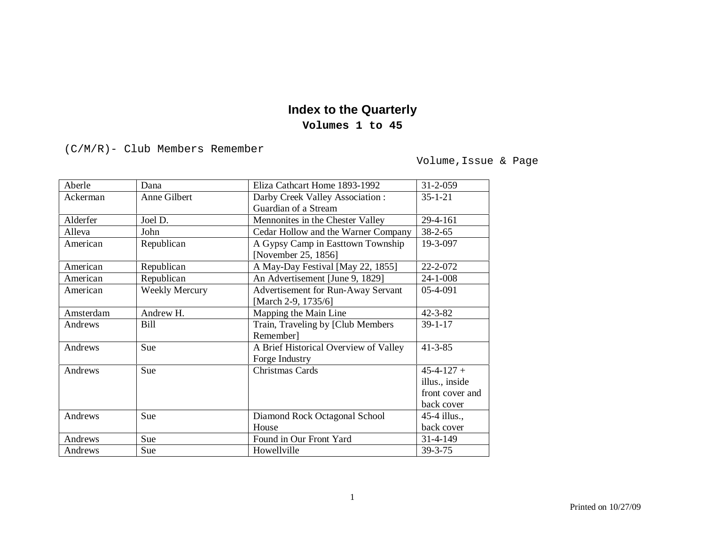## **Index to the Quarterly**

## **Volumes 1 to 45**

(C/M/R)- Club Members Remember

Volume,Issue & Page

| Aberle    | Dana                  | Eliza Cathcart Home 1893-1992         | $31 - 2 - 059$   |
|-----------|-----------------------|---------------------------------------|------------------|
| Ackerman  | Anne Gilbert          | Darby Creek Valley Association:       | $35 - 1 - 21$    |
|           |                       | Guardian of a Stream                  |                  |
| Alderfer  | Joel D.               | Mennonites in the Chester Valley      | 29-4-161         |
| Alleva    | John                  | Cedar Hollow and the Warner Company   | $38 - 2 - 65$    |
| American  | Republican            | A Gypsy Camp in Easttown Township     | 19-3-097         |
|           |                       | [November 25, 1856]                   |                  |
| American  | Republican            | A May-Day Festival [May 22, 1855]     | 22-2-072         |
| American  | Republican            | An Advertisement [June 9, 1829]       | $24 - 1 - 008$   |
| American  | <b>Weekly Mercury</b> | Advertisement for Run-Away Servant    | 05-4-091         |
|           |                       | [March 2-9, 1735/6]                   |                  |
| Amsterdam | Andrew H.             | Mapping the Main Line                 | $42 - 3 - 82$    |
| Andrews   | <b>Bill</b>           | Train, Traveling by [Club Members     | $39 - 1 - 17$    |
|           |                       | Remember]                             |                  |
| Andrews   | Sue                   | A Brief Historical Overview of Valley | $41 - 3 - 85$    |
|           |                       | Forge Industry                        |                  |
| Andrews   | Sue                   | <b>Christmas Cards</b>                | $45 - 4 - 127 +$ |
|           |                       |                                       | illus., inside   |
|           |                       |                                       | front cover and  |
|           |                       |                                       | back cover       |
| Andrews   | Sue                   | Diamond Rock Octagonal School         | 45-4 illus.,     |
|           |                       | House                                 | back cover       |
| Andrews   | Sue                   | Found in Our Front Yard               | 31-4-149         |
| Andrews   | Sue                   | Howellville                           | 39-3-75          |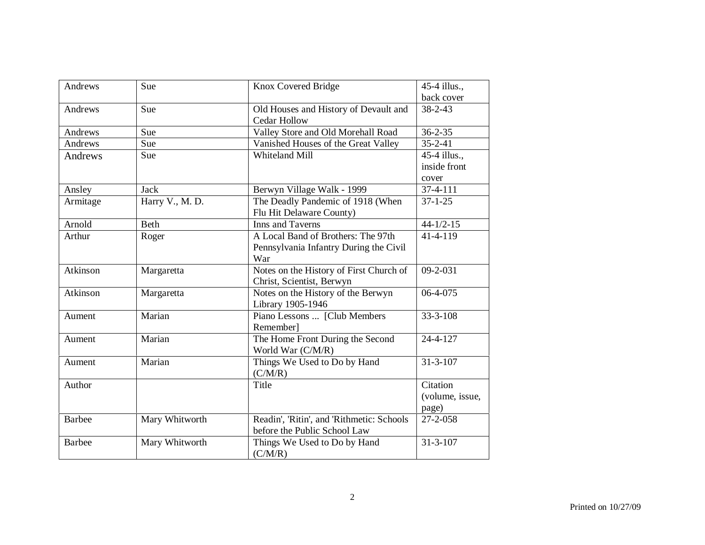| Andrews       | Sue             | Knox Covered Bridge                       | 45-4 illus.,    |
|---------------|-----------------|-------------------------------------------|-----------------|
|               |                 |                                           | back cover      |
| Andrews       | Sue             | Old Houses and History of Devault and     | $38 - 2 - 43$   |
|               |                 | <b>Cedar Hollow</b>                       |                 |
| Andrews       | Sue             | Valley Store and Old Morehall Road        | $36 - 2 - 35$   |
| Andrews       | Sue             | Vanished Houses of the Great Valley       | $35 - 2 - 41$   |
| Andrews       | Sue             | Whiteland Mill                            | 45-4 illus.,    |
|               |                 |                                           | inside front    |
|               |                 |                                           | cover           |
| Ansley        | <b>Jack</b>     | Berwyn Village Walk - 1999                | $37 - 4 - 111$  |
| Armitage      | Harry V., M. D. | The Deadly Pandemic of 1918 (When         | $37 - 1 - 25$   |
|               |                 | Flu Hit Delaware County)                  |                 |
| Arnold        | <b>Beth</b>     | Inns and Taverns                          | $44 - 1/2 - 15$ |
| Arthur        | Roger           | A Local Band of Brothers: The 97th        | $41 - 4 - 119$  |
|               |                 | Pennsylvania Infantry During the Civil    |                 |
|               |                 | War                                       |                 |
| Atkinson      | Margaretta      | Notes on the History of First Church of   | 09-2-031        |
|               |                 | Christ, Scientist, Berwyn                 |                 |
| Atkinson      | Margaretta      | Notes on the History of the Berwyn        | 06-4-075        |
|               |                 | Library 1905-1946                         |                 |
| Aument        | Marian          | Piano Lessons  [Club Members              | $33 - 3 - 108$  |
|               |                 | Remember]                                 |                 |
| Aument        | Marian          | The Home Front During the Second          | 24-4-127        |
|               |                 | World War (C/M/R)                         |                 |
| Aument        | Marian          | Things We Used to Do by Hand              | $31 - 3 - 107$  |
|               |                 | (C/M/R)                                   |                 |
| Author        |                 | Title                                     | Citation        |
|               |                 |                                           | (volume, issue, |
|               |                 |                                           | page)           |
| <b>Barbee</b> | Mary Whitworth  | Readin', 'Ritin', and 'Rithmetic: Schools | 27-2-058        |
|               |                 | before the Public School Law              |                 |
| <b>Barbee</b> | Mary Whitworth  | Things We Used to Do by Hand              | $31 - 3 - 107$  |
|               |                 | (C/M/R)                                   |                 |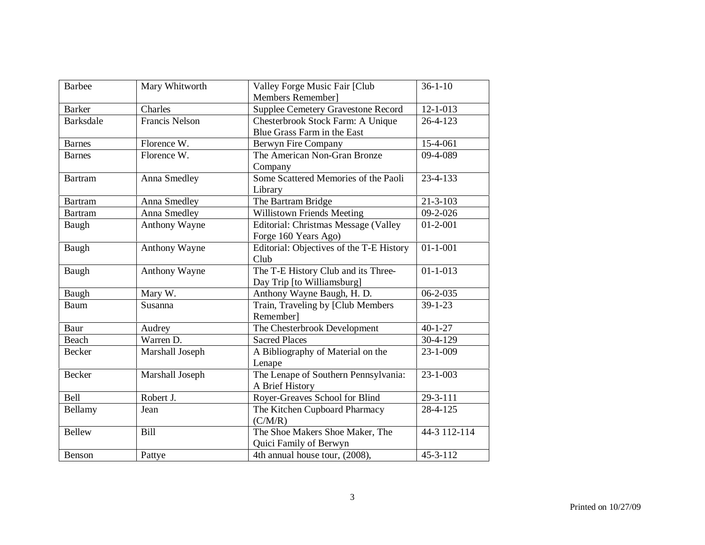| <b>Barbee</b>    | Mary Whitworth        | Valley Forge Music Fair [Club<br>Members Remember]                | $36 - 1 - 10$  |
|------------------|-----------------------|-------------------------------------------------------------------|----------------|
| <b>Barker</b>    | Charles               | <b>Supplee Cemetery Gravestone Record</b>                         | $12 - 1 - 013$ |
| <b>Barksdale</b> | <b>Francis Nelson</b> | Chesterbrook Stock Farm: A Unique<br>Blue Grass Farm in the East  | $26 - 4 - 123$ |
| <b>Barnes</b>    | Florence W.           | Berwyn Fire Company                                               | 15-4-061       |
| <b>Barnes</b>    | Florence W.           | The American Non-Gran Bronze<br>Company                           | 09-4-089       |
| <b>Bartram</b>   | Anna Smedley          | Some Scattered Memories of the Paoli<br>Library                   | 23-4-133       |
| <b>Bartram</b>   | Anna Smedley          | The Bartram Bridge                                                | $21 - 3 - 103$ |
| <b>Bartram</b>   | Anna Smedley          | Willistown Friends Meeting                                        | $09-2-026$     |
| Baugh            | Anthony Wayne         | Editorial: Christmas Message (Valley<br>Forge 160 Years Ago)      | $01 - 2 - 001$ |
| Baugh            | Anthony Wayne         | Editorial: Objectives of the T-E History<br>Club                  | $01 - 1 - 001$ |
| Baugh            | <b>Anthony Wayne</b>  | The T-E History Club and its Three-<br>Day Trip [to Williamsburg] | $01 - 1 - 013$ |
| Baugh            | Mary W.               | Anthony Wayne Baugh, H. D.                                        | $06 - 2 - 035$ |
| Baum             | Susanna               | Train, Traveling by [Club Members<br>Remember]                    | $39 - 1 - 23$  |
| Baur             | Audrey                | The Chesterbrook Development                                      | $40 - 1 - 27$  |
| <b>Beach</b>     | Warren D.             | <b>Sacred Places</b>                                              | $30-4-129$     |
| <b>Becker</b>    | Marshall Joseph       | A Bibliography of Material on the<br>Lenape                       | 23-1-009       |
| <b>Becker</b>    | Marshall Joseph       | The Lenape of Southern Pennsylvania:<br>A Brief History           | $23 - 1 - 003$ |
| Bell             | Robert J.             | Royer-Greaves School for Blind                                    | 29-3-111       |
| Bellamy          | Jean                  | The Kitchen Cupboard Pharmacy<br>(C/M/R)                          | 28-4-125       |
| <b>Bellew</b>    | <b>Bill</b>           | The Shoe Makers Shoe Maker, The<br>Quici Family of Berwyn         | 44-3 112-114   |
| Benson           | Pattye                | 4th annual house tour, (2008),                                    | 45-3-112       |
|                  |                       |                                                                   |                |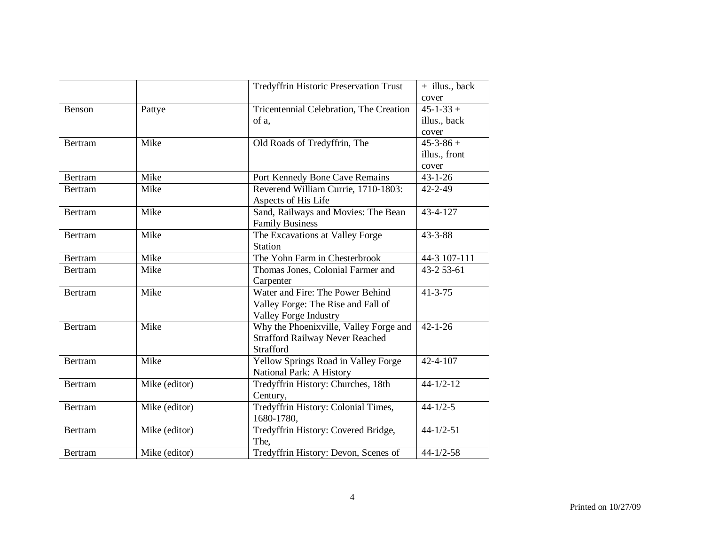|                |               | <b>Tredyffrin Historic Preservation Trust</b> | + illus., back  |
|----------------|---------------|-----------------------------------------------|-----------------|
|                |               |                                               | cover           |
| Benson         | Pattye        | Tricentennial Celebration, The Creation       | $45 - 1 - 33 +$ |
|                |               | of a,                                         | illus., back    |
|                |               |                                               | cover           |
| <b>Bertram</b> | Mike          | Old Roads of Tredyffrin, The                  | $45 - 3 - 86 +$ |
|                |               |                                               | illus., front   |
|                |               |                                               | cover           |
| <b>Bertram</b> | Mike          | Port Kennedy Bone Cave Remains                | $43 - 1 - 26$   |
| <b>Bertram</b> | Mike          | Reverend William Currie, 1710-1803:           | $42 - 2 - 49$   |
|                |               | Aspects of His Life                           |                 |
| <b>Bertram</b> | Mike          | Sand, Railways and Movies: The Bean           | 43-4-127        |
|                |               | <b>Family Business</b>                        |                 |
| <b>Bertram</b> | Mike          | The Excavations at Valley Forge               | $43 - 3 - 88$   |
|                |               | <b>Station</b>                                |                 |
| <b>Bertram</b> | Mike          | The Yohn Farm in Chesterbrook                 | 44-3 107-111    |
| <b>Bertram</b> | Mike          | Thomas Jones, Colonial Farmer and             | 43-2 53-61      |
|                |               | Carpenter                                     |                 |
| <b>Bertram</b> | Mike          | Water and Fire: The Power Behind              | $41 - 3 - 75$   |
|                |               | Valley Forge: The Rise and Fall of            |                 |
|                |               | <b>Valley Forge Industry</b>                  |                 |
| <b>Bertram</b> | Mike          | Why the Phoenixville, Valley Forge and        | $42 - 1 - 26$   |
|                |               | <b>Strafford Railway Never Reached</b>        |                 |
|                |               | Strafford                                     |                 |
| <b>Bertram</b> | Mike          | Yellow Springs Road in Valley Forge           | 42-4-107        |
|                |               | National Park: A History                      |                 |
| <b>Bertram</b> | Mike (editor) | Tredyffrin History: Churches, 18th            | $44 - 1/2 - 12$ |
|                |               | Century,                                      |                 |
| <b>Bertram</b> | Mike (editor) | Tredyffrin History: Colonial Times,           | $44 - 1/2 - 5$  |
|                |               | 1680-1780,                                    |                 |
| <b>Bertram</b> | Mike (editor) | Tredyffrin History: Covered Bridge,           | $44 - 1/2 - 51$ |
|                |               | The,                                          |                 |
| <b>Bertram</b> | Mike (editor) | Tredyffrin History: Devon, Scenes of          | $44 - 1/2 - 58$ |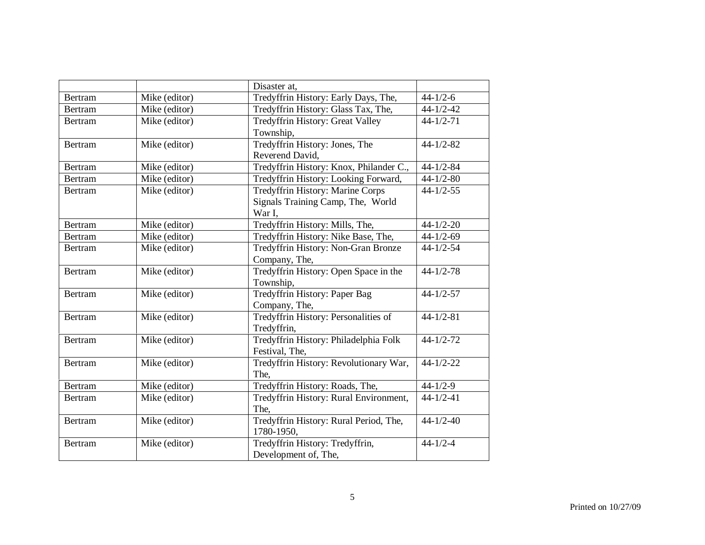|                |               | Disaster at,                            |                 |
|----------------|---------------|-----------------------------------------|-----------------|
| Bertram        | Mike (editor) | Tredyffrin History: Early Days, The,    | $44 - 1/2 - 6$  |
| <b>Bertram</b> | Mike (editor) | Tredyffrin History: Glass Tax, The,     | $44 - 1/2 - 42$ |
| <b>Bertram</b> | Mike (editor) | Tredyffrin History: Great Valley        | $44 - 1/2 - 71$ |
|                |               | Township,                               |                 |
| <b>Bertram</b> | Mike (editor) | Tredyffrin History: Jones, The          | $44 - 1/2 - 82$ |
|                |               | Reverend David,                         |                 |
| Bertram        | Mike (editor) | Tredyffrin History: Knox, Philander C., | $44 - 1/2 - 84$ |
| <b>Bertram</b> | Mike (editor) | Tredyffrin History: Looking Forward,    | $44 - 1/2 - 80$ |
| <b>Bertram</b> | Mike (editor) | Tredyffrin History: Marine Corps        | $44 - 1/2 - 55$ |
|                |               | Signals Training Camp, The, World       |                 |
|                |               | War I,                                  |                 |
| <b>Bertram</b> | Mike (editor) | Tredyffrin History: Mills, The,         | $44 - 1/2 - 20$ |
| <b>Bertram</b> | Mike (editor) | Tredyffrin History: Nike Base, The,     | $44 - 1/2 - 69$ |
| Bertram        | Mike (editor) | Tredyffrin History: Non-Gran Bronze     | $44 - 1/2 - 54$ |
|                |               | Company, The,                           |                 |
| <b>Bertram</b> | Mike (editor) | Tredyffrin History: Open Space in the   | $44 - 1/2 - 78$ |
|                |               | Township,                               |                 |
| <b>Bertram</b> | Mike (editor) | Tredyffrin History: Paper Bag           | $44 - 1/2 - 57$ |
|                |               | Company, The,                           |                 |
| <b>Bertram</b> | Mike (editor) | Tredyffrin History: Personalities of    | $44 - 1/2 - 81$ |
|                |               | Tredyffrin,                             |                 |
| <b>Bertram</b> | Mike (editor) | Tredyffrin History: Philadelphia Folk   | $44 - 1/2 - 72$ |
|                |               | Festival, The,                          |                 |
| <b>Bertram</b> | Mike (editor) | Tredyffrin History: Revolutionary War,  | $44 - 1/2 - 22$ |
|                |               | The.                                    |                 |
| <b>Bertram</b> | Mike (editor) | Tredyffrin History: Roads, The,         | $44 - 1/2 - 9$  |
| <b>Bertram</b> | Mike (editor) | Tredyffrin History: Rural Environment,  | $44 - 1/2 - 41$ |
|                |               | The.                                    |                 |
| <b>Bertram</b> | Mike (editor) | Tredyffrin History: Rural Period, The,  | $44 - 1/2 - 40$ |
|                |               | 1780-1950,                              |                 |
| Bertram        | Mike (editor) | Tredyffrin History: Tredyffrin,         | $44 - 1/2 - 4$  |
|                |               | Development of, The,                    |                 |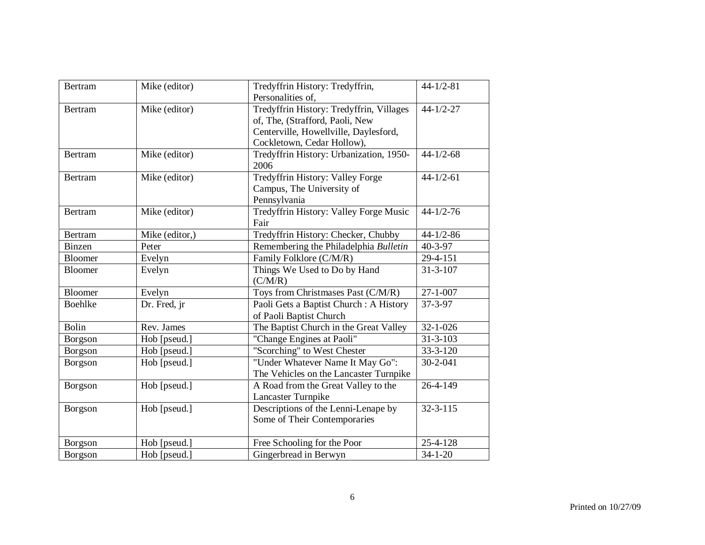| <b>Bertram</b> | Mike (editor)  | Tredyffrin History: Tredyffrin,<br>Personalities of,                                                                                               | $44 - 1/2 - 81$ |
|----------------|----------------|----------------------------------------------------------------------------------------------------------------------------------------------------|-----------------|
| <b>Bertram</b> | Mike (editor)  | Tredyffrin History: Tredyffrin, Villages<br>of, The, (Strafford, Paoli, New<br>Centerville, Howellville, Daylesford,<br>Cockletown, Cedar Hollow), | $44 - 1/2 - 27$ |
| <b>Bertram</b> | Mike (editor)  | Tredyffrin History: Urbanization, 1950-<br>2006                                                                                                    | $44 - 1/2 - 68$ |
| <b>Bertram</b> | Mike (editor)  | Tredyffrin History: Valley Forge<br>Campus, The University of<br>Pennsylvania                                                                      | $44 - 1/2 - 61$ |
| <b>Bertram</b> | Mike (editor)  | Tredyffrin History: Valley Forge Music<br>Fair                                                                                                     | $44 - 1/2 - 76$ |
| <b>Bertram</b> | Mike (editor,) | Tredyffrin History: Checker, Chubby                                                                                                                | $44 - 1/2 - 86$ |
| <b>Binzen</b>  | Peter          | Remembering the Philadelphia Bulletin                                                                                                              | $40 - 3 - 97$   |
| Bloomer        | Evelyn         | Family Folklore (C/M/R)                                                                                                                            | 29-4-151        |
| <b>Bloomer</b> | Evelyn         | Things We Used to Do by Hand<br>(C/M/R)                                                                                                            | $31 - 3 - 107$  |
| <b>Bloomer</b> | Evelyn         | Toys from Christmases Past (C/M/R)                                                                                                                 | $27 - 1 - 007$  |
| Boehlke        | Dr. Fred, jr   | Paoli Gets a Baptist Church: A History<br>of Paoli Baptist Church                                                                                  | $37 - 3 - 97$   |
| <b>Bolin</b>   | Rev. James     | The Baptist Church in the Great Valley                                                                                                             | $32 - 1 - 026$  |
| Borgson        | Hob [pseud.]   | "Change Engines at Paoli"                                                                                                                          | $31 - 3 - 103$  |
| Borgson        | Hob [pseud.]   | "Scorching" to West Chester                                                                                                                        | 33-3-120        |
| Borgson        | Hob [pseud.]   | "Under Whatever Name It May Go":<br>The Vehicles on the Lancaster Turnpike                                                                         | 30-2-041        |
| Borgson        | Hob [pseud.]   | A Road from the Great Valley to the<br>Lancaster Turnpike                                                                                          | 26-4-149        |
| Borgson        | Hob [pseud.]   | Descriptions of the Lenni-Lenape by<br>Some of Their Contemporaries                                                                                | $32 - 3 - 115$  |
| Borgson        | Hob [pseud.]   | Free Schooling for the Poor                                                                                                                        | 25-4-128        |
| Borgson        | Hob [pseud.]   | Gingerbread in Berwyn                                                                                                                              | $34 - 1 - 20$   |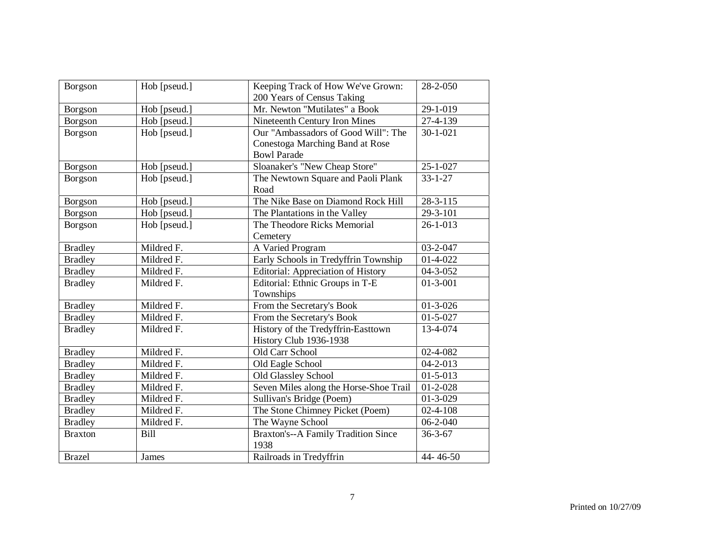| Borgson        | Hob [pseud.] | Keeping Track of How We've Grown:                  | 28-2-050               |
|----------------|--------------|----------------------------------------------------|------------------------|
|                |              | 200 Years of Census Taking                         |                        |
| Borgson        | Hob [pseud.] | Mr. Newton "Mutilates" a Book                      | 29-1-019               |
| Borgson        | Hob [pseud.] | Nineteenth Century Iron Mines                      | 27-4-139               |
| Borgson        | Hob [pseud.] | Our "Ambassadors of Good Will": The                | $30 - 1 - 021$         |
|                |              | Conestoga Marching Band at Rose                    |                        |
|                |              | <b>Bowl Parade</b>                                 |                        |
| Borgson        | Hob [pseud.] | Sloanaker's "New Cheap Store"                      | $25 - 1 - 027$         |
| Borgson        | Hob [pseud.] | The Newtown Square and Paoli Plank                 | $33 - 1 - 27$          |
|                |              | Road                                               |                        |
| Borgson        | Hob [pseud.] | The Nike Base on Diamond Rock Hill                 | $28 - 3 - 115$         |
| Borgson        | Hob [pseud.] | The Plantations in the Valley                      | 29-3-101               |
| Borgson        | Hob [pseud.] | The Theodore Ricks Memorial                        | $26 - 1 - 013$         |
|                |              | Cemetery                                           |                        |
| <b>Bradley</b> | Mildred F.   | A Varied Program                                   | 03-2-047               |
| <b>Bradley</b> | Mildred F.   | Early Schools in Tredyffrin Township               | $01-4-022$             |
| <b>Bradley</b> | Mildred F.   | <b>Editorial: Appreciation of History</b>          | 04-3-052               |
| <b>Bradley</b> | Mildred F.   | Editorial: Ethnic Groups in T-E                    | $01 - 3 - 001$         |
|                |              | Townships                                          |                        |
| <b>Bradley</b> | Mildred F.   | From the Secretary's Book                          | $01 - 3 - 026$         |
| <b>Bradley</b> | Mildred F.   | From the Secretary's Book                          | $\overline{01}$ -5-027 |
| <b>Bradley</b> | Mildred F.   | History of the Tredyffrin-Easttown                 | 13-4-074               |
|                |              | History Club 1936-1938                             |                        |
| <b>Bradley</b> | Mildred F.   | Old Carr School                                    | 02-4-082               |
| <b>Bradley</b> | Mildred F.   | Old Eagle School                                   | $04 - 2 - 013$         |
| <b>Bradley</b> | Mildred F.   | Old Glassley School                                | $01 - 5 - 013$         |
| <b>Bradley</b> | Mildred F.   | Seven Miles along the Horse-Shoe Trail             | $01 - 2 - 028$         |
| <b>Bradley</b> | Mildred F.   | Sullivan's Bridge (Poem)                           | $01 - 3 - 029$         |
| <b>Bradley</b> | Mildred F.   | The Stone Chimney Picket (Poem)                    | $02 - 4 - 108$         |
| <b>Bradley</b> | Mildred F.   | The Wayne School                                   | $06 - 2 - 040$         |
| <b>Braxton</b> | <b>Bill</b>  | <b>Braxton's--A Family Tradition Since</b><br>1938 | $36 - 3 - 67$          |
| <b>Brazel</b>  | <b>James</b> | Railroads in Tredyffrin                            | 44-46-50               |
|                |              |                                                    |                        |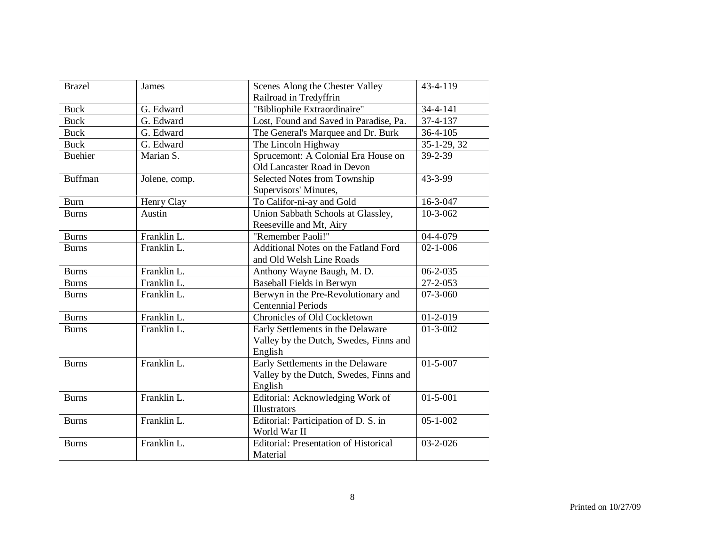| <b>Brazel</b>  | <b>James</b>  | Scenes Along the Chester Valley              | 43-4-119       |
|----------------|---------------|----------------------------------------------|----------------|
|                |               | Railroad in Tredyffrin                       |                |
| <b>Buck</b>    | G. Edward     | "Bibliophile Extraordinaire"                 | 34-4-141       |
| <b>Buck</b>    | G. Edward     | Lost, Found and Saved in Paradise, Pa.       | 37-4-137       |
| <b>Buck</b>    | G. Edward     | The General's Marquee and Dr. Burk           | 36-4-105       |
| <b>Buck</b>    | G. Edward     | The Lincoln Highway                          | 35-1-29, 32    |
| <b>Buehier</b> | Marian S.     | Sprucemont: A Colonial Era House on          | 39-2-39        |
|                |               | Old Lancaster Road in Devon                  |                |
| <b>Buffman</b> | Jolene, comp. | Selected Notes from Township                 | 43-3-99        |
|                |               | Supervisors' Minutes,                        |                |
| <b>Burn</b>    | Henry Clay    | To Califor-ni-ay and Gold                    | $16 - 3 - 047$ |
| <b>Burns</b>   | Austin        | Union Sabbath Schools at Glassley,           | $10-3-062$     |
|                |               | Reeseville and Mt, Airy                      |                |
| <b>Burns</b>   | Franklin L.   | "Remember Paoli!"                            | 04-4-079       |
| <b>Burns</b>   | Franklin L.   | Additional Notes on the Fatland Ford         | $02 - 1 - 006$ |
|                |               | and Old Welsh Line Roads                     |                |
| <b>Burns</b>   | Franklin L.   | Anthony Wayne Baugh, M. D.                   | $06 - 2 - 035$ |
| <b>Burns</b>   | Franklin L.   | Baseball Fields in Berwyn                    | $27 - 2 - 053$ |
| <b>Burns</b>   | Franklin L.   | Berwyn in the Pre-Revolutionary and          | $07 - 3 - 060$ |
|                |               | <b>Centennial Periods</b>                    |                |
| <b>Burns</b>   | Franklin L.   | Chronicles of Old Cockletown                 | $01-2-019$     |
| <b>Burns</b>   | Franklin L.   | Early Settlements in the Delaware            | $01 - 3 - 002$ |
|                |               | Valley by the Dutch, Swedes, Finns and       |                |
|                |               | English                                      |                |
| <b>Burns</b>   | Franklin L.   | Early Settlements in the Delaware            | $01 - 5 - 007$ |
|                |               | Valley by the Dutch, Swedes, Finns and       |                |
|                |               | English                                      |                |
| <b>Burns</b>   | Franklin L.   | Editorial: Acknowledging Work of             | $01 - 5 - 001$ |
|                |               | Illustrators                                 |                |
| <b>Burns</b>   | Franklin L.   | Editorial: Participation of D. S. in         | $05 - 1 - 002$ |
|                |               | World War II                                 |                |
| <b>Burns</b>   | Franklin L.   | <b>Editorial: Presentation of Historical</b> | $03 - 2 - 026$ |
|                |               | Material                                     |                |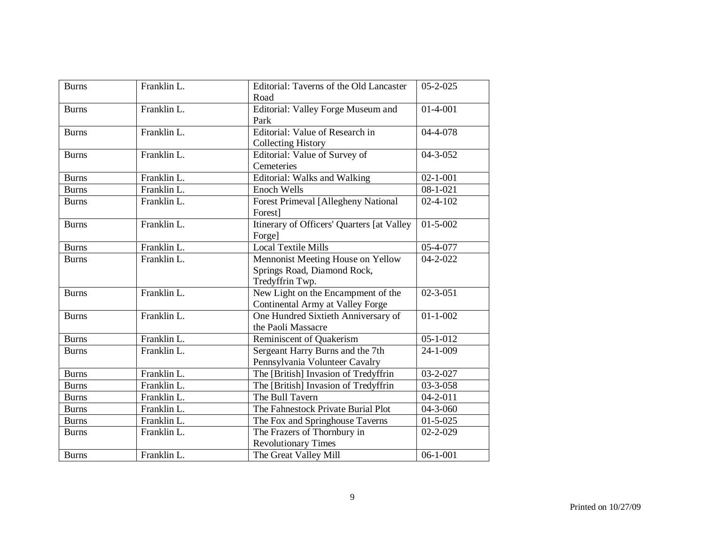| <b>Burns</b> | Franklin L. | Editorial: Taverns of the Old Lancaster    | $05 - 2 - 025$ |
|--------------|-------------|--------------------------------------------|----------------|
|              |             | Road                                       |                |
| <b>Burns</b> | Franklin L. | Editorial: Valley Forge Museum and         | $01-4-001$     |
|              |             | Park                                       |                |
| <b>Burns</b> | Franklin L. | Editorial: Value of Research in            | 04-4-078       |
|              |             | <b>Collecting History</b>                  |                |
| <b>Burns</b> | Franklin L. | Editorial: Value of Survey of              | 04-3-052       |
|              |             | Cemeteries                                 |                |
| <b>Burns</b> | Franklin L. | <b>Editorial: Walks and Walking</b>        | $02 - 1 - 001$ |
| <b>Burns</b> | Franklin L. | <b>Enoch Wells</b>                         | $08 - 1 - 021$ |
| <b>Burns</b> | Franklin L. | <b>Forest Primeval [Allegheny National</b> | $02 - 4 - 102$ |
|              |             | Forest]                                    |                |
| <b>Burns</b> | Franklin L. | Itinerary of Officers' Quarters [at Valley | $01 - 5 - 002$ |
|              |             | Forgel                                     |                |
| <b>Burns</b> | Franklin L. | Local Textile Mills                        | 05-4-077       |
| <b>Burns</b> | Franklin L. | Mennonist Meeting House on Yellow          | $04 - 2 - 022$ |
|              |             | Springs Road, Diamond Rock,                |                |
|              |             | Tredyffrin Twp.                            |                |
| <b>Burns</b> | Franklin L. | New Light on the Encampment of the         | $02 - 3 - 051$ |
|              |             | Continental Army at Valley Forge           |                |
| <b>Burns</b> | Franklin L. | One Hundred Sixtieth Anniversary of        | $01 - 1 - 002$ |
|              |             | the Paoli Massacre                         |                |
| <b>Burns</b> | Franklin L. | Reminiscent of Quakerism                   | $05 - 1 - 012$ |
| <b>Burns</b> | Franklin L. | Sergeant Harry Burns and the 7th           | 24-1-009       |
|              |             | Pennsylvania Volunteer Cavalry             |                |
| <b>Burns</b> | Franklin L. | The [British] Invasion of Tredyffrin       | 03-2-027       |
| <b>Burns</b> | Franklin L. | The [British] Invasion of Tredyffrin       | 03-3-058       |
| <b>Burns</b> | Franklin L. | The Bull Tavern                            | $04 - 2 - 011$ |
| <b>Burns</b> | Franklin L. | The Fahnestock Private Burial Plot         | 04-3-060       |
| <b>Burns</b> | Franklin L. | The Fox and Springhouse Taverns            | $01 - 5 - 025$ |
| <b>Burns</b> | Franklin L. | The Frazers of Thornbury in                | $02 - 2 - 029$ |
|              |             | <b>Revolutionary Times</b>                 |                |
| <b>Burns</b> | Franklin L. | The Great Valley Mill                      | $06 - 1 - 001$ |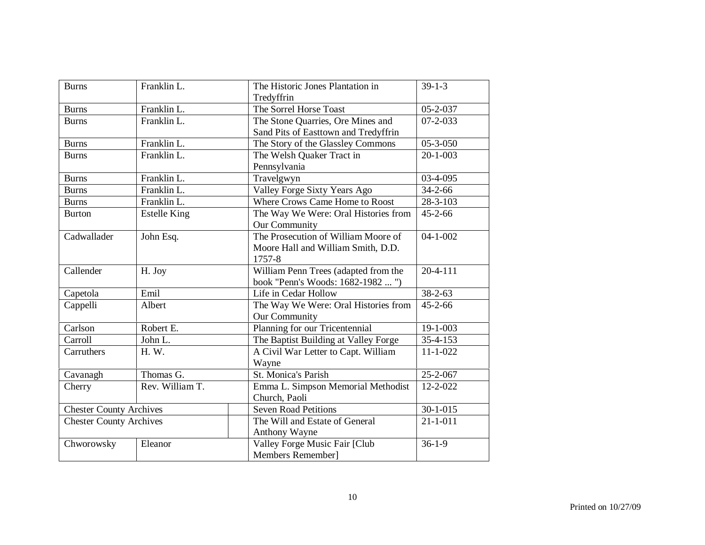| <b>Burns</b>                   | Franklin L.         | The Historic Jones Plantation in     | $39-1-3$       |
|--------------------------------|---------------------|--------------------------------------|----------------|
|                                |                     | Tredyffrin                           |                |
| <b>Burns</b>                   | Franklin L.         | The Sorrel Horse Toast               | $05 - 2 - 037$ |
| <b>Burns</b>                   | Franklin L.         | The Stone Quarries, Ore Mines and    | $07 - 2 - 033$ |
|                                |                     | Sand Pits of Easttown and Tredyffrin |                |
| <b>Burns</b>                   | Franklin L.         | The Story of the Glassley Commons    | $05 - 3 - 050$ |
| <b>Burns</b>                   | Franklin L.         | The Welsh Quaker Tract in            | $20 - 1 - 003$ |
|                                |                     | Pennsylvania                         |                |
| <b>Burns</b>                   | Franklin L.         | Travelgwyn                           | 03-4-095       |
| <b>Burns</b>                   | Franklin L.         | Valley Forge Sixty Years Ago         | $34 - 2 - 66$  |
| <b>Burns</b>                   | Franklin L.         | Where Crows Came Home to Roost       | 28-3-103       |
| <b>Burton</b>                  | <b>Estelle King</b> | The Way We Were: Oral Histories from | $45 - 2 - 66$  |
|                                |                     | Our Community                        |                |
| Cadwallader                    | John Esq.           | The Prosecution of William Moore of  | $04 - 1 - 002$ |
|                                |                     | Moore Hall and William Smith, D.D.   |                |
|                                |                     | 1757-8                               |                |
| Callender                      | H. Joy              | William Penn Trees (adapted from the | $20 - 4 - 111$ |
|                                |                     | book "Penn's Woods: 1682-1982  ")    |                |
| Capetola                       | Emil                | Life in Cedar Hollow                 | $38 - 2 - 63$  |
| Cappelli                       | Albert              | The Way We Were: Oral Histories from | $45 - 2 - 66$  |
|                                |                     | Our Community                        |                |
| Carlson                        | Robert E.           | Planning for our Tricentennial       | 19-1-003       |
| Carroll                        | John L.             | The Baptist Building at Valley Forge | $35 - 4 - 153$ |
| Carruthers                     | H. W.               | A Civil War Letter to Capt. William  | $11 - 1 - 022$ |
|                                |                     | Wayne                                |                |
| Cavanagh                       | Thomas G.           | St. Monica's Parish                  | 25-2-067       |
| Cherry                         | Rev. William T.     | Emma L. Simpson Memorial Methodist   | 12-2-022       |
|                                |                     | Church, Paoli                        |                |
| <b>Chester County Archives</b> |                     | Seven Road Petitions                 | $30 - 1 - 015$ |
| <b>Chester County Archives</b> |                     | The Will and Estate of General       | $21 - 1 - 011$ |
|                                |                     | Anthony Wayne                        |                |
| Chworowsky                     | Eleanor             | Valley Forge Music Fair [Club        | $36-1-9$       |
|                                |                     | Members Remember]                    |                |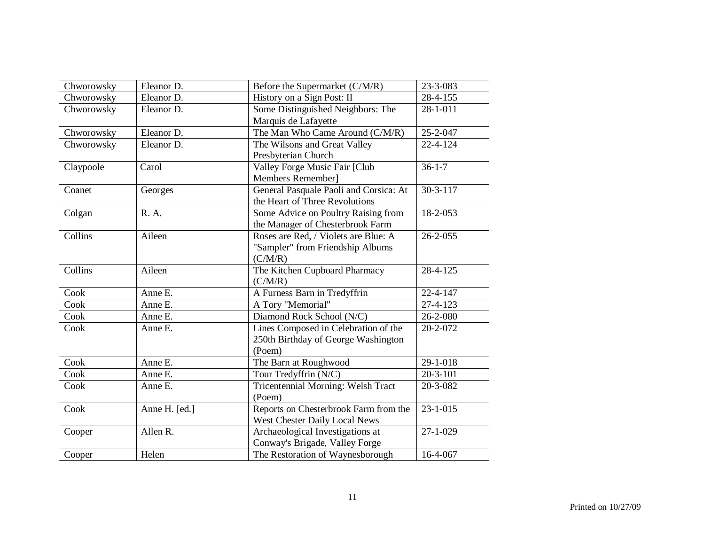| Chworowsky | Eleanor D.    | Before the Supermarket (C/M/R)         | 23-3-083       |
|------------|---------------|----------------------------------------|----------------|
| Chworowsky | Eleanor D.    | History on a Sign Post: II             | 28-4-155       |
| Chworowsky | Eleanor D.    | Some Distinguished Neighbors: The      | 28-1-011       |
|            |               | Marquis de Lafayette                   |                |
| Chworowsky | Eleanor D.    | The Man Who Came Around (C/M/R)        | 25-2-047       |
| Chworowsky | Eleanor D.    | The Wilsons and Great Valley           | 22-4-124       |
|            |               | Presbyterian Church                    |                |
| Claypoole  | Carol         | Valley Forge Music Fair [Club          | $36 - 1 - 7$   |
|            |               | Members Remember]                      |                |
| Coanet     | Georges       | General Pasquale Paoli and Corsica: At | $30 - 3 - 117$ |
|            |               | the Heart of Three Revolutions         |                |
| Colgan     | R. A.         | Some Advice on Poultry Raising from    | 18-2-053       |
|            |               | the Manager of Chesterbrook Farm       |                |
| Collins    | Aileen        | Roses are Red, / Violets are Blue: A   | $26 - 2 - 055$ |
|            |               | "Sampler" from Friendship Albums       |                |
|            |               | (C/M/R)                                |                |
| Collins    | Aileen        | The Kitchen Cupboard Pharmacy          | 28-4-125       |
|            |               | (C/M/R)                                |                |
| Cook       | Anne E.       | A Furness Barn in Tredyffrin           | $22 - 4 - 147$ |
| Cook       | Anne E.       | A Tory "Memorial"                      | 27-4-123       |
| Cook       | Anne E.       | Diamond Rock School (N/C)              | 26-2-080       |
| Cook       | Anne E.       | Lines Composed in Celebration of the   | 20-2-072       |
|            |               | 250th Birthday of George Washington    |                |
|            |               | (Poem)                                 |                |
| Cook       | Anne E.       | The Barn at Roughwood                  | 29-1-018       |
| Cook       | Anne E.       | Tour Tredyffrin (N/C)                  | $20 - 3 - 101$ |
| Cook       | Anne E.       | Tricentennial Morning: Welsh Tract     | 20-3-082       |
|            |               | (Poem)                                 |                |
| Cook       | Anne H. [ed.] | Reports on Chesterbrook Farm from the  | $23 - 1 - 015$ |
|            |               | West Chester Daily Local News          |                |
| Cooper     | Allen R.      | Archaeological Investigations at       | $27 - 1 - 029$ |
|            |               | Conway's Brigade, Valley Forge         |                |
| Cooper     | Helen         | The Restoration of Waynesborough       | 16-4-067       |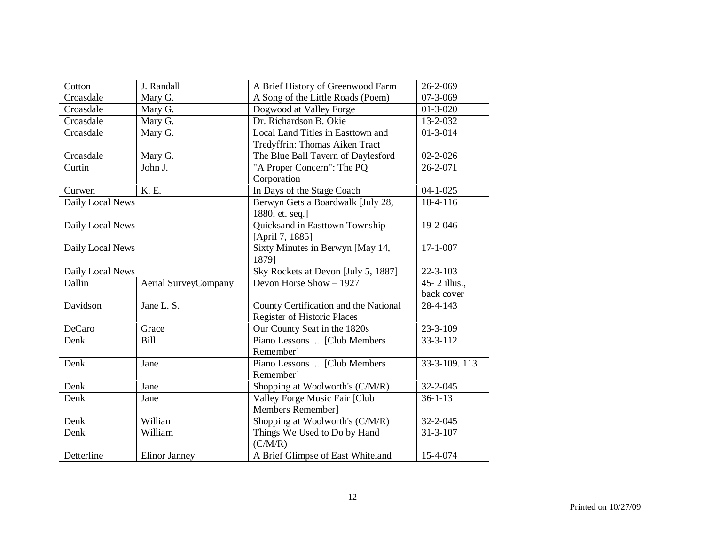| Cotton           | J. Randall           | A Brief History of Greenwood Farm     | 26-2-069       |
|------------------|----------------------|---------------------------------------|----------------|
| Croasdale        | Mary G.              | A Song of the Little Roads (Poem)     | 07-3-069       |
| Croasdale        | Mary G.              | Dogwood at Valley Forge               | $01 - 3 - 020$ |
| Croasdale        | Mary G.              | Dr. Richardson B. Okie                | 13-2-032       |
| Croasdale        | Mary G.              | Local Land Titles in Easttown and     | $01 - 3 - 014$ |
|                  |                      | Tredyffrin: Thomas Aiken Tract        |                |
| Croasdale        | Mary G.              | The Blue Ball Tavern of Daylesford    | $02 - 2 - 026$ |
| Curtin           | John J.              | "A Proper Concern": The PQ            | $26 - 2 - 071$ |
|                  |                      | Corporation                           |                |
| Curwen           | K. E.                | In Days of the Stage Coach            | $04 - 1 - 025$ |
| Daily Local News |                      | Berwyn Gets a Boardwalk [July 28,     | $18-4-116$     |
|                  |                      | 1880, et. seq.]                       |                |
| Daily Local News |                      | Quicksand in Easttown Township        | 19-2-046       |
|                  |                      | [April 7, 1885]                       |                |
| Daily Local News |                      | Sixty Minutes in Berwyn [May 14,      | $17 - 1 - 007$ |
|                  |                      | 18791                                 |                |
| Daily Local News |                      | Sky Rockets at Devon [July 5, 1887]   | $22 - 3 - 103$ |
| Dallin           | Aerial SurveyCompany | Devon Horse Show - 1927               | 45-2 illus.,   |
|                  |                      |                                       | back cover     |
| Davidson         | Jane L. S.           | County Certification and the National | $28-4-143$     |
|                  |                      | <b>Register of Historic Places</b>    |                |
| <b>DeCaro</b>    | Grace                | Our County Seat in the 1820s          | $23 - 3 - 109$ |
| Denk             | <b>Bill</b>          | Piano Lessons  [Club Members          | $33 - 3 - 112$ |
|                  |                      | Rememberl                             |                |
| Denk             | Jane                 | Piano Lessons  [Club Members          | 33-3-109.113   |
|                  |                      | Remember]                             |                |
| Denk             | Jane                 | Shopping at Woolworth's (C/M/R)       | $32 - 2 - 045$ |
| Denk             | Jane                 | Valley Forge Music Fair [Club         | $36 - 1 - 13$  |
|                  |                      | Members Remember]                     |                |
| Denk             | William              | Shopping at Woolworth's (C/M/R)       | 32-2-045       |
| Denk             | William              | Things We Used to Do by Hand          | $31 - 3 - 107$ |
|                  |                      | (C/M/R)                               |                |
| Detterline       | Elinor Janney        | A Brief Glimpse of East Whiteland     | 15-4-074       |
|                  |                      |                                       |                |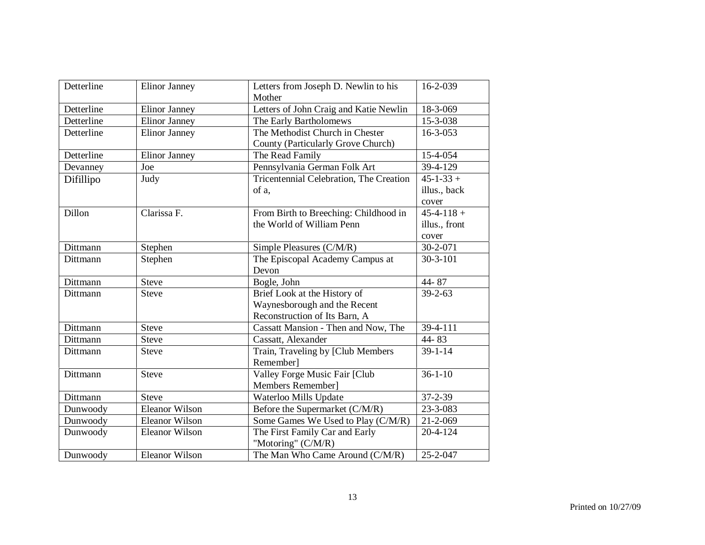| Detterline | Elinor Janney         | Letters from Joseph D. Newlin to his<br>Mother                                                | 16-2-039              |
|------------|-----------------------|-----------------------------------------------------------------------------------------------|-----------------------|
| Detterline | <b>Elinor Janney</b>  | Letters of John Craig and Katie Newlin                                                        | 18-3-069              |
| Detterline | <b>Elinor Janney</b>  | The Early Bartholomews                                                                        | 15-3-038              |
| Detterline | <b>Elinor Janney</b>  | The Methodist Church in Chester<br>County (Particularly Grove Church)                         | $16 - 3 - 053$        |
| Detterline | Elinor Janney         | The Read Family                                                                               | 15-4-054              |
| Devanney   | Joe                   | Pennsylvania German Folk Art                                                                  | 39-4-129              |
| Difillipo  | Judy                  | Tricentennial Celebration, The Creation                                                       | $45 - 1 - 33 +$       |
|            |                       | of a.                                                                                         | illus., back<br>cover |
| Dillon     | Clarissa F.           | From Birth to Breeching: Childhood in                                                         | $45 - 4 - 118 +$      |
|            |                       | the World of William Penn                                                                     | illus., front         |
|            |                       |                                                                                               | cover                 |
| Dittmann   | Stephen               | Simple Pleasures (C/M/R)                                                                      | 30-2-071              |
| Dittmann   | Stephen               | The Episcopal Academy Campus at<br>Devon                                                      | $30 - 3 - 101$        |
| Dittmann   | <b>Steve</b>          | Bogle, John                                                                                   | 44-87                 |
| Dittmann   | <b>Steve</b>          | Brief Look at the History of<br>Waynesborough and the Recent<br>Reconstruction of Its Barn, A | $39 - 2 - 63$         |
| Dittmann   | <b>Steve</b>          | Cassatt Mansion - Then and Now, The                                                           | 39-4-111              |
| Dittmann   | <b>Steve</b>          | Cassatt, Alexander                                                                            | 44-83                 |
| Dittmann   | <b>Steve</b>          | Train, Traveling by [Club Members<br>Remember]                                                | $39 - 1 - 14$         |
| Dittmann   | <b>Steve</b>          | Valley Forge Music Fair [Club<br>Members Remember]                                            | $36 - 1 - 10$         |
| Dittmann   | <b>Steve</b>          | Waterloo Mills Update                                                                         | $37 - 2 - 39$         |
| Dunwoody   | <b>Eleanor Wilson</b> | Before the Supermarket (C/M/R)                                                                | 23-3-083              |
| Dunwoody   | <b>Eleanor Wilson</b> | Some Games We Used to Play (C/M/R)                                                            | $21 - 2 - 069$        |
| Dunwoody   | <b>Eleanor Wilson</b> | The First Family Car and Early<br>"Motoring" (C/M/R)                                          | $20 - 4 - 124$        |
| Dunwoody   | <b>Eleanor Wilson</b> | The Man Who Came Around (C/M/R)                                                               | 25-2-047              |
|            |                       |                                                                                               |                       |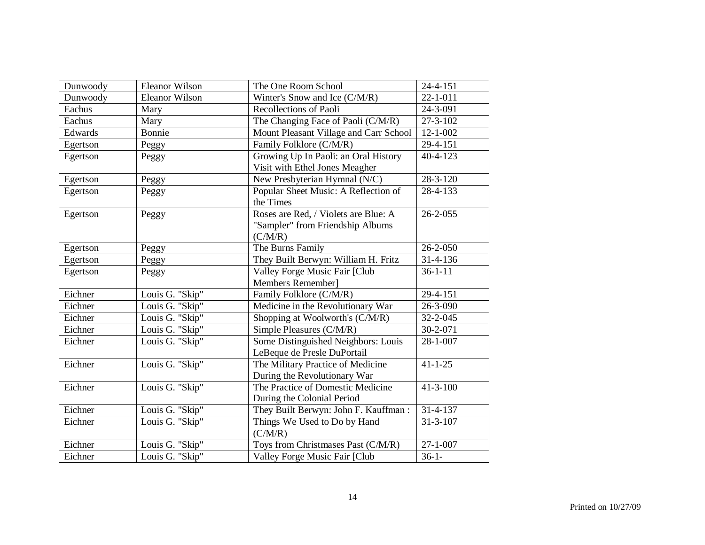| Dunwoody | <b>Eleanor Wilson</b> | The One Room School                    | $24 - 4 - 151$ |
|----------|-----------------------|----------------------------------------|----------------|
| Dunwoody | <b>Eleanor Wilson</b> | Winter's Snow and Ice (C/M/R)          | $22 - 1 - 011$ |
| Eachus   | Mary                  | Recollections of Paoli                 | 24-3-091       |
| Eachus   | Mary                  | The Changing Face of Paoli (C/M/R)     | $27 - 3 - 102$ |
| Edwards  | <b>Bonnie</b>         | Mount Pleasant Village and Carr School | $12 - 1 - 002$ |
| Egertson | Peggy                 | Family Folklore (C/M/R)                | 29-4-151       |
| Egertson | Peggy                 | Growing Up In Paoli: an Oral History   | $40 - 4 - 123$ |
|          |                       | Visit with Ethel Jones Meagher         |                |
| Egertson | Peggy                 | New Presbyterian Hymnal (N/C)          | 28-3-120       |
| Egertson | Peggy                 | Popular Sheet Music: A Reflection of   | 28-4-133       |
|          |                       | the Times                              |                |
| Egertson | Peggy                 | Roses are Red, / Violets are Blue: A   | $26 - 2 - 055$ |
|          |                       | "Sampler" from Friendship Albums       |                |
|          |                       | (C/M/R)                                |                |
| Egertson | Peggy                 | The Burns Family                       | $26 - 2 - 050$ |
| Egertson | Peggy                 | They Built Berwyn: William H. Fritz    | 31-4-136       |
| Egertson | Peggy                 | Valley Forge Music Fair [Club          | $36 - 1 - 11$  |
|          |                       | Members Remember]                      |                |
| Eichner  | Louis G. "Skip"       | Family Folklore (C/M/R)                | 29-4-151       |
| Eichner  | Louis G. "Skip"       | Medicine in the Revolutionary War      | 26-3-090       |
| Eichner  | Louis G. "Skip"       | Shopping at Woolworth's (C/M/R)        | 32-2-045       |
| Eichner  | Louis G. "Skip"       | Simple Pleasures (C/M/R)               | $30 - 2 - 071$ |
| Eichner  | Louis G. "Skip"       | Some Distinguished Neighbors: Louis    | 28-1-007       |
|          |                       | LeBeque de Presle DuPortail            |                |
| Eichner  | Louis G. "Skip"       | The Military Practice of Medicine      | $41 - 1 - 25$  |
|          |                       | During the Revolutionary War           |                |
| Eichner  | Louis G. "Skip"       | The Practice of Domestic Medicine      | $41 - 3 - 100$ |
|          |                       | During the Colonial Period             |                |
| Eichner  | Louis G. "Skip"       | They Built Berwyn: John F. Kauffman:   | 31-4-137       |
| Eichner  | Louis G. "Skip"       | Things We Used to Do by Hand           | $31 - 3 - 107$ |
|          |                       | (C/M/R)                                |                |
| Eichner  | Louis G. "Skip"       | Toys from Christmases Past (C/M/R)     | $27 - 1 - 007$ |
| Eichner  | Louis G. "Skip"       | Valley Forge Music Fair [Club          | $36-1-$        |
|          |                       |                                        |                |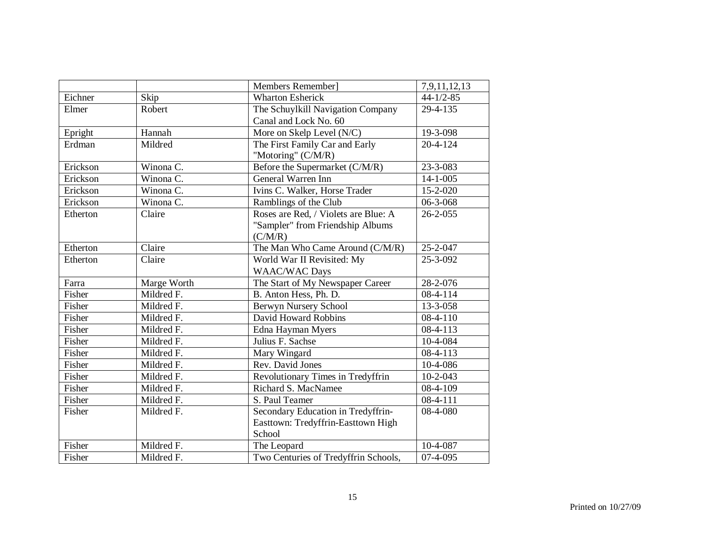|          |             | Members Remember]                    | 7,9,11,12,13   |
|----------|-------------|--------------------------------------|----------------|
| Eichner  | Skip        | <b>Wharton Esherick</b>              | $44-1/2-85$    |
| Elmer    | Robert      | The Schuylkill Navigation Company    | 29-4-135       |
|          |             | Canal and Lock No. 60                |                |
| Epright  | Hannah      | More on Skelp Level (N/C)            | 19-3-098       |
| Erdman   | Mildred     | The First Family Car and Early       | $20 - 4 - 124$ |
|          |             | "Motoring" (C/M/R)                   |                |
| Erickson | Winona C.   | Before the Supermarket (C/M/R)       | 23-3-083       |
| Erickson | Winona C.   | General Warren Inn                   | $14 - 1 - 005$ |
| Erickson | Winona C.   | Ivins C. Walker, Horse Trader        | $15 - 2 - 020$ |
| Erickson | Winona C.   | Ramblings of the Club                | 06-3-068       |
| Etherton | Claire      | Roses are Red, / Violets are Blue: A | $26 - 2 - 055$ |
|          |             | "Sampler" from Friendship Albums     |                |
|          |             | (C/M/R)                              |                |
| Etherton | Claire      | The Man Who Came Around (C/M/R)      | $25 - 2 - 047$ |
| Etherton | Claire      | World War II Revisited: My           | 25-3-092       |
|          |             | <b>WAAC/WAC Days</b>                 |                |
| Farra    | Marge Worth | The Start of My Newspaper Career     | 28-2-076       |
| Fisher   | Mildred F.  | B. Anton Hess, Ph. D.                | $08-4-114$     |
| Fisher   | Mildred F.  | Berwyn Nursery School                | 13-3-058       |
| Fisher   | Mildred F.  | David Howard Robbins                 | 08-4-110       |
| Fisher   | Mildred F.  | Edna Hayman Myers                    | $08-4-113$     |
| Fisher   | Mildred F.  | Julius F. Sachse                     | 10-4-084       |
| Fisher   | Mildred F.  | Mary Wingard                         | 08-4-113       |
| Fisher   | Mildred F.  | Rev. David Jones                     | 10-4-086       |
| Fisher   | Mildred F.  | Revolutionary Times in Tredyffrin    | 10-2-043       |
| Fisher   | Mildred F.  | Richard S. MacNamee                  | 08-4-109       |
| Fisher   | Mildred F.  | S. Paul Teamer                       | 08-4-111       |
| Fisher   | Mildred F.  | Secondary Education in Tredyffrin-   | 08-4-080       |
|          |             | Easttown: Tredyffrin-Easttown High   |                |
|          |             | School                               |                |
| Fisher   | Mildred F.  | The Leopard                          | 10-4-087       |
| Fisher   | Mildred F.  | Two Centuries of Tredyffrin Schools, | $07-4-095$     |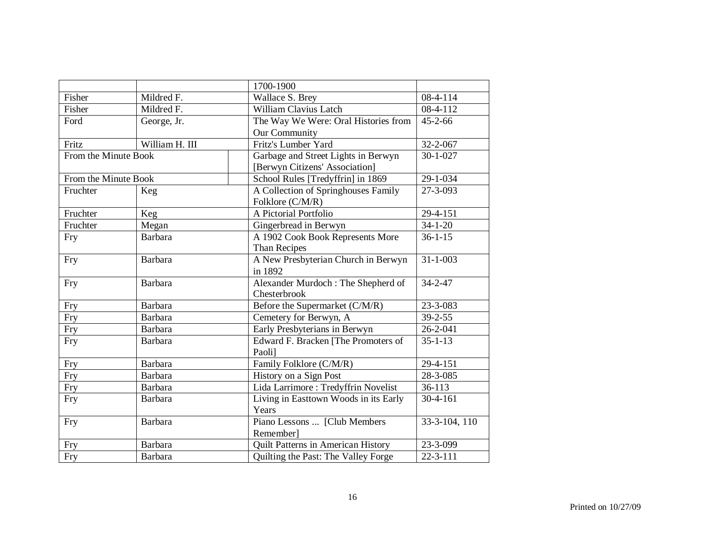|                      |                | 1700-1900                                 |                       |
|----------------------|----------------|-------------------------------------------|-----------------------|
| Fisher               | Mildred F.     | Wallace S. Brey                           | 08-4-114              |
| Fisher               | Mildred F.     | William Clavius Latch                     | $\overline{08-4-112}$ |
| Ford                 | George, Jr.    | The Way We Were: Oral Histories from      | $45 - 2 - 66$         |
|                      |                | Our Community                             |                       |
| Fritz                | William H. III | Fritz's Lumber Yard                       | 32-2-067              |
| From the Minute Book |                | Garbage and Street Lights in Berwyn       | $30 - 1 - 027$        |
|                      |                | [Berwyn Citizens' Association]            |                       |
| From the Minute Book |                | School Rules [Tredyffrin] in 1869         | 29-1-034              |
| Fruchter             | Keg            | A Collection of Springhouses Family       | 27-3-093              |
|                      |                | Folklore (C/M/R)                          |                       |
| Fruchter             | Keg            | A Pictorial Portfolio                     | 29-4-151              |
| Fruchter             | Megan          | Gingerbread in Berwyn                     | $34 - 1 - 20$         |
| Fry                  | Barbara        | A 1902 Cook Book Represents More          | $36 - 1 - 15$         |
|                      |                | Than Recipes                              |                       |
| Fry                  | Barbara        | A New Presbyterian Church in Berwyn       | $31 - 1 - 003$        |
|                      |                | in 1892                                   |                       |
| Fry                  | Barbara        | Alexander Murdoch: The Shepherd of        | $34 - 2 - 47$         |
|                      |                | Chesterbrook                              |                       |
| Fry                  | Barbara        | Before the Supermarket (C/M/R)            | 23-3-083              |
| Fry                  | <b>Barbara</b> | Cemetery for Berwyn, A                    | $39 - 2 - 55$         |
| Fry                  | Barbara        | Early Presbyterians in Berwyn             | 26-2-041              |
| Fry                  | Barbara        | Edward F. Bracken [The Promoters of       | $35 - 1 - 13$         |
|                      |                | Paoli]                                    |                       |
| Fry                  | <b>Barbara</b> | Family Folklore (C/M/R)                   | 29-4-151              |
| Fry                  | <b>Barbara</b> | History on a Sign Post                    | 28-3-085              |
| Fry                  | Barbara        | Lida Larrimore: Tredyffrin Novelist       | 36-113                |
| Fry                  | Barbara        | Living in Easttown Woods in its Early     | 30-4-161              |
|                      |                | Years                                     |                       |
| <b>Fry</b>           | Barbara        | Piano Lessons  [Club Members              | 33-3-104, 110         |
|                      |                | Remember]                                 |                       |
| Fry                  | <b>Barbara</b> | <b>Quilt Patterns in American History</b> | 23-3-099              |
| Fry                  | Barbara        | Quilting the Past: The Valley Forge       | $22 - 3 - 111$        |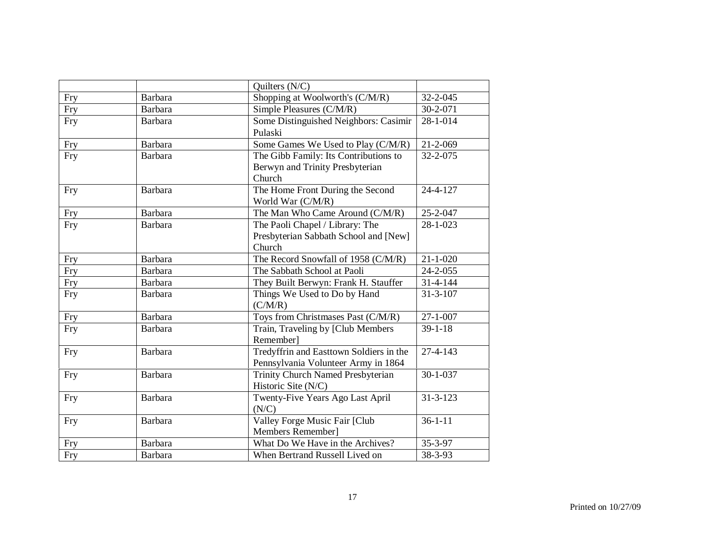|            |                | Quilters (N/C)                                                                     |                |
|------------|----------------|------------------------------------------------------------------------------------|----------------|
| Fry        | Barbara        | Shopping at Woolworth's (C/M/R)                                                    | 32-2-045       |
| Fry        | <b>Barbara</b> | Simple Pleasures (C/M/R)                                                           | $30 - 2 - 071$ |
| <b>Fry</b> | Barbara        | Some Distinguished Neighbors: Casimir<br>Pulaski                                   | 28-1-014       |
| Fry        | Barbara        | Some Games We Used to Play (C/M/R)                                                 | 21-2-069       |
| Fry        | Barbara        | The Gibb Family: Its Contributions to<br>Berwyn and Trinity Presbyterian<br>Church | 32-2-075       |
| <b>Fry</b> | Barbara        | The Home Front During the Second<br>World War (C/M/R)                              | 24-4-127       |
| <b>Fry</b> | <b>Barbara</b> | The Man Who Came Around (C/M/R)                                                    | 25-2-047       |
| Fry        | Barbara        | The Paoli Chapel / Library: The<br>Presbyterian Sabbath School and [New]<br>Church | 28-1-023       |
| Fry        | Barbara        | The Record Snowfall of 1958 (C/M/R)                                                | $21 - 1 - 020$ |
| Fry        | Barbara        | The Sabbath School at Paoli                                                        | 24-2-055       |
| Fry        | Barbara        | They Built Berwyn: Frank H. Stauffer                                               | $31 - 4 - 144$ |
| Fry        | Barbara        | Things We Used to Do by Hand<br>(C/M/R)                                            | $31 - 3 - 107$ |
| <b>Fry</b> | Barbara        | Toys from Christmases Past (C/M/R)                                                 | $27 - 1 - 007$ |
| Fry        | Barbara        | Train, Traveling by [Club Members<br>Remember]                                     | $39 - 1 - 18$  |
| <b>Fry</b> | Barbara        | Tredyffrin and Easttown Soldiers in the<br>Pennsylvania Volunteer Army in 1864     | $27 - 4 - 143$ |
| <b>Fry</b> | Barbara        | Trinity Church Named Presbyterian<br>Historic Site (N/C)                           | $30 - 1 - 037$ |
| Fry        | Barbara        | Twenty-Five Years Ago Last April<br>(N/C)                                          | $31 - 3 - 123$ |
| <b>Fry</b> | Barbara        | Valley Forge Music Fair [Club<br>Members Remember]                                 | $36 - 1 - 11$  |
| Fry        | Barbara        | What Do We Have in the Archives?                                                   | 35-3-97        |
| Fry        | Barbara        | When Bertrand Russell Lived on                                                     | 38-3-93        |
|            |                |                                                                                    |                |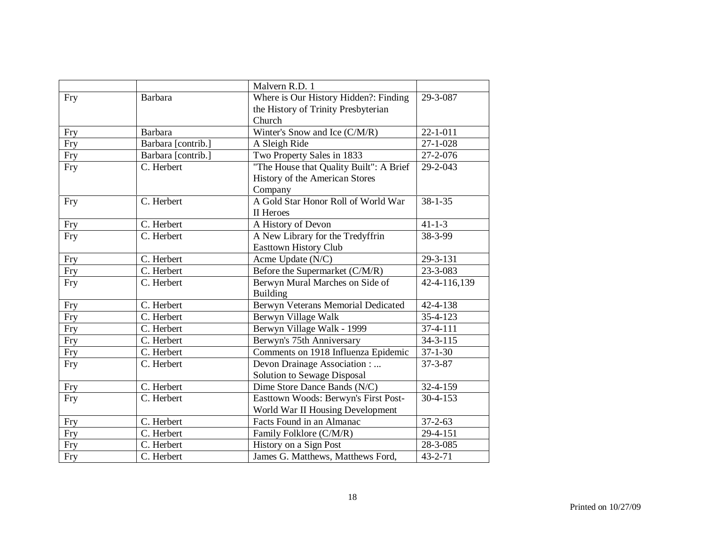|            |                          | Malvern R.D. 1                          |                |
|------------|--------------------------|-----------------------------------------|----------------|
| Fry        | Barbara                  | Where is Our History Hidden?: Finding   | 29-3-087       |
|            |                          | the History of Trinity Presbyterian     |                |
|            |                          | Church                                  |                |
| Fry        | <b>Barbara</b>           | Winter's Snow and Ice (C/M/R)           | $22 - 1 - 011$ |
| Fry        | Barbara [contrib.]       | A Sleigh Ride                           | $27 - 1 - 028$ |
| Fry        | Barbara [contrib.]       | Two Property Sales in 1833              | 27-2-076       |
| <b>Fry</b> | C. Herbert               | "The House that Quality Built": A Brief | 29-2-043       |
|            |                          | History of the American Stores          |                |
|            |                          | Company                                 |                |
| <b>Fry</b> | C. Herbert               | A Gold Star Honor Roll of World War     | $38 - 1 - 35$  |
|            |                          | II Heroes                               |                |
| Fry        | C. Herbert               | A History of Devon                      | $41 - 1 - 3$   |
| <b>Fry</b> | C. Herbert               | A New Library for the Tredyffrin        | 38-3-99        |
|            |                          | <b>Easttown History Club</b>            |                |
| <b>Fry</b> | C. Herbert               | Acme Update (N/C)                       | 29-3-131       |
| Fry        | C. Herbert               | Before the Supermarket (C/M/R)          | 23-3-083       |
| Fry        | C. Herbert               | Berwyn Mural Marches on Side of         | 42-4-116,139   |
|            |                          | Building                                |                |
| Fry        | C. Herbert               | Berwyn Veterans Memorial Dedicated      | 42-4-138       |
| Fry        | C. Herbert               | Berwyn Village Walk                     | 35-4-123       |
| Fry        | C. Herbert               | Berwyn Village Walk - 1999              | 37-4-111       |
| Fry        | C. Herbert               | Berwyn's 75th Anniversary               | $34 - 3 - 115$ |
| Fry        | $\overline{C}$ . Herbert | Comments on 1918 Influenza Epidemic     | $37 - 1 - 30$  |
| Fry        | C. Herbert               | Devon Drainage Association :            | $37 - 3 - 87$  |
|            |                          | Solution to Sewage Disposal             |                |
| Fry        | C. Herbert               | Dime Store Dance Bands (N/C)            | 32-4-159       |
| <b>Fry</b> | C. Herbert               | Easttown Woods: Berwyn's First Post-    | 30-4-153       |
|            |                          | World War II Housing Development        |                |
| <b>Fry</b> | C. Herbert               | Facts Found in an Almanac               | $37 - 2 - 63$  |
| Fry        | C. Herbert               | Family Folklore (C/M/R)                 | 29-4-151       |
| Fry        | C. Herbert               | History on a Sign Post                  | 28-3-085       |
| <b>Fry</b> | C. Herbert               | James G. Matthews, Matthews Ford,       | $43 - 2 - 71$  |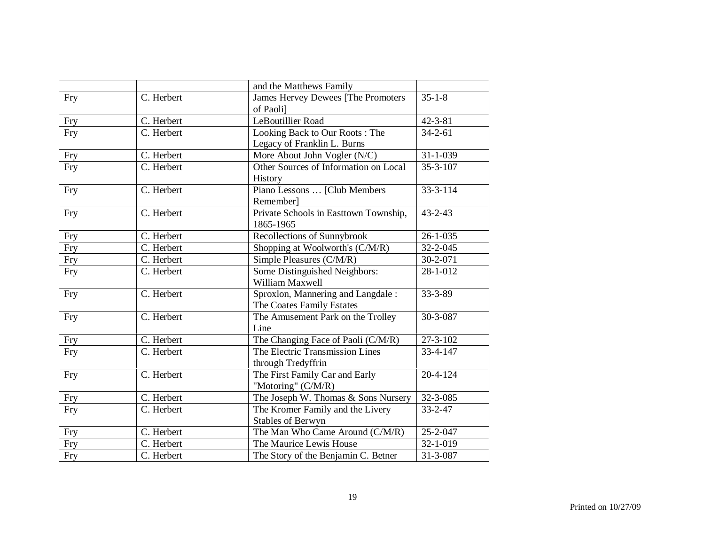|            |                          | and the Matthews Family                                        |                |
|------------|--------------------------|----------------------------------------------------------------|----------------|
| <b>Fry</b> | C. Herbert               | James Hervey Dewees [The Promoters]<br>of Paolil               | $35 - 1 - 8$   |
| <b>Fry</b> | C. Herbert               | LeBoutillier Road                                              | $42 - 3 - 81$  |
| Fry        | C. Herbert               | Looking Back to Our Roots: The<br>Legacy of Franklin L. Burns  | $34 - 2 - 61$  |
| Fry        | C. Herbert               | More About John Vogler (N/C)                                   | $31 - 1 - 039$ |
| <b>Fry</b> | C. Herbert               | Other Sources of Information on Local<br>History               | $35 - 3 - 107$ |
| Fry        | C. Herbert               | Piano Lessons  [Club Members<br>Remember]                      | $33 - 3 - 114$ |
| Fry        | C. Herbert               | Private Schools in Easttown Township,<br>1865-1965             | $43 - 2 - 43$  |
| Fry        | C. Herbert               | Recollections of Sunnybrook                                    | $26 - 1 - 035$ |
| Fry        | $\overline{C}$ . Herbert | Shopping at Woolworth's (C/M/R)                                | 32-2-045       |
| Fry        | C. Herbert               | Simple Pleasures (C/M/R)                                       | 30-2-071       |
| Fry        | C. Herbert               | Some Distinguished Neighbors:<br>William Maxwell               | 28-1-012       |
| <b>Fry</b> | C. Herbert               | Sproxlon, Mannering and Langdale:<br>The Coates Family Estates | 33-3-89        |
| Fry        | C. Herbert               | The Amusement Park on the Trolley<br>Line                      | 30-3-087       |
| <b>Fry</b> | C. Herbert               | The Changing Face of Paoli (C/M/R)                             | 27-3-102       |
| <b>Fry</b> | C. Herbert               | The Electric Transmission Lines<br>through Tredyffrin          | 33-4-147       |
| Fry        | C. Herbert               | The First Family Car and Early<br>"Motoring" (C/M/R)           | $20 - 4 - 124$ |
| Fry        | C. Herbert               | The Joseph W. Thomas & Sons Nursery                            | $32 - 3 - 085$ |
| Fry        | C. Herbert               | The Kromer Family and the Livery<br>Stables of Berwyn          | $33 - 2 - 47$  |
| Fry        | C. Herbert               | The Man Who Came Around (C/M/R)                                | 25-2-047       |
| Fry        | C. Herbert               | The Maurice Lewis House                                        | 32-1-019       |
| Fry        | C. Herbert               | The Story of the Benjamin C. Betner                            | 31-3-087       |
|            |                          |                                                                |                |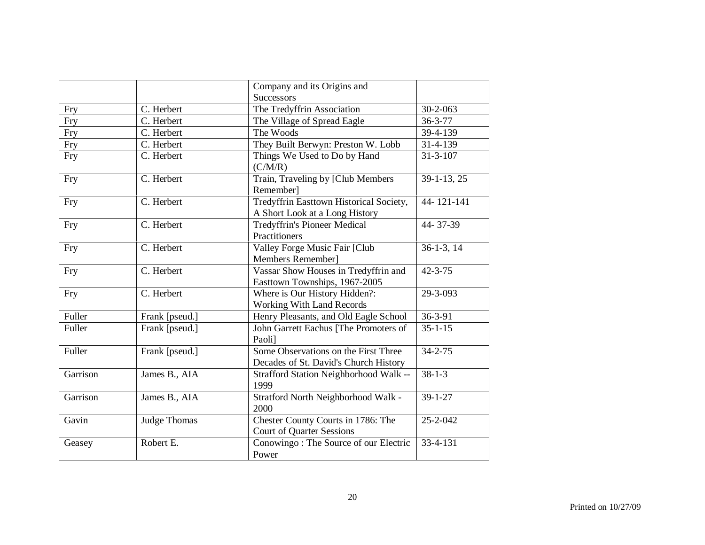|            |                | Company and its Origins and                                                   |                          |
|------------|----------------|-------------------------------------------------------------------------------|--------------------------|
|            |                | <b>Successors</b>                                                             |                          |
| Fry        | C. Herbert     | The Tredyffrin Association                                                    | $30 - 2 - 063$           |
| Fry        | C. Herbert     | The Village of Spread Eagle                                                   | $36 - 3 - 77$            |
| Fry        | C. Herbert     | The Woods                                                                     | 39-4-139                 |
| Fry        | C. Herbert     | They Built Berwyn: Preston W. Lobb                                            | 31-4-139                 |
| <b>Fry</b> | C. Herbert     | Things We Used to Do by Hand<br>(C/M/R)                                       | $31 - 3 - 107$           |
| <b>Fry</b> | C. Herbert     | Train, Traveling by [Club Members<br>Remember]                                | 39-1-13, 25              |
| <b>Fry</b> | C. Herbert     | Tredyffrin Easttown Historical Society,<br>A Short Look at a Long History     | 44-121-141               |
| Fry        | C. Herbert     | <b>Tredyffrin's Pioneer Medical</b><br>Practitioners                          | 44-37-39                 |
| Fry        | C. Herbert     | Valley Forge Music Fair [Club<br>Members Remember]                            | $\overline{36-1-3}$ , 14 |
| Fry        | C. Herbert     | Vassar Show Houses in Tredyffrin and<br>Easttown Townships, 1967-2005         | $42 - 3 - 75$            |
| <b>Fry</b> | C. Herbert     | Where is Our History Hidden?:<br><b>Working With Land Records</b>             | 29-3-093                 |
| Fuller     | Frank [pseud.] | Henry Pleasants, and Old Eagle School                                         | 36-3-91                  |
| Fuller     | Frank [pseud.] | John Garrett Eachus [The Promoters of<br>Paoli]                               | $35 - 1 - 15$            |
| Fuller     | Frank [pseud.] | Some Observations on the First Three<br>Decades of St. David's Church History | $34 - 2 - 75$            |
| Garrison   | James B., AIA  | Strafford Station Neighborhood Walk --<br>1999                                | $38 - 1 - 3$             |
| Garrison   | James B., AIA  | Stratford North Neighborhood Walk -<br>2000                                   | $39 - 1 - 27$            |
| Gavin      | Judge Thomas   | Chester County Courts in 1786: The<br><b>Court of Quarter Sessions</b>        | 25-2-042                 |
| Geasey     | Robert E.      | Conowingo: The Source of our Electric<br>Power                                | 33-4-131                 |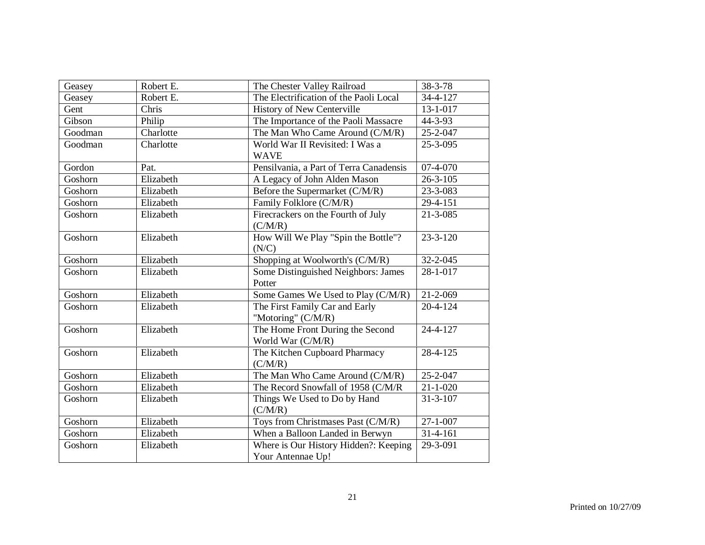| Geasey  | Robert E. | The Chester Valley Railroad                                | 38-3-78        |
|---------|-----------|------------------------------------------------------------|----------------|
| Geasey  | Robert E. | The Electrification of the Paoli Local                     | 34-4-127       |
| Gent    | Chris     | History of New Centerville                                 | $13 - 1 - 017$ |
| Gibson  | Philip    | The Importance of the Paoli Massacre                       | 44-3-93        |
| Goodman | Charlotte | The Man Who Came Around (C/M/R)                            | 25-2-047       |
| Goodman | Charlotte | World War II Revisited: I Was a<br><b>WAVE</b>             | 25-3-095       |
| Gordon  | Pat.      | Pensilvania, a Part of Terra Canadensis                    | 07-4-070       |
| Goshorn | Elizabeth | A Legacy of John Alden Mason                               | $26 - 3 - 105$ |
| Goshorn | Elizabeth | Before the Supermarket (C/M/R)                             | 23-3-083       |
| Goshorn | Elizabeth | Family Folklore (C/M/R)                                    | 29-4-151       |
| Goshorn | Elizabeth | Firecrackers on the Fourth of July<br>(C/M/R)              | $21 - 3 - 085$ |
| Goshorn | Elizabeth | How Will We Play "Spin the Bottle"?<br>(N/C)               | $23 - 3 - 120$ |
| Goshorn | Elizabeth | Shopping at Woolworth's (C/M/R)                            | $32 - 2 - 045$ |
| Goshorn | Elizabeth | Some Distinguished Neighbors: James<br>Potter              | 28-1-017       |
| Goshorn | Elizabeth | Some Games We Used to Play (C/M/R)                         | 21-2-069       |
| Goshorn | Elizabeth | The First Family Car and Early<br>"Motoring" (C/M/R)       | 20-4-124       |
| Goshorn | Elizabeth | The Home Front During the Second<br>World War (C/M/R)      | 24-4-127       |
| Goshorn | Elizabeth | The Kitchen Cupboard Pharmacy<br>(C/M/R)                   | 28-4-125       |
| Goshorn | Elizabeth | The Man Who Came Around (C/M/R)                            | 25-2-047       |
| Goshorn | Elizabeth | The Record Snowfall of 1958 (C/M/R                         | $21 - 1 - 020$ |
| Goshorn | Elizabeth | Things We Used to Do by Hand<br>(C/M/R)                    | $31 - 3 - 107$ |
| Goshorn | Elizabeth | Toys from Christmases Past (C/M/R)                         | $27 - 1 - 007$ |
| Goshorn | Elizabeth | When a Balloon Landed in Berwyn                            | $31 - 4 - 161$ |
| Goshorn | Elizabeth | Where is Our History Hidden?: Keeping<br>Your Antennae Up! | 29-3-091       |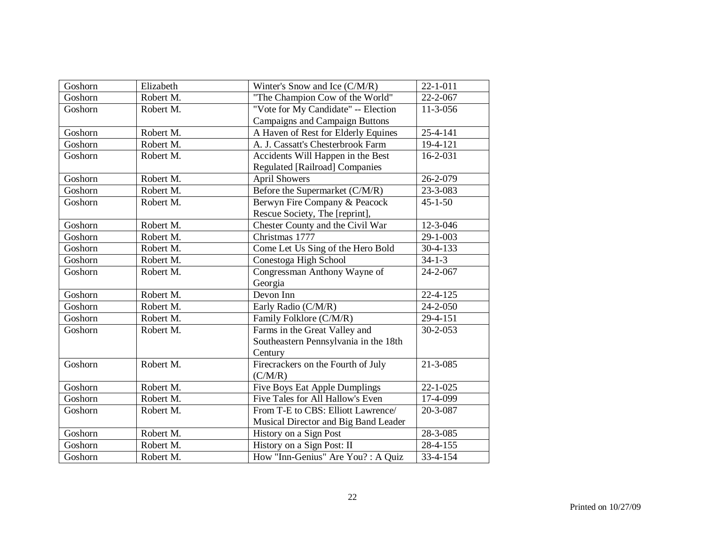| Goshorn | Elizabeth | Winter's Snow and Ice (C/M/R)         | $22 - 1 - 011$         |
|---------|-----------|---------------------------------------|------------------------|
| Goshorn | Robert M. | "The Champion Cow of the World"       | 22-2-067               |
| Goshorn | Robert M. | "Vote for My Candidate" -- Election   | $\overline{11}$ -3-056 |
|         |           | <b>Campaigns and Campaign Buttons</b> |                        |
| Goshorn | Robert M. | A Haven of Rest for Elderly Equines   | $25 - 4 - 141$         |
| Goshorn | Robert M. | A. J. Cassatt's Chesterbrook Farm     | 19-4-121               |
| Goshorn | Robert M. | Accidents Will Happen in the Best     | 16-2-031               |
|         |           | <b>Regulated [Railroad] Companies</b> |                        |
| Goshorn | Robert M. | <b>April Showers</b>                  | 26-2-079               |
| Goshorn | Robert M. | Before the Supermarket (C/M/R)        | 23-3-083               |
| Goshorn | Robert M. | Berwyn Fire Company & Peacock         | $45 - 1 - 50$          |
|         |           | Rescue Society, The [reprint],        |                        |
| Goshorn | Robert M. | Chester County and the Civil War      | 12-3-046               |
| Goshorn | Robert M. | Christmas 1777                        | 29-1-003               |
| Goshorn | Robert M. | Come Let Us Sing of the Hero Bold     | $30-4-133$             |
| Goshorn | Robert M. | Conestoga High School                 | $34 - 1 - 3$           |
| Goshorn | Robert M. | Congressman Anthony Wayne of          | 24-2-067               |
|         |           | Georgia                               |                        |
| Goshorn | Robert M. | Devon Inn                             | $22 - 4 - 125$         |
| Goshorn | Robert M. | Early Radio (C/M/R)                   | 24-2-050               |
| Goshorn | Robert M. | Family Folklore (C/M/R)               | 29-4-151               |
| Goshorn | Robert M. | Farms in the Great Valley and         | $30 - 2 - 053$         |
|         |           | Southeastern Pennsylvania in the 18th |                        |
|         |           | Century                               |                        |
| Goshorn | Robert M. | Firecrackers on the Fourth of July    | $21 - 3 - 085$         |
|         |           | (C/M/R)                               |                        |
| Goshorn | Robert M. | <b>Five Boys Eat Apple Dumplings</b>  | $22 - 1 - 025$         |
| Goshorn | Robert M. | Five Tales for All Hallow's Even      | $\overline{17}$ -4-099 |
| Goshorn | Robert M. | From T-E to CBS: Elliott Lawrence/    | 20-3-087               |
|         |           | Musical Director and Big Band Leader  |                        |
| Goshorn | Robert M. | History on a Sign Post                | 28-3-085               |
| Goshorn | Robert M. | History on a Sign Post: II            | 28-4-155               |
| Goshorn | Robert M. | How "Inn-Genius" Are You? : A Quiz    | 33-4-154               |
|         |           |                                       |                        |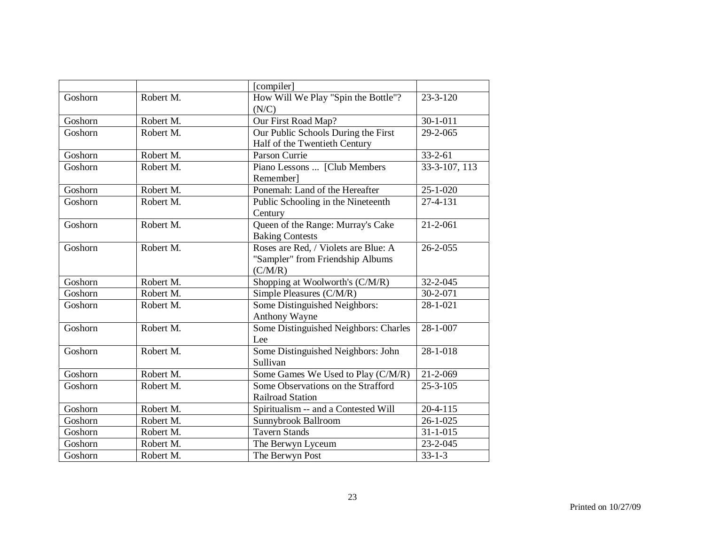| How Will We Play "Spin the Bottle"?<br>Robert M.<br>Goshorn<br>$23 - 3 - 120$<br>(N/C)<br>Our First Road Map?<br>$30 - 1 - 011$<br>Robert M.<br>Goshorn<br>Our Public Schools During the First<br>Goshorn<br>Robert M.<br>29-2-065<br>Half of the Twentieth Century<br>Parson Currie<br>Goshorn<br>Robert M.<br>$33 - 2 - 61$<br>Piano Lessons  [Club Members<br>33-3-107, 113<br>Goshorn<br>Robert M.<br>Remember]<br>Ponemah: Land of the Hereafter<br>$25 - 1 - 020$<br>Goshorn<br>Robert M.<br>Robert M.<br>Public Schooling in the Nineteenth<br>27-4-131<br>Goshorn<br>Century<br>Queen of the Range: Murray's Cake<br>Robert M.<br>Goshorn<br>$21 - 2 - 061$<br><b>Baking Contests</b><br>Roses are Red, / Violets are Blue: A<br>Robert M.<br>$26 - 2 - 055$<br>Goshorn<br>"Sampler" from Friendship Albums<br>(C/M/R)<br>Shopping at Woolworth's (C/M/R)<br>Robert M.<br>32-2-045<br>Goshorn<br>Goshorn<br>Robert M.<br>Simple Pleasures (C/M/R)<br>$30 - 2 - 071$<br>Some Distinguished Neighbors:<br>Robert M.<br>Goshorn<br>28-1-021<br>Anthony Wayne<br>Some Distinguished Neighbors: Charles<br>Goshorn<br>Robert M.<br>28-1-007<br>Lee<br>Some Distinguished Neighbors: John<br>$28 - 1 - 018$<br>Goshorn<br>Robert M.<br>Sullivan<br>Robert M.<br>Some Games We Used to Play (C/M/R)<br>Goshorn<br>21-2-069<br>Robert M.<br>Some Observations on the Strafford<br>$25 - 3 - 105$<br>Goshorn<br><b>Railroad Station</b><br>Goshorn<br>Robert M.<br>$20 - 4 - 115$<br>Spiritualism -- and a Contested Will<br>Robert M.<br>Goshorn<br>Sunnybrook Ballroom<br>$26 - 1 - 025$<br><b>Tavern Stands</b><br>$31 - 1 - 015$<br>Goshorn<br>Robert M.<br>Robert M.<br>23-2-045<br>Goshorn<br>The Berwyn Lyceum<br>Goshorn<br>Robert M.<br>The Berwyn Post<br>$33 - 1 - 3$ |  | [compiler] |  |
|---------------------------------------------------------------------------------------------------------------------------------------------------------------------------------------------------------------------------------------------------------------------------------------------------------------------------------------------------------------------------------------------------------------------------------------------------------------------------------------------------------------------------------------------------------------------------------------------------------------------------------------------------------------------------------------------------------------------------------------------------------------------------------------------------------------------------------------------------------------------------------------------------------------------------------------------------------------------------------------------------------------------------------------------------------------------------------------------------------------------------------------------------------------------------------------------------------------------------------------------------------------------------------------------------------------------------------------------------------------------------------------------------------------------------------------------------------------------------------------------------------------------------------------------------------------------------------------------------------------------------------------------------------------------------------------------------------------------------------------------------------------------------------|--|------------|--|
|                                                                                                                                                                                                                                                                                                                                                                                                                                                                                                                                                                                                                                                                                                                                                                                                                                                                                                                                                                                                                                                                                                                                                                                                                                                                                                                                                                                                                                                                                                                                                                                                                                                                                                                                                                                 |  |            |  |
|                                                                                                                                                                                                                                                                                                                                                                                                                                                                                                                                                                                                                                                                                                                                                                                                                                                                                                                                                                                                                                                                                                                                                                                                                                                                                                                                                                                                                                                                                                                                                                                                                                                                                                                                                                                 |  |            |  |
|                                                                                                                                                                                                                                                                                                                                                                                                                                                                                                                                                                                                                                                                                                                                                                                                                                                                                                                                                                                                                                                                                                                                                                                                                                                                                                                                                                                                                                                                                                                                                                                                                                                                                                                                                                                 |  |            |  |
|                                                                                                                                                                                                                                                                                                                                                                                                                                                                                                                                                                                                                                                                                                                                                                                                                                                                                                                                                                                                                                                                                                                                                                                                                                                                                                                                                                                                                                                                                                                                                                                                                                                                                                                                                                                 |  |            |  |
|                                                                                                                                                                                                                                                                                                                                                                                                                                                                                                                                                                                                                                                                                                                                                                                                                                                                                                                                                                                                                                                                                                                                                                                                                                                                                                                                                                                                                                                                                                                                                                                                                                                                                                                                                                                 |  |            |  |
|                                                                                                                                                                                                                                                                                                                                                                                                                                                                                                                                                                                                                                                                                                                                                                                                                                                                                                                                                                                                                                                                                                                                                                                                                                                                                                                                                                                                                                                                                                                                                                                                                                                                                                                                                                                 |  |            |  |
|                                                                                                                                                                                                                                                                                                                                                                                                                                                                                                                                                                                                                                                                                                                                                                                                                                                                                                                                                                                                                                                                                                                                                                                                                                                                                                                                                                                                                                                                                                                                                                                                                                                                                                                                                                                 |  |            |  |
|                                                                                                                                                                                                                                                                                                                                                                                                                                                                                                                                                                                                                                                                                                                                                                                                                                                                                                                                                                                                                                                                                                                                                                                                                                                                                                                                                                                                                                                                                                                                                                                                                                                                                                                                                                                 |  |            |  |
|                                                                                                                                                                                                                                                                                                                                                                                                                                                                                                                                                                                                                                                                                                                                                                                                                                                                                                                                                                                                                                                                                                                                                                                                                                                                                                                                                                                                                                                                                                                                                                                                                                                                                                                                                                                 |  |            |  |
|                                                                                                                                                                                                                                                                                                                                                                                                                                                                                                                                                                                                                                                                                                                                                                                                                                                                                                                                                                                                                                                                                                                                                                                                                                                                                                                                                                                                                                                                                                                                                                                                                                                                                                                                                                                 |  |            |  |
|                                                                                                                                                                                                                                                                                                                                                                                                                                                                                                                                                                                                                                                                                                                                                                                                                                                                                                                                                                                                                                                                                                                                                                                                                                                                                                                                                                                                                                                                                                                                                                                                                                                                                                                                                                                 |  |            |  |
|                                                                                                                                                                                                                                                                                                                                                                                                                                                                                                                                                                                                                                                                                                                                                                                                                                                                                                                                                                                                                                                                                                                                                                                                                                                                                                                                                                                                                                                                                                                                                                                                                                                                                                                                                                                 |  |            |  |
|                                                                                                                                                                                                                                                                                                                                                                                                                                                                                                                                                                                                                                                                                                                                                                                                                                                                                                                                                                                                                                                                                                                                                                                                                                                                                                                                                                                                                                                                                                                                                                                                                                                                                                                                                                                 |  |            |  |
|                                                                                                                                                                                                                                                                                                                                                                                                                                                                                                                                                                                                                                                                                                                                                                                                                                                                                                                                                                                                                                                                                                                                                                                                                                                                                                                                                                                                                                                                                                                                                                                                                                                                                                                                                                                 |  |            |  |
|                                                                                                                                                                                                                                                                                                                                                                                                                                                                                                                                                                                                                                                                                                                                                                                                                                                                                                                                                                                                                                                                                                                                                                                                                                                                                                                                                                                                                                                                                                                                                                                                                                                                                                                                                                                 |  |            |  |
|                                                                                                                                                                                                                                                                                                                                                                                                                                                                                                                                                                                                                                                                                                                                                                                                                                                                                                                                                                                                                                                                                                                                                                                                                                                                                                                                                                                                                                                                                                                                                                                                                                                                                                                                                                                 |  |            |  |
|                                                                                                                                                                                                                                                                                                                                                                                                                                                                                                                                                                                                                                                                                                                                                                                                                                                                                                                                                                                                                                                                                                                                                                                                                                                                                                                                                                                                                                                                                                                                                                                                                                                                                                                                                                                 |  |            |  |
|                                                                                                                                                                                                                                                                                                                                                                                                                                                                                                                                                                                                                                                                                                                                                                                                                                                                                                                                                                                                                                                                                                                                                                                                                                                                                                                                                                                                                                                                                                                                                                                                                                                                                                                                                                                 |  |            |  |
|                                                                                                                                                                                                                                                                                                                                                                                                                                                                                                                                                                                                                                                                                                                                                                                                                                                                                                                                                                                                                                                                                                                                                                                                                                                                                                                                                                                                                                                                                                                                                                                                                                                                                                                                                                                 |  |            |  |
|                                                                                                                                                                                                                                                                                                                                                                                                                                                                                                                                                                                                                                                                                                                                                                                                                                                                                                                                                                                                                                                                                                                                                                                                                                                                                                                                                                                                                                                                                                                                                                                                                                                                                                                                                                                 |  |            |  |
|                                                                                                                                                                                                                                                                                                                                                                                                                                                                                                                                                                                                                                                                                                                                                                                                                                                                                                                                                                                                                                                                                                                                                                                                                                                                                                                                                                                                                                                                                                                                                                                                                                                                                                                                                                                 |  |            |  |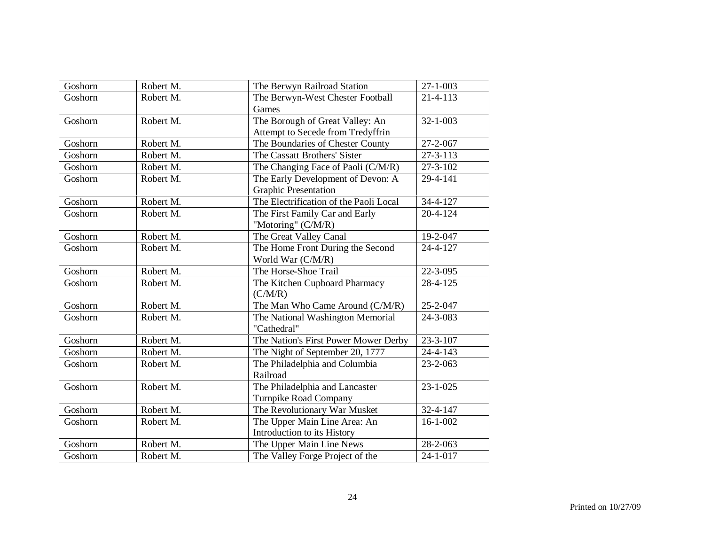| Goshorn | Robert M. | The Berwyn Railroad Station            | $27 - 1 - 003$ |
|---------|-----------|----------------------------------------|----------------|
| Goshorn | Robert M. | The Berwyn-West Chester Football       | 21-4-113       |
|         |           | Games                                  |                |
| Goshorn | Robert M. | The Borough of Great Valley: An        | $32 - 1 - 003$ |
|         |           | Attempt to Secede from Tredyffrin      |                |
| Goshorn | Robert M. | The Boundaries of Chester County       | 27-2-067       |
| Goshorn | Robert M. | The Cassatt Brothers' Sister           | 27-3-113       |
| Goshorn | Robert M. | The Changing Face of Paoli (C/M/R)     | 27-3-102       |
| Goshorn | Robert M. | The Early Development of Devon: A      | 29-4-141       |
|         |           | <b>Graphic Presentation</b>            |                |
| Goshorn | Robert M. | The Electrification of the Paoli Local | $34 - 4 - 127$ |
| Goshorn | Robert M. | The First Family Car and Early         | 20-4-124       |
|         |           | "Motoring" (C/M/R)                     |                |
| Goshorn | Robert M. | The Great Valley Canal                 | 19-2-047       |
| Goshorn | Robert M. | The Home Front During the Second       | 24-4-127       |
|         |           | World War (C/M/R)                      |                |
| Goshorn | Robert M. | The Horse-Shoe Trail                   | 22-3-095       |
| Goshorn | Robert M. | The Kitchen Cupboard Pharmacy          | 28-4-125       |
|         |           | (C/M/R)                                |                |
| Goshorn | Robert M. | The Man Who Came Around (C/M/R)        | 25-2-047       |
| Goshorn | Robert M. | The National Washington Memorial       | 24-3-083       |
|         |           | "Cathedral"                            |                |
| Goshorn | Robert M. | The Nation's First Power Mower Derby   | $23 - 3 - 107$ |
| Goshorn | Robert M. | The Night of September 20, 1777        | 24-4-143       |
| Goshorn | Robert M. | The Philadelphia and Columbia          | 23-2-063       |
|         |           | Railroad                               |                |
| Goshorn | Robert M. | The Philadelphia and Lancaster         | $23 - 1 - 025$ |
|         |           | Turnpike Road Company                  |                |
| Goshorn | Robert M. | The Revolutionary War Musket           | 32-4-147       |
| Goshorn | Robert M. | The Upper Main Line Area: An           | $16 - 1 - 002$ |
|         |           | Introduction to its History            |                |
| Goshorn | Robert M. | The Upper Main Line News               | $28 - 2 - 063$ |
| Goshorn | Robert M. | The Valley Forge Project of the        | 24-1-017       |
|         |           |                                        |                |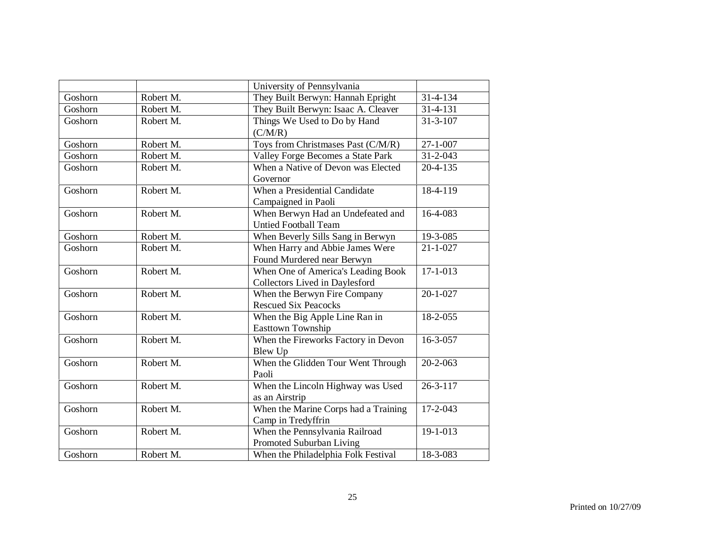|         |           | University of Pennsylvania           |                |
|---------|-----------|--------------------------------------|----------------|
| Goshorn | Robert M. | They Built Berwyn: Hannah Epright    | 31-4-134       |
| Goshorn | Robert M. | They Built Berwyn: Isaac A. Cleaver  | 31-4-131       |
| Goshorn | Robert M. | Things We Used to Do by Hand         | $31 - 3 - 107$ |
|         |           | (C/M/R)                              |                |
| Goshorn | Robert M. | Toys from Christmases Past (C/M/R)   | $27 - 1 - 007$ |
| Goshorn | Robert M. | Valley Forge Becomes a State Park    | $31 - 2 - 043$ |
| Goshorn | Robert M. | When a Native of Devon was Elected   | $20 - 4 - 135$ |
|         |           | Governor                             |                |
| Goshorn | Robert M. | When a Presidential Candidate        | 18-4-119       |
|         |           | Campaigned in Paoli                  |                |
| Goshorn | Robert M. | When Berwyn Had an Undefeated and    | 16-4-083       |
|         |           | <b>Untied Football Team</b>          |                |
| Goshorn | Robert M. | When Beverly Sills Sang in Berwyn    | 19-3-085       |
| Goshorn | Robert M. | When Harry and Abbie James Were      | $21 - 1 - 027$ |
|         |           | Found Murdered near Berwyn           |                |
| Goshorn | Robert M. | When One of America's Leading Book   | $17 - 1 - 013$ |
|         |           | Collectors Lived in Daylesford       |                |
| Goshorn | Robert M. | When the Berwyn Fire Company         | $20 - 1 - 027$ |
|         |           | <b>Rescued Six Peacocks</b>          |                |
| Goshorn | Robert M. | When the Big Apple Line Ran in       | 18-2-055       |
|         |           | Easttown Township                    |                |
| Goshorn | Robert M. | When the Fireworks Factory in Devon  | $16 - 3 - 057$ |
|         |           | Blew Up                              |                |
| Goshorn | Robert M. | When the Glidden Tour Went Through   | $20 - 2 - 063$ |
|         |           | Paoli                                |                |
| Goshorn | Robert M. | When the Lincoln Highway was Used    | $26 - 3 - 117$ |
|         |           | as an Airstrip                       |                |
| Goshorn | Robert M. | When the Marine Corps had a Training | $17 - 2 - 043$ |
|         |           | Camp in Tredyffrin                   |                |
| Goshorn | Robert M. | When the Pennsylvania Railroad       | 19-1-013       |
|         |           | Promoted Suburban Living             |                |
| Goshorn | Robert M. | When the Philadelphia Folk Festival  | 18-3-083       |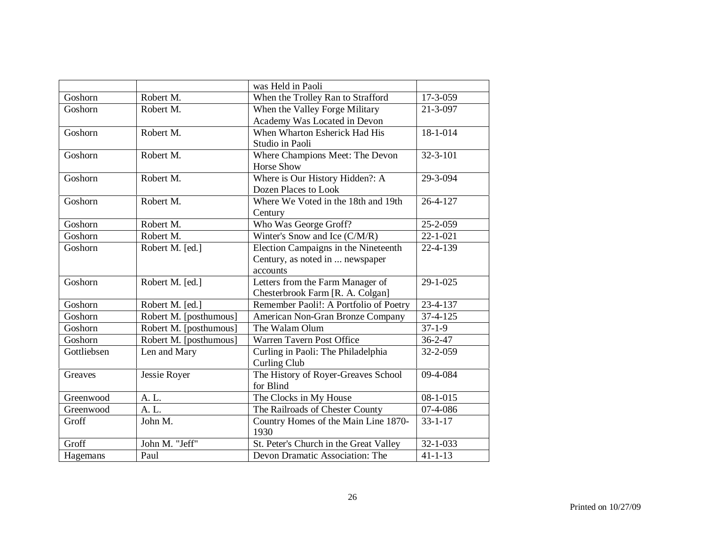|             |                        | was Held in Paoli                      |                |
|-------------|------------------------|----------------------------------------|----------------|
| Goshorn     | Robert M.              | When the Trolley Ran to Strafford      | 17-3-059       |
| Goshorn     | Robert M.              | When the Valley Forge Military         | 21-3-097       |
|             |                        | Academy Was Located in Devon           |                |
| Goshorn     | Robert M.              | When Wharton Esherick Had His          | 18-1-014       |
|             |                        | Studio in Paoli                        |                |
| Goshorn     | Robert M.              | Where Champions Meet: The Devon        | $32 - 3 - 101$ |
|             |                        | <b>Horse Show</b>                      |                |
| Goshorn     | Robert M.              | Where is Our History Hidden?: A        | 29-3-094       |
|             |                        | Dozen Places to Look                   |                |
| Goshorn     | Robert M.              | Where We Voted in the 18th and 19th    | 26-4-127       |
|             |                        | Century                                |                |
| Goshorn     | Robert M.              | Who Was George Groff?                  | 25-2-059       |
| Goshorn     | Robert M.              | Winter's Snow and Ice (C/M/R)          | $22 - 1 - 021$ |
| Goshorn     | Robert M. [ed.]        | Election Campaigns in the Nineteenth   | 22-4-139       |
|             |                        | Century, as noted in  newspaper        |                |
|             |                        | accounts                               |                |
| Goshorn     | Robert M. [ed.]        | Letters from the Farm Manager of       | 29-1-025       |
|             |                        | Chesterbrook Farm [R. A. Colgan]       |                |
| Goshorn     | Robert M. [ed.]        | Remember Paoli!: A Portfolio of Poetry | 23-4-137       |
| Goshorn     | Robert M. [posthumous] | American Non-Gran Bronze Company       | $37 - 4 - 125$ |
| Goshorn     | Robert M. [posthumous] | The Walam Olum                         | $37 - 1 - 9$   |
| Goshorn     | Robert M. [posthumous] | Warren Tavern Post Office              | $36 - 2 - 47$  |
| Gottliebsen | Len and Mary           | Curling in Paoli: The Philadelphia     | 32-2-059       |
|             |                        | Curling Club                           |                |
| Greaves     | Jessie Royer           | The History of Royer-Greaves School    | 09-4-084       |
|             |                        | for Blind                              |                |
| Greenwood   | A. L.                  | The Clocks in My House                 | $08 - 1 - 015$ |
| Greenwood   | A. L.                  | The Railroads of Chester County        | 07-4-086       |
| Groff       | John M.                | Country Homes of the Main Line 1870-   | $33 - 1 - 17$  |
|             |                        | 1930                                   |                |
| Groff       | John M. "Jeff"         | St. Peter's Church in the Great Valley | 32-1-033       |
| Hagemans    | Paul                   | Devon Dramatic Association: The        | $41 - 1 - 13$  |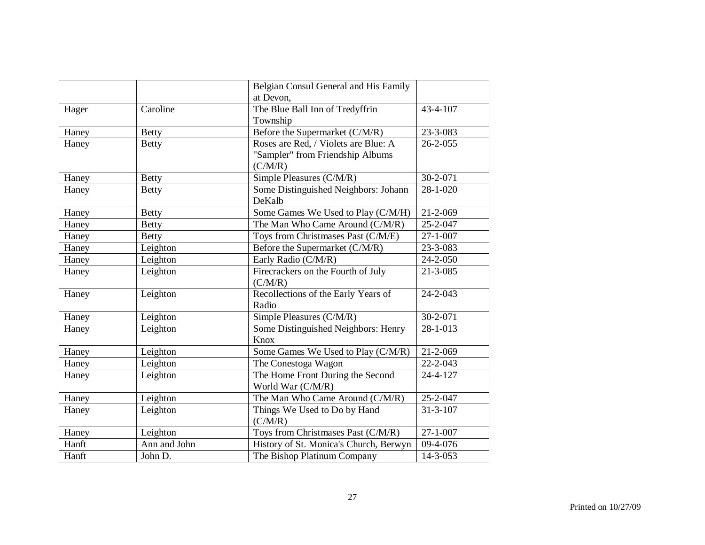|       |              | Belgian Consul General and His Family  |                |
|-------|--------------|----------------------------------------|----------------|
|       |              | at Devon,                              |                |
| Hager | Caroline     | The Blue Ball Inn of Tredyffrin        | 43-4-107       |
|       |              | Township                               |                |
| Haney | <b>Betty</b> | Before the Supermarket (C/M/R)         | 23-3-083       |
| Haney | <b>Betty</b> | Roses are Red, / Violets are Blue: A   | $26 - 2 - 055$ |
|       |              | "Sampler" from Friendship Albums       |                |
|       |              | (C/M/R)                                |                |
| Haney | <b>Betty</b> | Simple Pleasures (C/M/R)               | 30-2-071       |
| Haney | <b>Betty</b> | Some Distinguished Neighbors: Johann   | $28 - 1 - 020$ |
|       |              | DeKalb                                 |                |
| Haney | <b>Betty</b> | Some Games We Used to Play (C/M/H)     | $21 - 2 - 069$ |
| Haney | <b>Betty</b> | The Man Who Came Around (C/M/R)        | 25-2-047       |
| Haney | <b>Betty</b> | Toys from Christmases Past (C/M/E)     | $27 - 1 - 007$ |
| Haney | Leighton     | Before the Supermarket (C/M/R)         | 23-3-083       |
| Haney | Leighton     | Early Radio (C/M/R)                    | 24-2-050       |
| Haney | Leighton     | Firecrackers on the Fourth of July     | $21 - 3 - 085$ |
|       |              | (C/M/R)                                |                |
| Haney | Leighton     | Recollections of the Early Years of    | $24 - 2 - 043$ |
|       |              | Radio                                  |                |
| Haney | Leighton     | Simple Pleasures (C/M/R)               | 30-2-071       |
| Haney | Leighton     | Some Distinguished Neighbors: Henry    | 28-1-013       |
|       |              | Knox                                   |                |
| Haney | Leighton     | Some Games We Used to Play (C/M/R)     | 21-2-069       |
| Haney | Leighton     | The Conestoga Wagon                    | $22 - 2 - 043$ |
| Haney | Leighton     | The Home Front During the Second       | 24-4-127       |
|       |              | World War (C/M/R)                      |                |
| Haney | Leighton     | The Man Who Came Around (C/M/R)        | 25-2-047       |
| Haney | Leighton     | Things We Used to Do by Hand           | $31 - 3 - 107$ |
|       |              | (C/M/R)                                |                |
| Haney | Leighton     | Toys from Christmases Past (C/M/R)     | $27 - 1 - 007$ |
| Hanft | Ann and John | History of St. Monica's Church, Berwyn | $09-4-076$     |
| Hanft | John D.      | The Bishop Platinum Company            | 14-3-053       |
|       |              |                                        |                |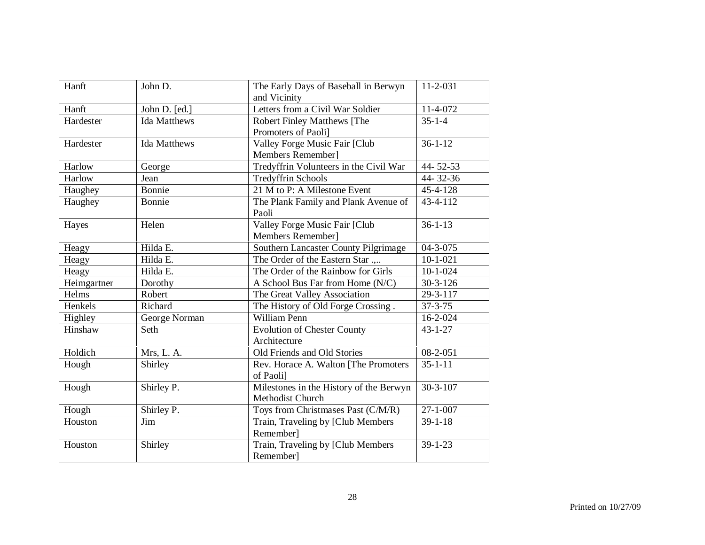| Hanft       | John D.             | The Early Days of Baseball in Berwyn    | $11 - 2 - 031$            |
|-------------|---------------------|-----------------------------------------|---------------------------|
|             |                     | and Vicinity                            |                           |
| Hanft       | John D. [ed.]       | Letters from a Civil War Soldier        | 11-4-072                  |
| Hardester   | <b>Ida Matthews</b> | Robert Finley Matthews [The             | $35 - 1 - 4$              |
|             |                     | Promoters of Paoli]                     |                           |
| Hardester   | <b>Ida Matthews</b> | Valley Forge Music Fair [Club           | $36 - 1 - 12$             |
|             |                     | Members Remember]                       |                           |
| Harlow      | George              | Tredyffrin Volunteers in the Civil War  | 44-52-53                  |
| Harlow      | Jean                | Tredyffrin Schools                      | 44-32-36                  |
| Haughey     | Bonnie              | 21 M to P: A Milestone Event            | 45-4-128                  |
| Haughey     | Bonnie              | The Plank Family and Plank Avenue of    | $\overline{43} - 4 - 112$ |
|             |                     | Paoli                                   |                           |
| Hayes       | Helen               | Valley Forge Music Fair [Club           | $36 - 1 - 13$             |
|             |                     | Members Remember]                       |                           |
| Heagy       | Hilda E.            | Southern Lancaster County Pilgrimage    | 04-3-075                  |
| Heagy       | Hilda E.            | The Order of the Eastern Star           | $10 - 1 - 021$            |
| Heagy       | Hilda E.            | The Order of the Rainbow for Girls      | $10-1-024$                |
| Heimgartner | Dorothy             | A School Bus Far from Home (N/C)        | $30 - 3 - 126$            |
| Helms       | Robert              | The Great Valley Association            | $29 - 3 - 117$            |
| Henkels     | Richard             | The History of Old Forge Crossing.      | $37 - 3 - 75$             |
| Highley     | George Norman       | William Penn                            | 16-2-024                  |
| Hinshaw     | Seth                | <b>Evolution of Chester County</b>      | $43 - 1 - 27$             |
|             |                     | Architecture                            |                           |
| Holdich     | Mrs, L. A.          | Old Friends and Old Stories             | 08-2-051                  |
| Hough       | Shirley             | Rev. Horace A. Walton [The Promoters    | $35 - 1 - 11$             |
|             |                     | of Paolil                               |                           |
| Hough       | Shirley P.          | Milestones in the History of the Berwyn | $30 - 3 - 107$            |
|             |                     | Methodist Church                        |                           |
| Hough       | Shirley P.          | Toys from Christmases Past (C/M/R)      | $27 - 1 - 007$            |
| Houston     | Jim                 | Train, Traveling by [Club Members       | $39 - 1 - 18$             |
|             |                     | Remember]                               |                           |
| Houston     | Shirley             | Train, Traveling by [Club Members       | $39 - 1 - 23$             |
|             |                     | Remember]                               |                           |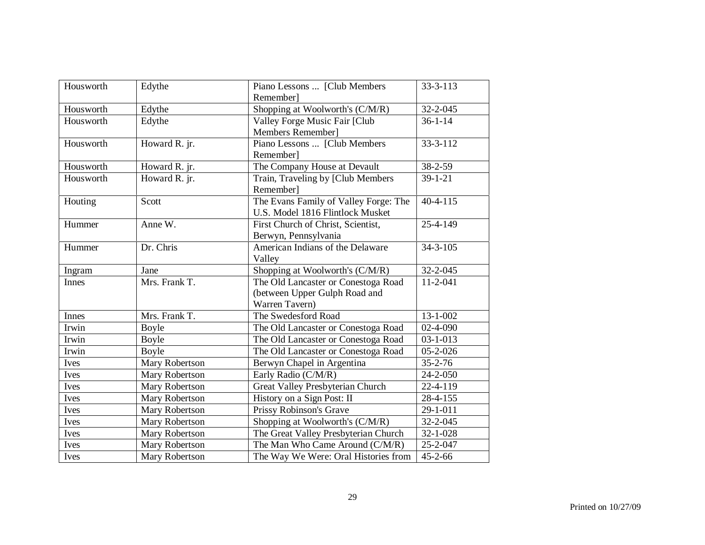| Housworth    | Edythe         | Piano Lessons  [Club Members<br>Remember]                                              | $33 - 3 - 113$ |
|--------------|----------------|----------------------------------------------------------------------------------------|----------------|
| Housworth    | Edythe         | Shopping at Woolworth's (C/M/R)                                                        | 32-2-045       |
| Housworth    | Edythe         | Valley Forge Music Fair [Club<br>Members Remember]                                     | $36 - 1 - 14$  |
| Housworth    | Howard R. jr.  | Piano Lessons  [Club Members<br>Remember]                                              | 33-3-112       |
| Housworth    | Howard R. jr.  | The Company House at Devault                                                           | 38-2-59        |
| Housworth    | Howard R. jr.  | Train, Traveling by [Club Members<br>Remember]                                         | $39 - 1 - 21$  |
| Houting      | Scott          | The Evans Family of Valley Forge: The<br>U.S. Model 1816 Flintlock Musket              | $40 - 4 - 115$ |
| Hummer       | Anne W.        | First Church of Christ, Scientist,<br>Berwyn, Pennsylvania                             | 25-4-149       |
| Hummer       | Dr. Chris      | American Indians of the Delaware<br>Valley                                             | $34 - 3 - 105$ |
| Ingram       | Jane           | Shopping at Woolworth's (C/M/R)                                                        | 32-2-045       |
| <b>Innes</b> | Mrs. Frank T.  | The Old Lancaster or Conestoga Road<br>(between Upper Gulph Road and<br>Warren Tavern) | $11 - 2 - 041$ |
| Innes        | Mrs. Frank T.  | The Swedesford Road                                                                    | $13 - 1 - 002$ |
| Irwin        | Boyle          | The Old Lancaster or Conestoga Road                                                    | $02 - 4 - 090$ |
| Irwin        | Boyle          | The Old Lancaster or Conestoga Road                                                    | $03 - 1 - 013$ |
| Irwin        | Boyle          | The Old Lancaster or Conestoga Road                                                    | $05 - 2 - 026$ |
| Ives         | Mary Robertson | Berwyn Chapel in Argentina                                                             | $35 - 2 - 76$  |
| Ives         | Mary Robertson | Early Radio (C/M/R)                                                                    | 24-2-050       |
| Ives         | Mary Robertson | Great Valley Presbyterian Church                                                       | 22-4-119       |
| Ives         | Mary Robertson | History on a Sign Post: II                                                             | 28-4-155       |
| Ives         | Mary Robertson | Prissy Robinson's Grave                                                                | 29-1-011       |
| Ives         | Mary Robertson | Shopping at Woolworth's (C/M/R)                                                        | 32-2-045       |
| Ives         | Mary Robertson | The Great Valley Presbyterian Church                                                   | 32-1-028       |
| Ives         | Mary Robertson | The Man Who Came Around (C/M/R)                                                        | 25-2-047       |
| Ives         | Mary Robertson | The Way We Were: Oral Histories from                                                   | $45 - 2 - 66$  |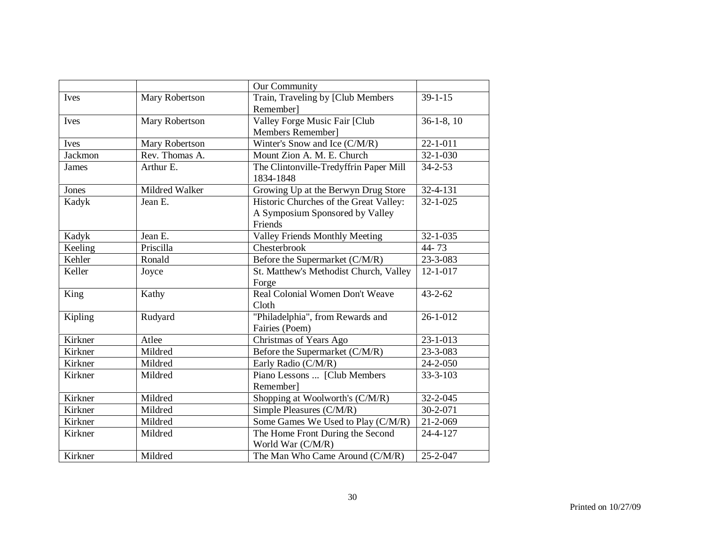|         |                | Our Community                                                                        |                |
|---------|----------------|--------------------------------------------------------------------------------------|----------------|
| Ives    | Mary Robertson | Train, Traveling by [Club Members<br>Remember]                                       | $39 - 1 - 15$  |
| Ives    | Mary Robertson | Valley Forge Music Fair [Club<br>Members Remember]                                   | $36-1-8$ , 10  |
| Ives    | Mary Robertson | Winter's Snow and Ice (C/M/R)                                                        | $22 - 1 - 011$ |
| Jackmon | Rev. Thomas A. | Mount Zion A. M. E. Church                                                           | $32 - 1 - 030$ |
| James   | Arthur E.      | The Clintonville-Tredyffrin Paper Mill<br>1834-1848                                  | $34 - 2 - 53$  |
| Jones   | Mildred Walker | Growing Up at the Berwyn Drug Store                                                  | 32-4-131       |
| Kadyk   | Jean E.        | Historic Churches of the Great Valley:<br>A Symposium Sponsored by Valley<br>Friends | $32 - 1 - 025$ |
| Kadyk   | Jean E.        | <b>Valley Friends Monthly Meeting</b>                                                | 32-1-035       |
| Keeling | Priscilla      | Chesterbrook                                                                         | 44-73          |
| Kehler  | Ronald         | Before the Supermarket (C/M/R)                                                       | 23-3-083       |
| Keller  | Joyce          | St. Matthew's Methodist Church, Valley<br>Forge                                      | $12 - 1 - 017$ |
| King    | Kathy          | Real Colonial Women Don't Weave<br>Cloth                                             | $43 - 2 - 62$  |
| Kipling | Rudyard        | "Philadelphia", from Rewards and<br>Fairies (Poem)                                   | $26 - 1 - 012$ |
| Kirkner | Atlee          | Christmas of Years Ago                                                               | $23 - 1 - 013$ |
| Kirkner | Mildred        | Before the Supermarket (C/M/R)                                                       | 23-3-083       |
| Kirkner | Mildred        | Early Radio (C/M/R)                                                                  | 24-2-050       |
| Kirkner | Mildred        | Piano Lessons  [Club Members<br>Remember]                                            | $33 - 3 - 103$ |
| Kirkner | Mildred        | Shopping at Woolworth's (C/M/R)                                                      | $32 - 2 - 045$ |
| Kirkner | Mildred        | Simple Pleasures (C/M/R)                                                             | 30-2-071       |
| Kirkner | Mildred        | Some Games We Used to Play (C/M/R)                                                   | 21-2-069       |
| Kirkner | Mildred        | The Home Front During the Second<br>World War (C/M/R)                                | 24-4-127       |
| Kirkner | Mildred        | The Man Who Came Around (C/M/R)                                                      | 25-2-047       |
|         |                |                                                                                      |                |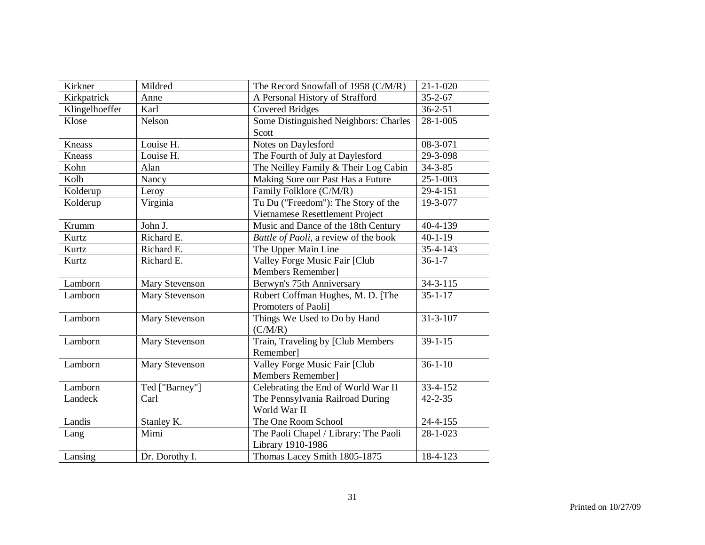| Kirkner        | Mildred        | The Record Snowfall of 1958 (C/M/R)   | $21 - 1 - 020$            |
|----------------|----------------|---------------------------------------|---------------------------|
| Kirkpatrick    | Anne           | A Personal History of Strafford       | $35 - 2 - 67$             |
| Klingelhoeffer | Karl           | Covered Bridges                       | $36 - 2 - 51$             |
| Klose          | Nelson         | Some Distinguished Neighbors: Charles | $\overline{28} - 1 - 005$ |
|                |                | Scott                                 |                           |
| Kneass         | Louise H.      | Notes on Daylesford                   | 08-3-071                  |
| <b>Kneass</b>  | Louise H.      | The Fourth of July at Daylesford      | 29-3-098                  |
| Kohn           | Alan           | The Neilley Family & Their Log Cabin  | $34 - 3 - 85$             |
| Kolb           | Nancy          | Making Sure our Past Has a Future     | $25 - 1 - 003$            |
| Kolderup       | Leroy          | Family Folklore (C/M/R)               | 29-4-151                  |
| Kolderup       | Virginia       | Tu Du ("Freedom"): The Story of the   | 19-3-077                  |
|                |                | Vietnamese Resettlement Project       |                           |
| Krumm          | John J.        | Music and Dance of the 18th Century   | 40-4-139                  |
| Kurtz          | Richard E.     | Battle of Paoli, a review of the book | $40 - 1 - 19$             |
| Kurtz          | Richard E.     | The Upper Main Line                   | 35-4-143                  |
| Kurtz          | Richard E.     | Valley Forge Music Fair [Club         | $36 - 1 - 7$              |
|                |                | Members Remember]                     |                           |
| Lamborn        | Mary Stevenson | Berwyn's 75th Anniversary             | $34 - 3 - 115$            |
| Lamborn        | Mary Stevenson | Robert Coffman Hughes, M. D. [The     | $35 - 1 - 17$             |
|                |                | Promoters of Paoli]                   |                           |
| Lamborn        | Mary Stevenson | Things We Used to Do by Hand          | $31 - 3 - 107$            |
|                |                | (C/M/R)                               |                           |
| Lamborn        | Mary Stevenson | Train, Traveling by [Club Members     | $39 - 1 - 15$             |
|                |                | Remember]                             |                           |
| Lamborn        | Mary Stevenson | Valley Forge Music Fair [Club         | $36 - 1 - 10$             |
|                |                | Members Remember]                     |                           |
| Lamborn        | Ted ["Barney"] | Celebrating the End of World War II   | 33-4-152                  |
| Landeck        | Carl           | The Pennsylvania Railroad During      | $42 - 2 - 35$             |
|                |                | World War II                          |                           |
| Landis         | Stanley K.     | The One Room School                   | $24 - 4 - 155$            |
| Lang           | Mimi           | The Paoli Chapel / Library: The Paoli | 28-1-023                  |
|                |                | Library 1910-1986                     |                           |
| Lansing        | Dr. Dorothy I. | Thomas Lacey Smith 1805-1875          | 18-4-123                  |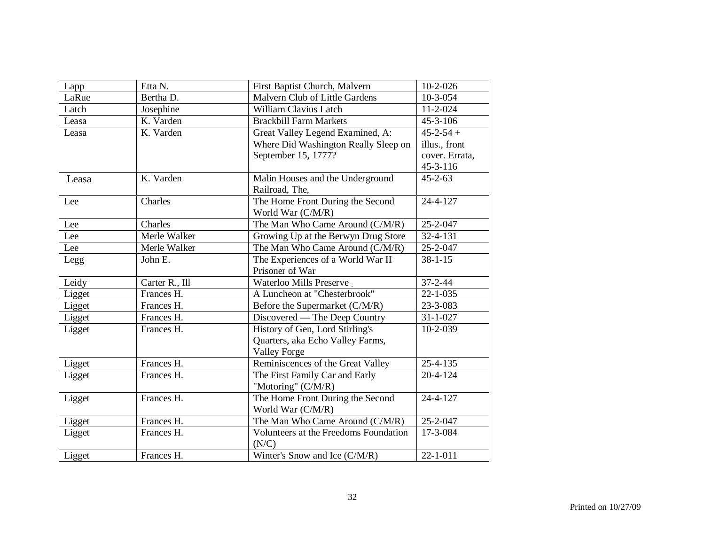| Lapp   | Etta N.        | First Baptist Church, Malvern                      | $10-2-026$                       |
|--------|----------------|----------------------------------------------------|----------------------------------|
| LaRue  | Bertha D.      | Malvern Club of Little Gardens                     | $10-3-054$                       |
| Latch  | Josephine      | William Clavius Latch                              | 11-2-024                         |
| Leasa  | K. Varden      | <b>Brackbill Farm Markets</b>                      | 45-3-106                         |
| Leasa  | K. Varden      | Great Valley Legend Examined, A:                   | $45 - 2 - 54 +$                  |
|        |                | Where Did Washington Really Sleep on               | illus., front                    |
|        |                | September 15, 1777?                                | cover. Errata,<br>$45 - 3 - 116$ |
|        | K. Varden      |                                                    | $45 - 2 - 63$                    |
| Leasa  |                | Malin Houses and the Underground<br>Railroad, The, |                                  |
| Lee    | Charles        | The Home Front During the Second                   | 24-4-127                         |
|        |                | World War (C/M/R)                                  |                                  |
| Lee    | Charles        | The Man Who Came Around (C/M/R)                    | 25-2-047                         |
| Lee    | Merle Walker   | Growing Up at the Berwyn Drug Store                | $32 - 4 - 131$                   |
| Lee    | Merle Walker   | The Man Who Came Around (C/M/R)                    | 25-2-047                         |
| Legg   | John E.        | The Experiences of a World War II                  | $38 - 1 - 15$                    |
|        |                | Prisoner of War                                    |                                  |
| Leidy  | Carter R., Ill | Waterloo Mills Preserve:                           | $37 - 2 - 44$                    |
| Ligget | Frances H.     | A Luncheon at "Chesterbrook"                       | $22 - 1 - 035$                   |
| Ligget | Frances H.     | Before the Supermarket (C/M/R)                     | 23-3-083                         |
| Ligget | Frances H.     | Discovered — The Deep Country                      | $31 - 1 - 027$                   |
| Ligget | Frances H.     | History of Gen, Lord Stirling's                    | 10-2-039                         |
|        |                | Quarters, aka Echo Valley Farms,                   |                                  |
|        |                | <b>Valley Forge</b>                                |                                  |
| Ligget | Frances H.     | Reminiscences of the Great Valley                  | $25 - 4 - 135$                   |
| Ligget | Frances H.     | The First Family Car and Early                     | $20 - 4 - 124$                   |
|        |                | "Motoring" (C/M/R)                                 |                                  |
| Ligget | Frances H.     | The Home Front During the Second                   | 24-4-127                         |
|        |                | World War (C/M/R)                                  |                                  |
| Ligget | Frances H.     | The Man Who Came Around (C/M/R)                    | 25-2-047                         |
| Ligget | Frances H.     | Volunteers at the Freedoms Foundation              | 17-3-084                         |
|        |                | (N/C)                                              |                                  |
| Ligget | Frances H.     | Winter's Snow and Ice (C/M/R)                      | $22 - 1 - 011$                   |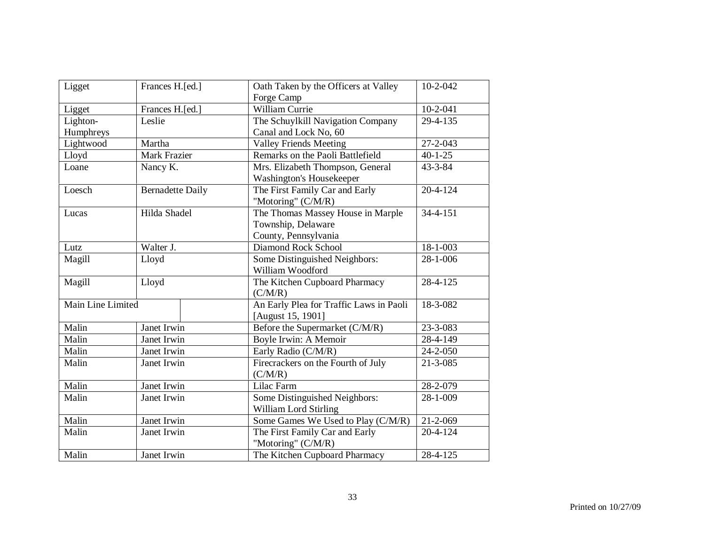| Ligget            | Frances H.[ed.]         | Oath Taken by the Officers at Valley    | $10-2-042$     |
|-------------------|-------------------------|-----------------------------------------|----------------|
|                   |                         | Forge Camp                              |                |
| Ligget            | Frances H.[ed.]         | William Currie                          | $10-2-041$     |
| Lighton-          | Leslie                  | The Schuylkill Navigation Company       | 29-4-135       |
| Humphreys         |                         | Canal and Lock No, 60                   |                |
| Lightwood         | Martha                  | <b>Valley Friends Meeting</b>           | 27-2-043       |
| Lloyd             | Mark Frazier            | Remarks on the Paoli Battlefield        | $40 - 1 - 25$  |
| Loane             | Nancy K.                | Mrs. Elizabeth Thompson, General        | $43 - 3 - 84$  |
|                   |                         | Washington's Housekeeper                |                |
| Loesch            | <b>Bernadette Daily</b> | The First Family Car and Early          | $20 - 4 - 124$ |
|                   |                         | "Motoring" (C/M/R)                      |                |
| Lucas             | Hilda Shadel            | The Thomas Massey House in Marple       | $34 - 4 - 151$ |
|                   |                         | Township, Delaware                      |                |
|                   |                         | County, Pennsylvania                    |                |
| Lutz              | Walter J.               | Diamond Rock School                     | 18-1-003       |
| Magill            | Lloyd                   | Some Distinguished Neighbors:           | 28-1-006       |
|                   |                         | William Woodford                        |                |
| Magill            | Lloyd                   | The Kitchen Cupboard Pharmacy           | 28-4-125       |
|                   |                         | (C/M/R)                                 |                |
| Main Line Limited |                         | An Early Plea for Traffic Laws in Paoli | 18-3-082       |
|                   |                         | [August 15, 1901]                       |                |
| Malin             | Janet Irwin             | Before the Supermarket (C/M/R)          | 23-3-083       |
| Malin             | Janet Irwin             | Boyle Irwin: A Memoir                   | 28-4-149       |
| Malin             | Janet Irwin             | Early Radio (C/M/R)                     | 24-2-050       |
| Malin             | Janet Irwin             | Firecrackers on the Fourth of July      | $21 - 3 - 085$ |
|                   |                         | (C/M/R)                                 |                |
| Malin             | Janet Irwin             | Lilac Farm                              | 28-2-079       |
| Malin             | Janet Irwin             | Some Distinguished Neighbors:           | 28-1-009       |
|                   |                         | William Lord Stirling                   |                |
| Malin             | Janet Irwin             | Some Games We Used to Play (C/M/R)      | $21 - 2 - 069$ |
| Malin             | Janet Irwin             | The First Family Car and Early          | $20 - 4 - 124$ |
|                   |                         | "Motoring" (C/M/R)                      |                |
| Malin             | Janet Irwin             | The Kitchen Cupboard Pharmacy           | 28-4-125       |
|                   |                         |                                         |                |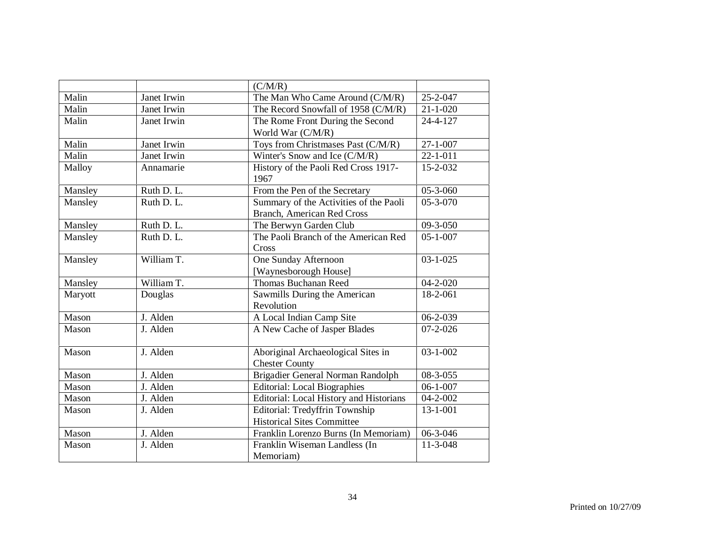|         |             | (C/M/R)                                 |                |
|---------|-------------|-----------------------------------------|----------------|
| Malin   | Janet Irwin | The Man Who Came Around (C/M/R)         | 25-2-047       |
|         |             |                                         |                |
| Malin   | Janet Irwin | The Record Snowfall of 1958 (C/M/R)     | $21 - 1 - 020$ |
| Malin   | Janet Irwin | The Rome Front During the Second        | 24-4-127       |
|         |             | World War (C/M/R)                       |                |
| Malin   | Janet Irwin | Toys from Christmases Past (C/M/R)      | $27 - 1 - 007$ |
| Malin   | Janet Irwin | Winter's Snow and Ice (C/M/R)           | $22 - 1 - 011$ |
| Malloy  | Annamarie   | History of the Paoli Red Cross 1917-    | 15-2-032       |
|         |             | 1967                                    |                |
| Mansley | Ruth D. L.  | From the Pen of the Secretary           | 05-3-060       |
| Mansley | Ruth D. L.  | Summary of the Activities of the Paoli  | 05-3-070       |
|         |             | Branch, American Red Cross              |                |
| Mansley | Ruth D. L.  | The Berwyn Garden Club                  | 09-3-050       |
| Mansley | Ruth D. L.  | The Paoli Branch of the American Red    | $05 - 1 - 007$ |
|         |             | Cross                                   |                |
| Mansley | William T.  | One Sunday Afternoon                    | $03 - 1 - 025$ |
|         |             | [Waynesborough House]                   |                |
| Mansley | William T.  | Thomas Buchanan Reed                    | $04 - 2 - 020$ |
| Maryott | Douglas     | Sawmills During the American            | 18-2-061       |
|         |             | Revolution                              |                |
| Mason   | J. Alden    | A Local Indian Camp Site                | $06 - 2 - 039$ |
| Mason   | J. Alden    | A New Cache of Jasper Blades            | $07 - 2 - 026$ |
|         |             |                                         |                |
| Mason   | J. Alden    | Aboriginal Archaeological Sites in      | $03 - 1 - 002$ |
|         |             | <b>Chester County</b>                   |                |
| Mason   | J. Alden    | Brigadier General Norman Randolph       | 08-3-055       |
| Mason   | J. Alden    | <b>Editorial: Local Biographies</b>     | $06 - 1 - 007$ |
| Mason   | J. Alden    | Editorial: Local History and Historians | 04-2-002       |
| Mason   | J. Alden    | Editorial: Tredyffrin Township          | $13 - 1 - 001$ |
|         |             |                                         |                |
|         |             | <b>Historical Sites Committee</b>       |                |
| Mason   | J. Alden    | Franklin Lorenzo Burns (In Memoriam)    | 06-3-046       |
| Mason   | J. Alden    | Franklin Wiseman Landless (In           | 11-3-048       |
|         |             | Memoriam)                               |                |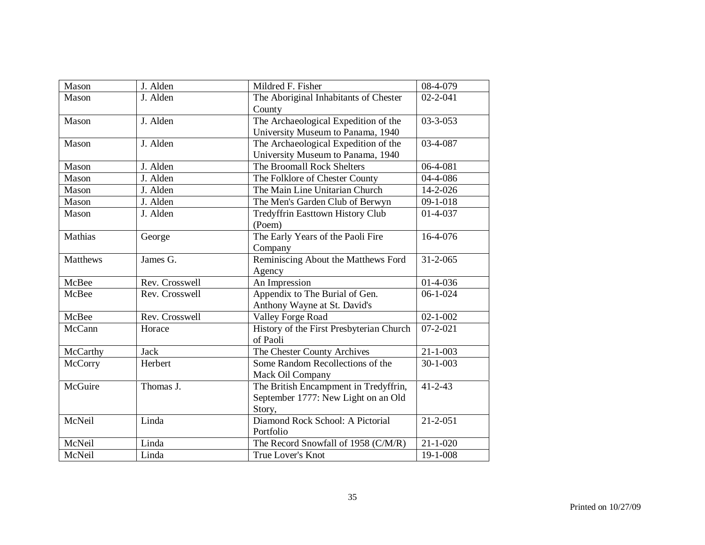| Mason           | J. Alden                | Mildred F. Fisher                        | 08-4-079               |
|-----------------|-------------------------|------------------------------------------|------------------------|
| Mason           | J. Alden                | The Aboriginal Inhabitants of Chester    | $02 - 2 - 041$         |
|                 |                         | County                                   |                        |
| Mason           | J. Alden                | The Archaeological Expedition of the     | $03 - 3 - 053$         |
|                 |                         | University Museum to Panama, 1940        |                        |
| Mason           | J. Alden                | The Archaeological Expedition of the     | 03-4-087               |
|                 |                         | University Museum to Panama, 1940        |                        |
| Mason           | J. Alden                | The Broomall Rock Shelters               | 06-4-081               |
| Mason           | J. Alden                | The Folklore of Chester County           | 04-4-086               |
| Mason           | J. Alden                | The Main Line Unitarian Church           | 14-2-026               |
| Mason           | J. Alden                | The Men's Garden Club of Berwyn          | $09 - 1 - 018$         |
| Mason           | J. Alden                | Tredyffrin Easttown History Club         | 01-4-037               |
|                 |                         | (Poem)                                   |                        |
| Mathias         | George                  | The Early Years of the Paoli Fire        | 16-4-076               |
|                 |                         | Company                                  |                        |
| <b>Matthews</b> | James G.                | Reminiscing About the Matthews Ford      | $31 - 2 - 065$         |
|                 |                         | Agency                                   |                        |
| McBee           | Rev. Crosswell          | An Impression                            | $01-4-036$             |
| McBee           | Rev. Crosswell          | Appendix to The Burial of Gen.           | $\overline{06}$ -1-024 |
|                 |                         | Anthony Wayne at St. David's             |                        |
| McBee           | Rev. Crosswell          | <b>Valley Forge Road</b>                 | $02 - 1 - 002$         |
| McCann          | Horace                  | History of the First Presbyterian Church | $07 - 2 - 021$         |
|                 |                         | of Paoli                                 |                        |
| McCarthy        | <b>Jack</b>             | The Chester County Archives              | $21 - 1 - 003$         |
| <b>McCorry</b>  | Herbert                 | Some Random Recollections of the         | $30 - 1 - 003$         |
|                 |                         | Mack Oil Company                         |                        |
| McGuire         | Thomas $\overline{J}$ . | The British Encampment in Tredyffrin,    | $41 - 2 - 43$          |
|                 |                         | September 1777: New Light on an Old      |                        |
|                 |                         | Story,                                   |                        |
| McNeil          | Linda                   | Diamond Rock School: A Pictorial         | $21 - 2 - 051$         |
|                 |                         | Portfolio                                |                        |
| McNeil          | Linda                   | The Record Snowfall of 1958 (C/M/R)      | $21 - 1 - 020$         |
| McNeil          | Linda                   | True Lover's Knot                        | 19-1-008               |
|                 |                         |                                          |                        |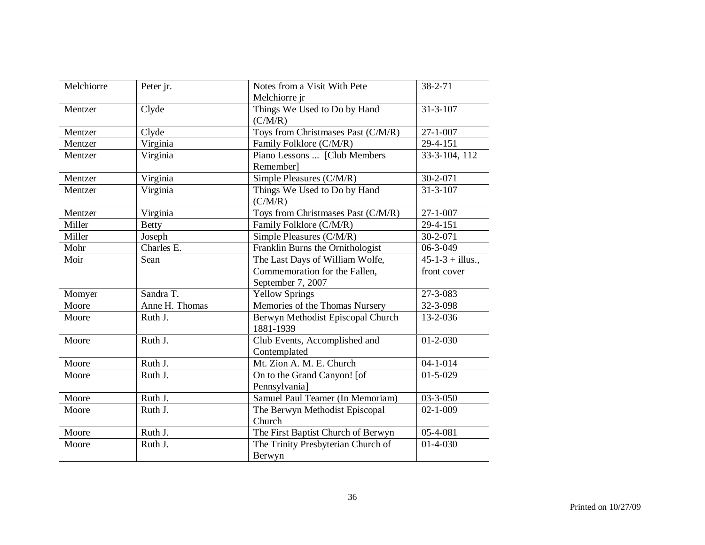| Melchiorre | Peter jr.      | Notes from a Visit With Pete       | 38-2-71             |
|------------|----------------|------------------------------------|---------------------|
|            |                | Melchiorre jr                      |                     |
| Mentzer    | Clyde          | Things We Used to Do by Hand       | $31 - 3 - 107$      |
|            |                | (C/M/R)                            |                     |
| Mentzer    | Clyde          | Toys from Christmases Past (C/M/R) | $27 - 1 - 007$      |
| Mentzer    | Virginia       | Family Folklore (C/M/R)            | 29-4-151            |
| Mentzer    | Virginia       | Piano Lessons  [Club Members       | 33-3-104, 112       |
|            |                | Remember]                          |                     |
| Mentzer    | Virginia       | Simple Pleasures (C/M/R)           | 30-2-071            |
| Mentzer    | Virginia       | Things We Used to Do by Hand       | $31 - 3 - 107$      |
|            |                | (C/M/R)                            |                     |
| Mentzer    | Virginia       | Toys from Christmases Past (C/M/R) | $27 - 1 - 007$      |
| Miller     | <b>Betty</b>   | Family Folklore (C/M/R)            | 29-4-151            |
| Miller     | Joseph         | Simple Pleasures (C/M/R)           | 30-2-071            |
| Mohr       | Charles E.     | Franklin Burns the Ornithologist   | 06-3-049            |
| Moir       | Sean           | The Last Days of William Wolfe,    | $45-1-3 + 11$ lus., |
|            |                | Commemoration for the Fallen,      | front cover         |
|            |                | September 7, 2007                  |                     |
| Momyer     | Sandra T.      | <b>Yellow Springs</b>              | 27-3-083            |
| Moore      | Anne H. Thomas | Memories of the Thomas Nursery     | 32-3-098            |
| Moore      | Ruth J.        | Berwyn Methodist Episcopal Church  | 13-2-036            |
|            |                | 1881-1939                          |                     |
| Moore      | Ruth J.        | Club Events, Accomplished and      | $01 - 2 - 030$      |
|            |                | Contemplated                       |                     |
| Moore      | Ruth J.        | Mt. Zion A. M. E. Church           | $04 - 1 - 014$      |
| Moore      | Ruth J.        | On to the Grand Canyon! [of        | $01 - 5 - 029$      |
|            |                | Pennsylvania]                      |                     |
| Moore      | Ruth J.        | Samuel Paul Teamer (In Memoriam)   | $03 - 3 - 050$      |
| Moore      | Ruth J.        | The Berwyn Methodist Episcopal     | $02 - 1 - 009$      |
|            |                | Church                             |                     |
| Moore      | Ruth J.        | The First Baptist Church of Berwyn | 05-4-081            |
| Moore      | Ruth J.        | The Trinity Presbyterian Church of | $01-4-030$          |
|            |                | Berwyn                             |                     |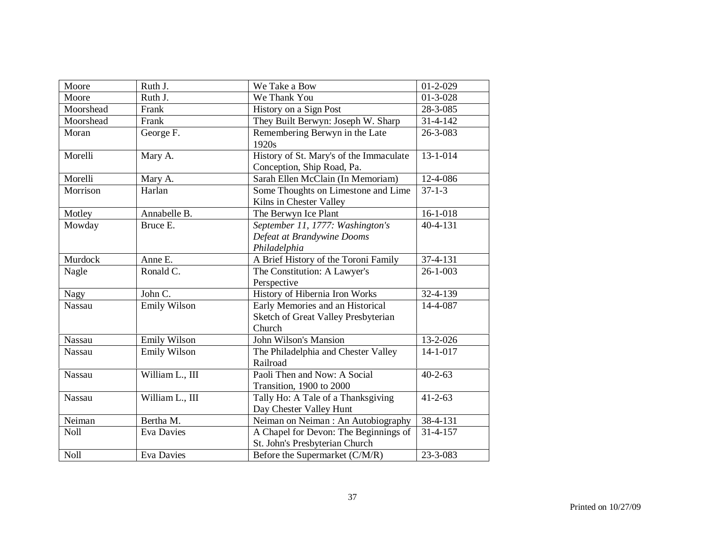| Moore       | Ruth J.           | We Take a Bow                           | $01 - 2 - 029$ |
|-------------|-------------------|-----------------------------------------|----------------|
| Moore       | Ruth J.           | We Thank You                            | $01 - 3 - 028$ |
| Moorshead   | Frank             | History on a Sign Post                  | 28-3-085       |
| Moorshead   | Frank             | They Built Berwyn: Joseph W. Sharp      | $31 - 4 - 142$ |
| Moran       | George F.         | Remembering Berwyn in the Late          | 26-3-083       |
|             |                   | 1920s                                   |                |
| Morelli     | Mary A.           | History of St. Mary's of the Immaculate | $13 - 1 - 014$ |
|             |                   | Conception, Ship Road, Pa.              |                |
| Morelli     | Mary A.           | Sarah Ellen McClain (In Memoriam)       | 12-4-086       |
| Morrison    | Harlan            | Some Thoughts on Limestone and Lime     | $37 - 1 - 3$   |
|             |                   | Kilns in Chester Valley                 |                |
| Motley      | Annabelle B.      | The Berwyn Ice Plant                    | $16-1-018$     |
| Mowday      | Bruce E.          | September 11, 1777: Washington's        | $40 - 4 - 131$ |
|             |                   | Defeat at Brandywine Dooms              |                |
|             |                   | Philadelphia                            |                |
| Murdock     | Anne E.           | A Brief History of the Toroni Family    | 37-4-131       |
| Nagle       | Ronald C.         | The Constitution: A Lawyer's            | $26 - 1 - 003$ |
|             |                   | Perspective                             |                |
| Nagy        | John C.           | History of Hibernia Iron Works          | 32-4-139       |
| Nassau      | Emily Wilson      | Early Memories and an Historical        | 14-4-087       |
|             |                   | Sketch of Great Valley Presbyterian     |                |
|             |                   | Church                                  |                |
| Nassau      | Emily Wilson      | <b>John Wilson's Mansion</b>            | $13 - 2 - 026$ |
| Nassau      | Emily Wilson      | The Philadelphia and Chester Valley     | $14 - 1 - 017$ |
|             |                   | Railroad                                |                |
| Nassau      | William L., III   | Paoli Then and Now: A Social            | $40 - 2 - 63$  |
|             |                   | Transition, 1900 to 2000                |                |
| Nassau      | William L., III   | Tally Ho: A Tale of a Thanksgiving      | $41 - 2 - 63$  |
|             |                   | Day Chester Valley Hunt                 |                |
| Neiman      | Bertha M.         | Neiman on Neiman: An Autobiography      | 38-4-131       |
| <b>Noll</b> | <b>Eva Davies</b> | A Chapel for Devon: The Beginnings of   | $31 - 4 - 157$ |
|             |                   | St. John's Presbyterian Church          |                |
| <b>Noll</b> | <b>Eva Davies</b> | Before the Supermarket (C/M/R)          | 23-3-083       |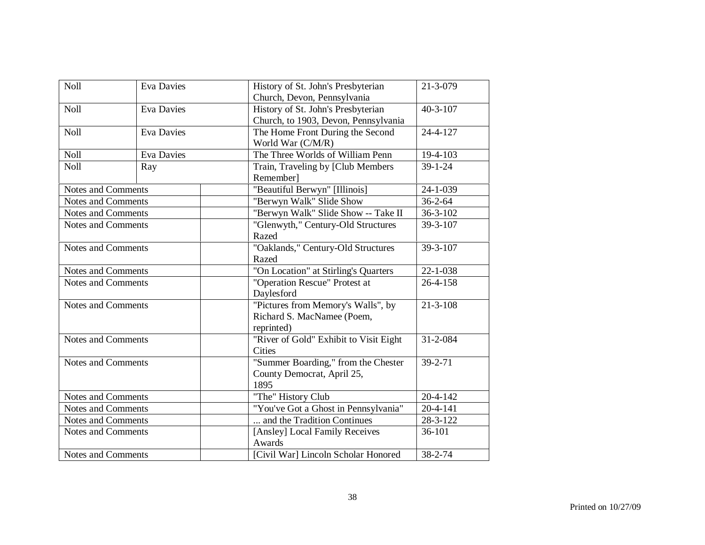| Noll                      | <b>Eva Davies</b> | History of St. John's Presbyterian     | 21-3-079       |
|---------------------------|-------------------|----------------------------------------|----------------|
|                           |                   | Church, Devon, Pennsylvania            |                |
| Noll                      | <b>Eva Davies</b> | History of St. John's Presbyterian     | $40 - 3 - 107$ |
|                           |                   | Church, to 1903, Devon, Pennsylvania   |                |
| <b>Noll</b>               | <b>Eva Davies</b> | The Home Front During the Second       | 24-4-127       |
|                           |                   | World War (C/M/R)                      |                |
| <b>Noll</b>               | Eva Davies        | The Three Worlds of William Penn       | 19-4-103       |
| <b>Noll</b>               | Ray               | Train, Traveling by [Club Members      | $39 - 1 - 24$  |
|                           |                   | Remember]                              |                |
| <b>Notes and Comments</b> |                   | "Beautiful Berwyn" [Illinois]          | 24-1-039       |
| <b>Notes and Comments</b> |                   | "Berwyn Walk" Slide Show               | $36 - 2 - 64$  |
| <b>Notes and Comments</b> |                   | "Berwyn Walk" Slide Show -- Take II    | $36 - 3 - 102$ |
| <b>Notes and Comments</b> |                   | "Glenwyth," Century-Old Structures     | 39-3-107       |
|                           |                   | Razed                                  |                |
| <b>Notes and Comments</b> |                   | "Oaklands," Century-Old Structures     | 39-3-107       |
|                           |                   | Razed                                  |                |
| Notes and Comments        |                   | "On Location" at Stirling's Quarters   | 22-1-038       |
| <b>Notes and Comments</b> |                   | "Operation Rescue" Protest at          | 26-4-158       |
|                           |                   | Daylesford                             |                |
| <b>Notes and Comments</b> |                   | "Pictures from Memory's Walls", by     | $21 - 3 - 108$ |
|                           |                   | Richard S. MacNamee (Poem,             |                |
|                           |                   | reprinted)                             |                |
| Notes and Comments        |                   | "River of Gold" Exhibit to Visit Eight | 31-2-084       |
|                           |                   | <b>Cities</b>                          |                |
| <b>Notes and Comments</b> |                   | "Summer Boarding," from the Chester    | 39-2-71        |
|                           |                   | County Democrat, April 25,             |                |
|                           |                   | 1895                                   |                |
| <b>Notes and Comments</b> |                   | "The" History Club                     | $20 - 4 - 142$ |
| <b>Notes and Comments</b> |                   | "You've Got a Ghost in Pennsylvania"   | 20-4-141       |
| Notes and Comments        |                   | and the Tradition Continues            | 28-3-122       |
| <b>Notes and Comments</b> |                   | [Ansley] Local Family Receives         | 36-101         |
|                           |                   | Awards                                 |                |
| Notes and Comments        |                   | [Civil War] Lincoln Scholar Honored    | 38-2-74        |
|                           |                   |                                        |                |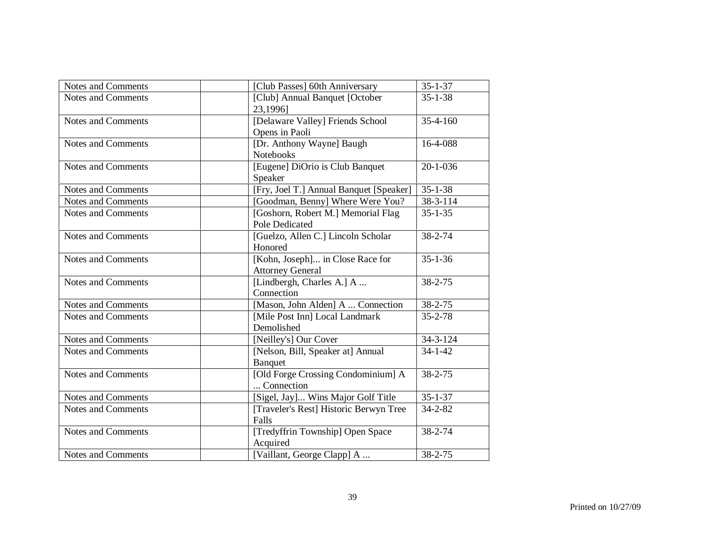| Notes and Comments<br><b>Notes and Comments</b> | [Club Passes] 60th Anniversary<br>[Club] Annual Banquet [October | $35 - 1 - 37$  |
|-------------------------------------------------|------------------------------------------------------------------|----------------|
|                                                 |                                                                  |                |
|                                                 | 23,1996]                                                         | $35 - 1 - 38$  |
| <b>Notes and Comments</b>                       | [Delaware Valley] Friends School<br>Opens in Paoli               | $35 - 4 - 160$ |
| <b>Notes and Comments</b>                       | [Dr. Anthony Wayne] Baugh<br>Notebooks                           | 16-4-088       |
| <b>Notes and Comments</b>                       | [Eugene] DiOrio is Club Banquet<br>Speaker                       | $20 - 1 - 036$ |
| <b>Notes and Comments</b>                       | [Fry, Joel T.] Annual Banquet [Speaker]                          | $35 - 1 - 38$  |
| <b>Notes and Comments</b>                       | [Goodman, Benny] Where Were You?                                 | 38-3-114       |
| Notes and Comments                              | [Goshorn, Robert M.] Memorial Flag<br><b>Pole Dedicated</b>      | $35 - 1 - 35$  |
| <b>Notes and Comments</b>                       | [Guelzo, Allen C.] Lincoln Scholar<br>Honored                    | 38-2-74        |
| <b>Notes and Comments</b>                       | [Kohn, Joseph] in Close Race for<br><b>Attorney General</b>      | $35 - 1 - 36$  |
| <b>Notes and Comments</b>                       | [Lindbergh, Charles A.] A<br>Connection                          | 38-2-75        |
| <b>Notes and Comments</b>                       | [Mason, John Alden] A  Connection                                | 38-2-75        |
| <b>Notes and Comments</b>                       | [Mile Post Inn] Local Landmark<br>Demolished                     | $35 - 2 - 78$  |
| <b>Notes and Comments</b>                       | [Neilley's] Our Cover                                            | $34 - 3 - 124$ |
| <b>Notes and Comments</b>                       | [Nelson, Bill, Speaker at] Annual<br>Banquet                     | $34 - 1 - 42$  |
| <b>Notes and Comments</b>                       | [Old Forge Crossing Condominium] A<br>Connection                 | $38 - 2 - 75$  |
| <b>Notes and Comments</b>                       | [Sigel, Jay] Wins Major Golf Title                               | $35 - 1 - 37$  |
| <b>Notes and Comments</b>                       | [Traveler's Rest] Historic Berwyn Tree<br>Falls                  | $34 - 2 - 82$  |
| <b>Notes and Comments</b>                       | [Tredyffrin Township] Open Space<br>Acquired                     | 38-2-74        |
| Notes and Comments                              | [Vaillant, George Clapp] A                                       | 38-2-75        |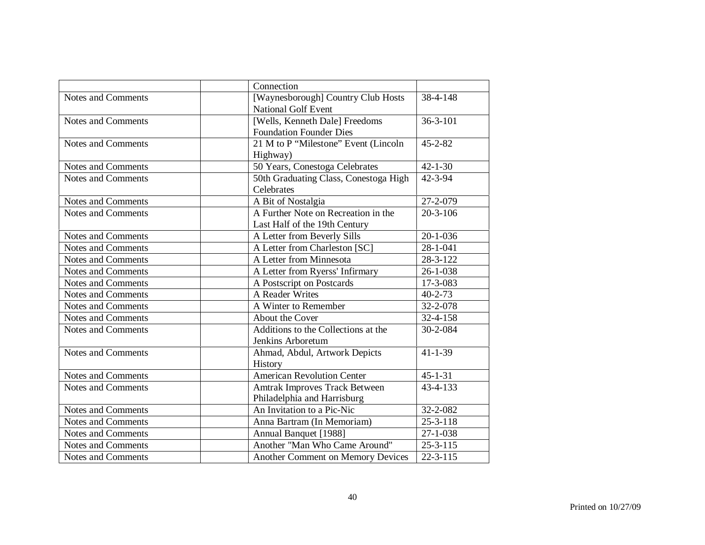|                           | Connection                                                           |                        |
|---------------------------|----------------------------------------------------------------------|------------------------|
| <b>Notes and Comments</b> | [Waynesborough] Country Club Hosts<br><b>National Golf Event</b>     | 38-4-148               |
| <b>Notes and Comments</b> | [Wells, Kenneth Dale] Freedoms<br><b>Foundation Founder Dies</b>     | $36 - 3 - 101$         |
| <b>Notes and Comments</b> | 21 M to P "Milestone" Event (Lincoln<br>Highway)                     | $45 - 2 - 82$          |
| <b>Notes and Comments</b> | 50 Years, Conestoga Celebrates                                       | $42 - 1 - 30$          |
| <b>Notes and Comments</b> | 50th Graduating Class, Conestoga High<br>Celebrates                  | 42-3-94                |
| <b>Notes and Comments</b> | A Bit of Nostalgia                                                   | 27-2-079               |
| <b>Notes and Comments</b> | A Further Note on Recreation in the<br>Last Half of the 19th Century | $20 - 3 - 106$         |
| Notes and Comments        | A Letter from Beverly Sills                                          | $20 - 1 - 036$         |
| <b>Notes and Comments</b> | A Letter from Charleston [SC]                                        | $28 - 1 - 041$         |
| <b>Notes and Comments</b> | A Letter from Minnesota                                              | 28-3-122               |
| <b>Notes and Comments</b> | A Letter from Ryerss' Infirmary                                      | $26 - 1 - 038$         |
| <b>Notes and Comments</b> | A Postscript on Postcards                                            | 17-3-083               |
| <b>Notes and Comments</b> | A Reader Writes                                                      | $40 - 2 - 73$          |
| <b>Notes and Comments</b> | A Winter to Remember                                                 | 32-2-078               |
| <b>Notes and Comments</b> | About the Cover                                                      | 32-4-158               |
| <b>Notes and Comments</b> | Additions to the Collections at the<br>Jenkins Arboretum             | 30-2-084               |
| <b>Notes and Comments</b> | Ahmad, Abdul, Artwork Depicts<br>History                             | $41 - 1 - 39$          |
| <b>Notes and Comments</b> | <b>American Revolution Center</b>                                    | $45 - 1 - 31$          |
| Notes and Comments        | Amtrak Improves Track Between<br>Philadelphia and Harrisburg         | 43-4-133               |
| Notes and Comments        | An Invitation to a Pic-Nic                                           | 32-2-082               |
| <b>Notes and Comments</b> | Anna Bartram (In Memoriam)                                           | $25 - 3 - 118$         |
| <b>Notes and Comments</b> | Annual Banquet [1988]                                                | $27 - 1 - 038$         |
| <b>Notes and Comments</b> | Another "Man Who Came Around"                                        | $25 - 3 - 115$         |
| <b>Notes and Comments</b> | Another Comment on Memory Devices                                    | $\overline{2}$ 2-3-115 |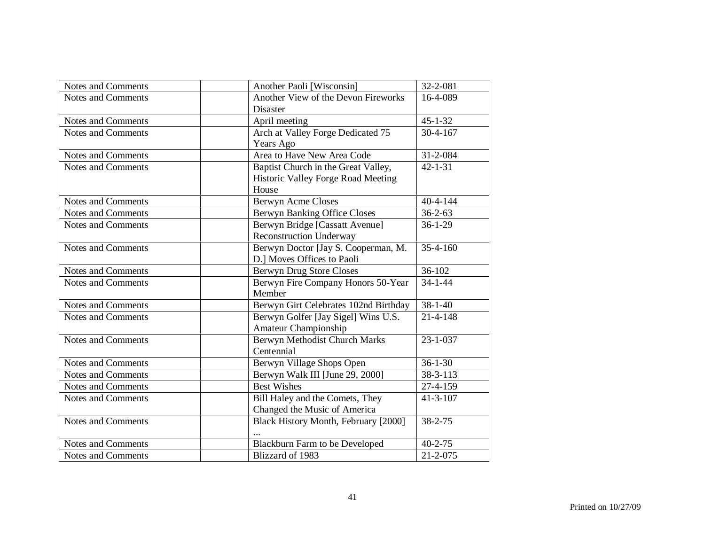| <b>Notes and Comments</b> | Another Paoli [Wisconsin]             | 32-2-081       |
|---------------------------|---------------------------------------|----------------|
| Notes and Comments        | Another View of the Devon Fireworks   | 16-4-089       |
|                           | <b>Disaster</b>                       |                |
| <b>Notes and Comments</b> | April meeting                         | $45 - 1 - 32$  |
| <b>Notes and Comments</b> | Arch at Valley Forge Dedicated 75     | $30 - 4 - 167$ |
|                           | Years Ago                             |                |
| Notes and Comments        | Area to Have New Area Code            | 31-2-084       |
| Notes and Comments        | Baptist Church in the Great Valley,   | $42 - 1 - 31$  |
|                           | Historic Valley Forge Road Meeting    |                |
|                           | House                                 |                |
| <b>Notes and Comments</b> | <b>Berwyn Acme Closes</b>             | $40 - 4 - 144$ |
| <b>Notes and Comments</b> | <b>Berwyn Banking Office Closes</b>   | $36 - 2 - 63$  |
| Notes and Comments        | Berwyn Bridge [Cassatt Avenue]        | $36 - 1 - 29$  |
|                           | <b>Reconstruction Underway</b>        |                |
| <b>Notes and Comments</b> | Berwyn Doctor [Jay S. Cooperman, M.   | $35 - 4 - 160$ |
|                           | D.] Moves Offices to Paoli            |                |
| Notes and Comments        | <b>Berwyn Drug Store Closes</b>       | 36-102         |
| <b>Notes and Comments</b> | Berwyn Fire Company Honors 50-Year    | $34 - 1 - 44$  |
|                           | Member                                |                |
| <b>Notes and Comments</b> | Berwyn Girt Celebrates 102nd Birthday | $38 - 1 - 40$  |
| <b>Notes and Comments</b> | Berwyn Golfer [Jay Sigel] Wins U.S.   | $21 - 4 - 148$ |
|                           | Amateur Championship                  |                |
| <b>Notes and Comments</b> | Berwyn Methodist Church Marks         | $23 - 1 - 037$ |
|                           | Centennial                            |                |
| Notes and Comments        | Berwyn Village Shops Open             | $36 - 1 - 30$  |
| Notes and Comments        | Berwyn Walk III [June 29, 2000]       | 38-3-113       |
| Notes and Comments        | <b>Best Wishes</b>                    | 27-4-159       |
| Notes and Comments        | Bill Haley and the Comets, They       | $41 - 3 - 107$ |
|                           | Changed the Music of America          |                |
| <b>Notes and Comments</b> | Black History Month, February [2000]  | 38-2-75        |
|                           |                                       |                |
| Notes and Comments        | Blackburn Farm to be Developed        | $40 - 2 - 75$  |
| Notes and Comments        | Blizzard of 1983                      | $21 - 2 - 075$ |
|                           |                                       |                |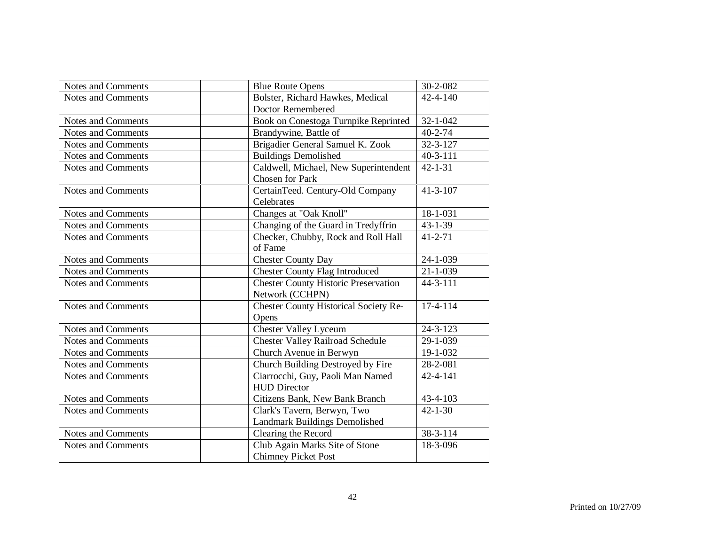| Notes and Comments        | <b>Blue Route Opens</b>                      | 30-2-082       |
|---------------------------|----------------------------------------------|----------------|
| <b>Notes and Comments</b> | Bolster, Richard Hawkes, Medical             | $42 - 4 - 140$ |
|                           | Doctor Remembered                            |                |
| <b>Notes and Comments</b> | Book on Conestoga Turnpike Reprinted         | $32 - 1 - 042$ |
| <b>Notes and Comments</b> | Brandywine, Battle of                        | $40 - 2 - 74$  |
| <b>Notes and Comments</b> | Brigadier General Samuel K. Zook             | $32 - 3 - 127$ |
| <b>Notes and Comments</b> | <b>Buildings Demolished</b>                  | $40 - 3 - 111$ |
| <b>Notes and Comments</b> | Caldwell, Michael, New Superintendent        | $42 - 1 - 31$  |
|                           | <b>Chosen for Park</b>                       |                |
| <b>Notes and Comments</b> | CertainTeed. Century-Old Company             | $41 - 3 - 107$ |
|                           | Celebrates                                   |                |
| <b>Notes and Comments</b> | Changes at "Oak Knoll"                       | 18-1-031       |
| Notes and Comments        | Changing of the Guard in Tredyffrin          | $43 - 1 - 39$  |
| <b>Notes and Comments</b> | Checker, Chubby, Rock and Roll Hall          | $41 - 2 - 71$  |
|                           | of Fame                                      |                |
| <b>Notes and Comments</b> | <b>Chester County Day</b>                    | $24 - 1 - 039$ |
| <b>Notes and Comments</b> | <b>Chester County Flag Introduced</b>        | $21 - 1 - 039$ |
| <b>Notes and Comments</b> | <b>Chester County Historic Preservation</b>  | 44-3-111       |
|                           | Network (CCHPN)                              |                |
| <b>Notes and Comments</b> | <b>Chester County Historical Society Re-</b> | 17-4-114       |
|                           | Opens                                        |                |
| Notes and Comments        | <b>Chester Valley Lyceum</b>                 | $24 - 3 - 123$ |
| <b>Notes and Comments</b> | <b>Chester Valley Railroad Schedule</b>      | 29-1-039       |
| <b>Notes and Comments</b> | Church Avenue in Berwyn                      | 19-1-032       |
| <b>Notes and Comments</b> | Church Building Destroyed by Fire            | 28-2-081       |
| <b>Notes and Comments</b> | Ciarrocchi, Guy, Paoli Man Named             | 42-4-141       |
|                           | <b>HUD Director</b>                          |                |
| <b>Notes and Comments</b> | Citizens Bank, New Bank Branch               | 43-4-103       |
| Notes and Comments        | Clark's Tavern, Berwyn, Two                  | $42 - 1 - 30$  |
|                           | Landmark Buildings Demolished                |                |
| <b>Notes and Comments</b> | Clearing the Record                          | 38-3-114       |
| <b>Notes and Comments</b> | Club Again Marks Site of Stone               | 18-3-096       |
|                           | <b>Chimney Picket Post</b>                   |                |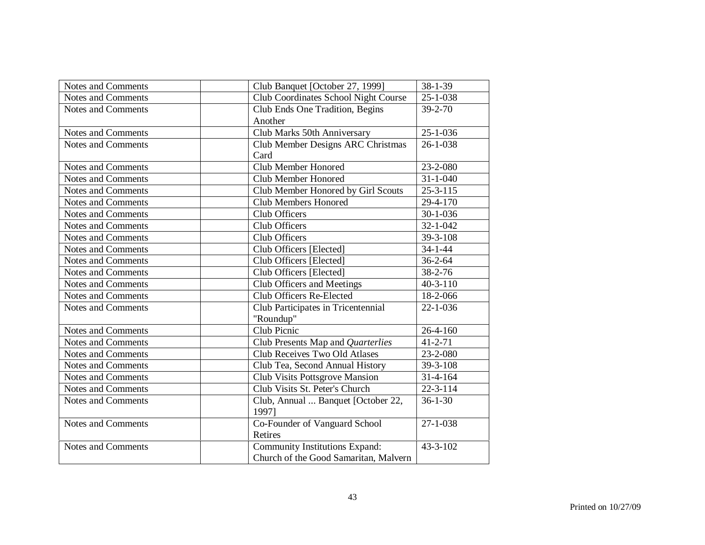| Notes and Comments        | Club Banquet [October 27, 1999]       | 38-1-39        |
|---------------------------|---------------------------------------|----------------|
| Notes and Comments        | Club Coordinates School Night Course  | $25 - 1 - 038$ |
| <b>Notes and Comments</b> | Club Ends One Tradition, Begins       | $39 - 2 - 70$  |
|                           | Another                               |                |
| Notes and Comments        | Club Marks 50th Anniversary           | $25 - 1 - 036$ |
| <b>Notes and Comments</b> | Club Member Designs ARC Christmas     | $26 - 1 - 038$ |
|                           | Card                                  |                |
| Notes and Comments        | Club Member Honored                   | 23-2-080       |
| <b>Notes and Comments</b> | <b>Club Member Honored</b>            | $31 - 1 - 040$ |
| Notes and Comments        | Club Member Honored by Girl Scouts    | $25 - 3 - 115$ |
| <b>Notes and Comments</b> | <b>Club Members Honored</b>           | 29-4-170       |
| <b>Notes and Comments</b> | Club Officers                         | $30 - 1 - 036$ |
| Notes and Comments        | Club Officers                         | $32 - 1 - 042$ |
| <b>Notes and Comments</b> | Club Officers                         | 39-3-108       |
| <b>Notes and Comments</b> | Club Officers [Elected]               | $34 - 1 - 44$  |
| <b>Notes and Comments</b> | Club Officers [Elected]               | $36 - 2 - 64$  |
| Notes and Comments        | Club Officers [Elected]               | $38 - 2 - 76$  |
| Notes and Comments        | Club Officers and Meetings            | $40 - 3 - 110$ |
| <b>Notes and Comments</b> | Club Officers Re-Elected              | 18-2-066       |
| <b>Notes and Comments</b> | Club Participates in Tricentennial    | $22 - 1 - 036$ |
|                           | "Roundup"                             |                |
| Notes and Comments        | Club Picnic                           | $26 - 4 - 160$ |
| <b>Notes and Comments</b> | Club Presents Map and Quarterlies     | $41 - 2 - 71$  |
| Notes and Comments        | Club Receives Two Old Atlases         | 23-2-080       |
| Notes and Comments        | Club Tea, Second Annual History       | 39-3-108       |
| <b>Notes and Comments</b> | Club Visits Pottsgrove Mansion        | $31 - 4 - 164$ |
| <b>Notes and Comments</b> | Club Visits St. Peter's Church        | $22 - 3 - 114$ |
| Notes and Comments        | Club, Annual  Banquet [October 22,    | $36 - 1 - 30$  |
|                           | 19971                                 |                |
| Notes and Comments        | Co-Founder of Vanguard School         | $27 - 1 - 038$ |
|                           | Retires                               |                |
| <b>Notes and Comments</b> | Community Institutions Expand:        | 43-3-102       |
|                           | Church of the Good Samaritan, Malvern |                |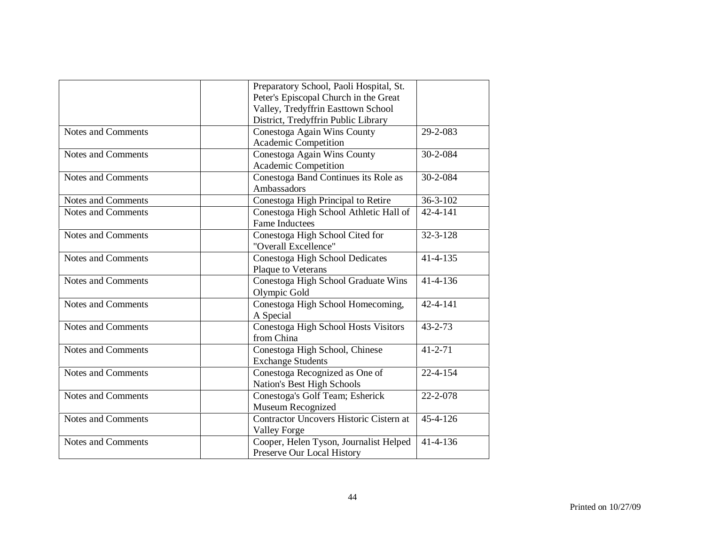|                           | Preparatory School, Paoli Hospital, St. |                |
|---------------------------|-----------------------------------------|----------------|
|                           | Peter's Episcopal Church in the Great   |                |
|                           | Valley, Tredyffrin Easttown School      |                |
|                           | District, Tredyffrin Public Library     |                |
| <b>Notes and Comments</b> | Conestoga Again Wins County             | 29-2-083       |
|                           | Academic Competition                    |                |
| <b>Notes and Comments</b> | Conestoga Again Wins County             | 30-2-084       |
|                           | Academic Competition                    |                |
| <b>Notes and Comments</b> | Conestoga Band Continues its Role as    | 30-2-084       |
|                           | Ambassadors                             |                |
| <b>Notes and Comments</b> | Conestoga High Principal to Retire      | $36 - 3 - 102$ |
| <b>Notes and Comments</b> | Conestoga High School Athletic Hall of  | $42 - 4 - 141$ |
|                           | <b>Fame Inductees</b>                   |                |
| <b>Notes and Comments</b> | Conestoga High School Cited for         | 32-3-128       |
|                           | "Overall Excellence"                    |                |
| <b>Notes and Comments</b> | Conestoga High School Dedicates         | $41 - 4 - 135$ |
|                           | Plaque to Veterans                      |                |
| <b>Notes and Comments</b> | Conestoga High School Graduate Wins     | $41 - 4 - 136$ |
|                           | Olympic Gold                            |                |
| <b>Notes and Comments</b> | Conestoga High School Homecoming,       | $42 - 4 - 141$ |
|                           | A Special                               |                |
| <b>Notes and Comments</b> | Conestoga High School Hosts Visitors    | $43 - 2 - 73$  |
|                           | from China                              |                |
| <b>Notes and Comments</b> | Conestoga High School, Chinese          | $41 - 2 - 71$  |
|                           | <b>Exchange Students</b>                |                |
| <b>Notes and Comments</b> | Conestoga Recognized as One of          | $22 - 4 - 154$ |
|                           | Nation's Best High Schools              |                |
| <b>Notes and Comments</b> | Conestoga's Golf Team; Esherick         | 22-2-078       |
|                           | Museum Recognized                       |                |
| <b>Notes and Comments</b> | Contractor Uncovers Historic Cistern at | $45 - 4 - 126$ |
|                           | <b>Valley Forge</b>                     |                |
| <b>Notes and Comments</b> | Cooper, Helen Tyson, Journalist Helped  | $41 - 4 - 136$ |
|                           | Preserve Our Local History              |                |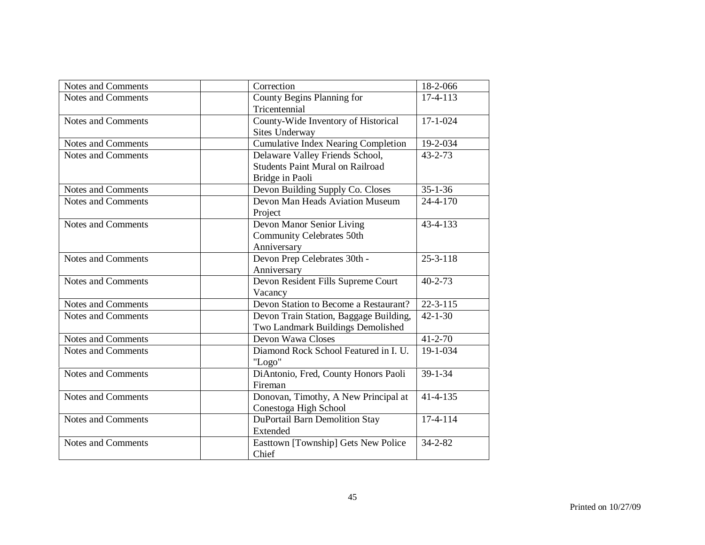| Notes and Comments        | Correction                                                                                    | 18-2-066       |
|---------------------------|-----------------------------------------------------------------------------------------------|----------------|
| <b>Notes and Comments</b> | County Begins Planning for<br>Tricentennial                                                   | $17-4-113$     |
| <b>Notes and Comments</b> | County-Wide Inventory of Historical<br>Sites Underway                                         | $17 - 1 - 024$ |
| Notes and Comments        | <b>Cumulative Index Nearing Completion</b>                                                    | 19-2-034       |
| <b>Notes and Comments</b> | Delaware Valley Friends School,<br><b>Students Paint Mural on Railroad</b><br>Bridge in Paoli | $43 - 2 - 73$  |
| <b>Notes and Comments</b> | Devon Building Supply Co. Closes                                                              | $35 - 1 - 36$  |
| <b>Notes and Comments</b> | Devon Man Heads Aviation Museum<br>Project                                                    | $24 - 4 - 170$ |
| Notes and Comments        | Devon Manor Senior Living<br><b>Community Celebrates 50th</b><br>Anniversary                  | 43-4-133       |
| <b>Notes and Comments</b> | Devon Prep Celebrates 30th -<br>Anniversary                                                   | $25 - 3 - 118$ |
| <b>Notes and Comments</b> | Devon Resident Fills Supreme Court<br>Vacancy                                                 | $40 - 2 - 73$  |
| <b>Notes and Comments</b> | Devon Station to Become a Restaurant?                                                         | $22 - 3 - 115$ |
| <b>Notes and Comments</b> | Devon Train Station, Baggage Building,<br>Two Landmark Buildings Demolished                   | $42 - 1 - 30$  |
| Notes and Comments        | Devon Wawa Closes                                                                             | $41 - 2 - 70$  |
| Notes and Comments        | Diamond Rock School Featured in I. U.<br>"Logo"                                               | 19-1-034       |
| <b>Notes and Comments</b> | DiAntonio, Fred, County Honors Paoli<br>Fireman                                               | $39 - 1 - 34$  |
| <b>Notes and Comments</b> | Donovan, Timothy, A New Principal at<br>Conestoga High School                                 | $41 - 4 - 135$ |
| <b>Notes and Comments</b> | <b>DuPortail Barn Demolition Stay</b><br>Extended                                             | $17-4-114$     |
| <b>Notes and Comments</b> | Easttown [Township] Gets New Police<br>Chief                                                  | $34 - 2 - 82$  |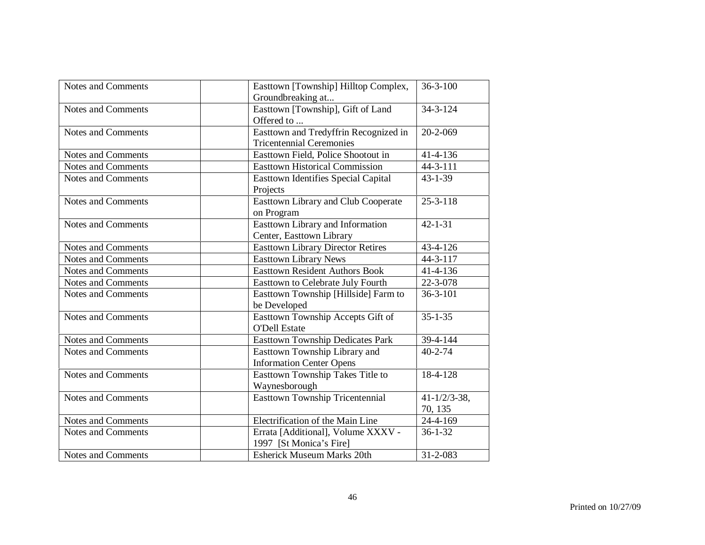| <b>Notes and Comments</b> | Easttown [Township] Hilltop Complex,       | $36 - 3 - 100$           |
|---------------------------|--------------------------------------------|--------------------------|
|                           | Groundbreaking at                          |                          |
| <b>Notes and Comments</b> | Easttown [Township], Gift of Land          | $34 - 3 - 124$           |
|                           | Offered to                                 |                          |
| <b>Notes and Comments</b> | Easttown and Tredyffrin Recognized in      | $20 - 2 - 069$           |
|                           | <b>Tricentennial Ceremonies</b>            |                          |
| <b>Notes and Comments</b> | Easttown Field, Police Shootout in         | $41 - 4 - 136$           |
| <b>Notes and Comments</b> | <b>Easttown Historical Commission</b>      | 44-3-111                 |
| <b>Notes and Comments</b> | <b>Easttown Identifies Special Capital</b> | $43 - 1 - 39$            |
|                           | Projects                                   |                          |
| <b>Notes and Comments</b> | <b>Easttown Library and Club Cooperate</b> | $25 - 3 - 118$           |
|                           | on Program                                 |                          |
| <b>Notes and Comments</b> | Easttown Library and Information           | $42 - 1 - 31$            |
|                           | Center, Easttown Library                   |                          |
| <b>Notes and Comments</b> | <b>Easttown Library Director Retires</b>   | 43-4-126                 |
| <b>Notes and Comments</b> | <b>Easttown Library News</b>               | $44 - 3 - 117$           |
| <b>Notes and Comments</b> | <b>Easttown Resident Authors Book</b>      | 41-4-136                 |
| <b>Notes and Comments</b> | Easttown to Celebrate July Fourth          | 22-3-078                 |
| <b>Notes and Comments</b> | Easttown Township [Hillside] Farm to       | $36 - 3 - 101$           |
|                           | be Developed                               |                          |
| <b>Notes and Comments</b> | Easttown Township Accepts Gift of          | $35 - 1 - 35$            |
|                           | <b>O'Dell Estate</b>                       |                          |
| Notes and Comments        | <b>Easttown Township Dedicates Park</b>    | 39-4-144                 |
| <b>Notes and Comments</b> | Easttown Township Library and              | $40 - 2 - 74$            |
|                           | <b>Information Center Opens</b>            |                          |
| <b>Notes and Comments</b> | Easttown Township Takes Title to           | 18-4-128                 |
|                           | Waynesborough                              |                          |
| <b>Notes and Comments</b> | Easttown Township Tricentennial            | $41 - \frac{1}{2}$ 3-38, |
|                           |                                            | 70, 135                  |
| Notes and Comments        | Electrification of the Main Line           | $\overline{2}$ 4-4-169   |
| <b>Notes and Comments</b> | Errata [Additional], Volume XXXV -         | $36 - 1 - 32$            |
|                           | 1997 [St Monica's Fire]                    |                          |
| <b>Notes and Comments</b> | <b>Esherick Museum Marks 20th</b>          | 31-2-083                 |
|                           |                                            |                          |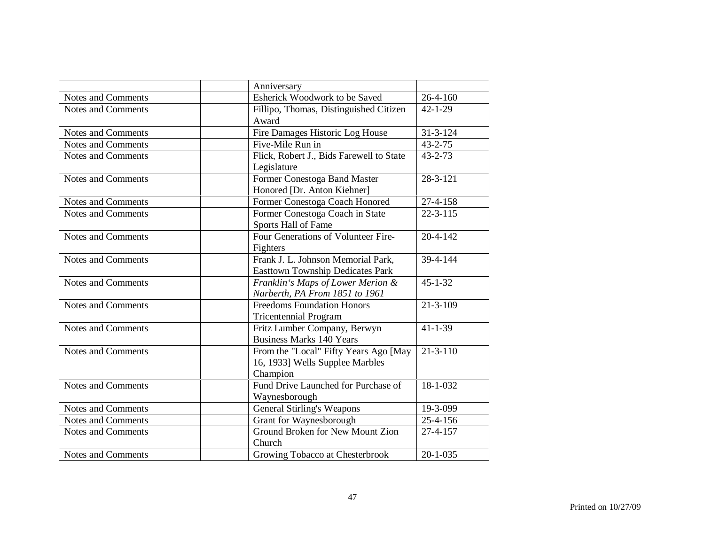|                           | Anniversary                              |                        |
|---------------------------|------------------------------------------|------------------------|
| Notes and Comments        | Esherick Woodwork to be Saved            | 26-4-160               |
| <b>Notes and Comments</b> | Fillipo, Thomas, Distinguished Citizen   | $42 - 1 - 29$          |
|                           | Award                                    |                        |
| <b>Notes and Comments</b> | Fire Damages Historic Log House          | $31 - 3 - 124$         |
| <b>Notes and Comments</b> | Five-Mile Run in                         | $43 - 2 - 75$          |
| <b>Notes and Comments</b> | Flick, Robert J., Bids Farewell to State | $43 - 2 - 73$          |
|                           | Legislature                              |                        |
| <b>Notes and Comments</b> | Former Conestoga Band Master             | $28 - 3 - 121$         |
|                           | Honored [Dr. Anton Kiehner]              |                        |
| <b>Notes and Comments</b> | Former Conestoga Coach Honored           | $27 - 4 - 158$         |
| <b>Notes and Comments</b> | Former Conestoga Coach in State          | $\overline{22}$ -3-115 |
|                           | Sports Hall of Fame                      |                        |
| <b>Notes and Comments</b> | Four Generations of Volunteer Fire-      | $20 - 4 - 142$         |
|                           | Fighters                                 |                        |
| <b>Notes and Comments</b> | Frank J. L. Johnson Memorial Park,       | 39-4-144               |
|                           | <b>Easttown Township Dedicates Park</b>  |                        |
| <b>Notes and Comments</b> | Franklin's Maps of Lower Merion &        | $45 - 1 - 32$          |
|                           | Narberth, PA From 1851 to 1961           |                        |
| <b>Notes and Comments</b> | <b>Freedoms Foundation Honors</b>        | $21 - 3 - 109$         |
|                           | <b>Tricentennial Program</b>             |                        |
| Notes and Comments        | Fritz Lumber Company, Berwyn             | $41 - 1 - 39$          |
|                           | <b>Business Marks 140 Years</b>          |                        |
| Notes and Comments        | From the "Local" Fifty Years Ago [May    | $21 - 3 - 110$         |
|                           | 16, 1933] Wells Supplee Marbles          |                        |
|                           | Champion                                 |                        |
| <b>Notes and Comments</b> | Fund Drive Launched for Purchase of      | 18-1-032               |
|                           | Waynesborough                            |                        |
| <b>Notes and Comments</b> | General Stirling's Weapons               | 19-3-099               |
| Notes and Comments        | Grant for Waynesborough                  | 25-4-156               |
| <b>Notes and Comments</b> | Ground Broken for New Mount Zion         | $27 - 4 - 157$         |
|                           | Church                                   |                        |
| Notes and Comments        | Growing Tobacco at Chesterbrook          | $20 - 1 - 035$         |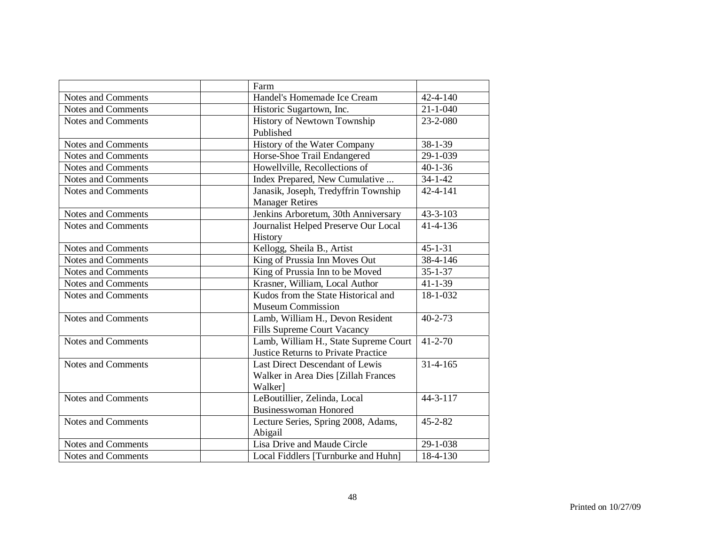|                           | Farm                                       |                |
|---------------------------|--------------------------------------------|----------------|
| Notes and Comments        | Handel's Homemade Ice Cream                | $42 - 4 - 140$ |
| <b>Notes and Comments</b> | Historic Sugartown, Inc.                   | $21 - 1 - 040$ |
| <b>Notes and Comments</b> | History of Newtown Township                | 23-2-080       |
|                           | Published                                  |                |
| Notes and Comments        | History of the Water Company               | 38-1-39        |
| <b>Notes and Comments</b> | Horse-Shoe Trail Endangered                | 29-1-039       |
| Notes and Comments        | Howellville, Recollections of              | $40 - 1 - 36$  |
| Notes and Comments        | Index Prepared, New Cumulative             | $34 - 1 - 42$  |
| Notes and Comments        | Janasik, Joseph, Tredyffrin Township       | 42-4-141       |
|                           | <b>Manager Retires</b>                     |                |
| <b>Notes and Comments</b> | Jenkins Arboretum, 30th Anniversary        | $43 - 3 - 103$ |
| Notes and Comments        | Journalist Helped Preserve Our Local       | 41-4-136       |
|                           | History                                    |                |
| Notes and Comments        | Kellogg, Sheila B., Artist                 | $45 - 1 - 31$  |
| <b>Notes and Comments</b> | King of Prussia Inn Moves Out              | 38-4-146       |
| Notes and Comments        | King of Prussia Inn to be Moved            | $35 - 1 - 37$  |
| <b>Notes and Comments</b> | Krasner, William, Local Author             | $41 - 1 - 39$  |
| <b>Notes and Comments</b> | Kudos from the State Historical and        | 18-1-032       |
|                           | <b>Museum Commission</b>                   |                |
| <b>Notes and Comments</b> | Lamb, William H., Devon Resident           | $40 - 2 - 73$  |
|                           | Fills Supreme Court Vacancy                |                |
| <b>Notes and Comments</b> | Lamb, William H., State Supreme Court      | $41 - 2 - 70$  |
|                           | <b>Justice Returns to Private Practice</b> |                |
| <b>Notes and Comments</b> | Last Direct Descendant of Lewis            | $31 - 4 - 165$ |
|                           | Walker in Area Dies [Zillah Frances        |                |
|                           | Walker]                                    |                |
| <b>Notes and Comments</b> | LeBoutillier, Zelinda, Local               | $44 - 3 - 117$ |
|                           | Businesswoman Honored                      |                |
| <b>Notes and Comments</b> | Lecture Series, Spring 2008, Adams,        | $45 - 2 - 82$  |
|                           | Abigail                                    |                |
| <b>Notes and Comments</b> | Lisa Drive and Maude Circle                | 29-1-038       |
| Notes and Comments        | Local Fiddlers [Turnburke and Huhn]        | 18-4-130       |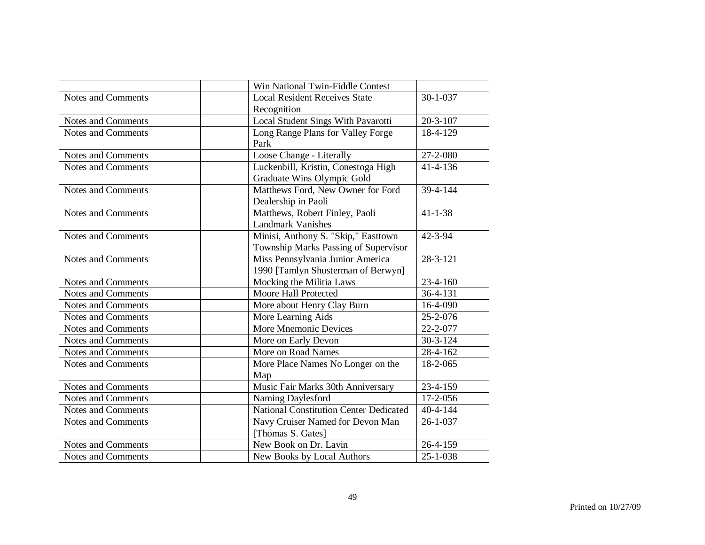|                           | Win National Twin-Fiddle Contest       |                |
|---------------------------|----------------------------------------|----------------|
| <b>Notes and Comments</b> | <b>Local Resident Receives State</b>   | $30 - 1 - 037$ |
|                           | Recognition                            |                |
| <b>Notes and Comments</b> | Local Student Sings With Pavarotti     | $20 - 3 - 107$ |
| <b>Notes and Comments</b> | Long Range Plans for Valley Forge      | 18-4-129       |
|                           | Park                                   |                |
| <b>Notes and Comments</b> | Loose Change - Literally               | 27-2-080       |
| <b>Notes and Comments</b> | Luckenbill, Kristin, Conestoga High    | 41-4-136       |
|                           | Graduate Wins Olympic Gold             |                |
| <b>Notes and Comments</b> | Matthews Ford, New Owner for Ford      | 39-4-144       |
|                           | Dealership in Paoli                    |                |
| <b>Notes and Comments</b> | Matthews, Robert Finley, Paoli         | $41 - 1 - 38$  |
|                           | <b>Landmark Vanishes</b>               |                |
| <b>Notes and Comments</b> | Minisi, Anthony S. "Skip," Easttown    | $42 - 3 - 94$  |
|                           | Township Marks Passing of Supervisor   |                |
| <b>Notes and Comments</b> | Miss Pennsylvania Junior America       | $28 - 3 - 121$ |
|                           | 1990 [Tamlyn Shusterman of Berwyn]     |                |
| <b>Notes and Comments</b> | Mocking the Militia Laws               | $23-4-160$     |
| <b>Notes and Comments</b> | Moore Hall Protected                   | 36-4-131       |
| <b>Notes and Comments</b> | More about Henry Clay Burn             | 16-4-090       |
| <b>Notes and Comments</b> | More Learning Aids                     | 25-2-076       |
| <b>Notes and Comments</b> | More Mnemonic Devices                  | 22-2-077       |
| <b>Notes and Comments</b> | More on Early Devon                    | $30 - 3 - 124$ |
| <b>Notes and Comments</b> | More on Road Names                     | 28-4-162       |
| <b>Notes and Comments</b> | More Place Names No Longer on the      | 18-2-065       |
|                           | Map                                    |                |
| <b>Notes and Comments</b> | Music Fair Marks 30th Anniversary      | 23-4-159       |
| <b>Notes and Comments</b> | Naming Daylesford                      | 17-2-056       |
| <b>Notes and Comments</b> | National Constitution Center Dedicated | $40 - 4 - 144$ |
| <b>Notes and Comments</b> | Navy Cruiser Named for Devon Man       | $26 - 1 - 037$ |
|                           | [Thomas S. Gates]                      |                |
| <b>Notes and Comments</b> | New Book on Dr. Lavin                  | 26-4-159       |
| Notes and Comments        | New Books by Local Authors             | 25-1-038       |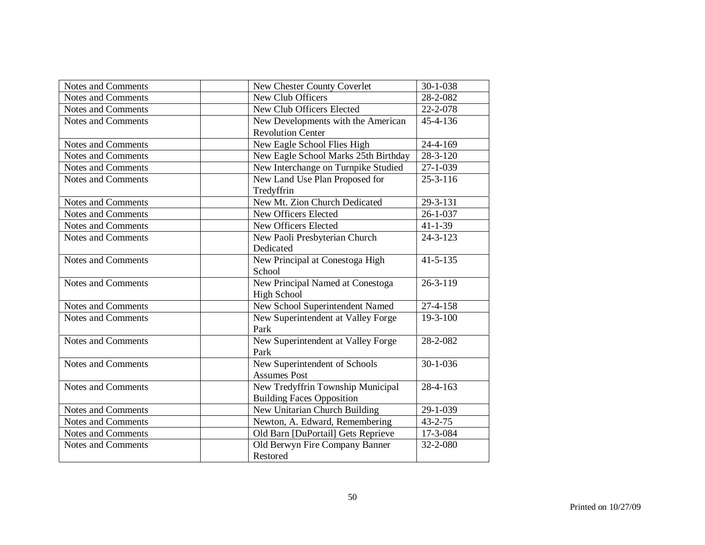| <b>Notes and Comments</b> | <b>New Chester County Coverlet</b>   | $30 - 1 - 038$ |
|---------------------------|--------------------------------------|----------------|
| <b>Notes and Comments</b> | New Club Officers                    | 28-2-082       |
| <b>Notes and Comments</b> | New Club Officers Elected            | 22-2-078       |
| <b>Notes and Comments</b> | New Developments with the American   | 45-4-136       |
|                           | <b>Revolution Center</b>             |                |
| Notes and Comments        | New Eagle School Flies High          | 24-4-169       |
| <b>Notes and Comments</b> | New Eagle School Marks 25th Birthday | $28 - 3 - 120$ |
| <b>Notes and Comments</b> | New Interchange on Turnpike Studied  | $27 - 1 - 039$ |
| <b>Notes and Comments</b> | New Land Use Plan Proposed for       | $25 - 3 - 116$ |
|                           | Tredyffrin                           |                |
| <b>Notes and Comments</b> | New Mt. Zion Church Dedicated        | 29-3-131       |
| <b>Notes and Comments</b> | New Officers Elected                 | $26 - 1 - 037$ |
| Notes and Comments        | New Officers Elected                 | $41 - 1 - 39$  |
| <b>Notes and Comments</b> | New Paoli Presbyterian Church        | $24 - 3 - 123$ |
|                           | Dedicated                            |                |
| <b>Notes and Comments</b> | New Principal at Conestoga High      | $41 - 5 - 135$ |
|                           | School                               |                |
| <b>Notes and Comments</b> | New Principal Named at Conestoga     | $26 - 3 - 119$ |
|                           | <b>High School</b>                   |                |
| <b>Notes and Comments</b> | New School Superintendent Named      | 27-4-158       |
| <b>Notes and Comments</b> | New Superintendent at Valley Forge   | $19 - 3 - 100$ |
|                           | Park                                 |                |
| <b>Notes and Comments</b> | New Superintendent at Valley Forge   | 28-2-082       |
|                           | Park                                 |                |
| <b>Notes and Comments</b> | New Superintendent of Schools        | $30 - 1 - 036$ |
|                           | <b>Assumes Post</b>                  |                |
| <b>Notes and Comments</b> | New Tredyffrin Township Municipal    | 28-4-163       |
|                           | <b>Building Faces Opposition</b>     |                |
| Notes and Comments        | New Unitarian Church Building        | 29-1-039       |
| <b>Notes and Comments</b> | Newton, A. Edward, Remembering       | $43 - 2 - 75$  |
| Notes and Comments        | Old Barn [DuPortail] Gets Reprieve   | 17-3-084       |
| <b>Notes and Comments</b> | Old Berwyn Fire Company Banner       | 32-2-080       |
|                           | Restored                             |                |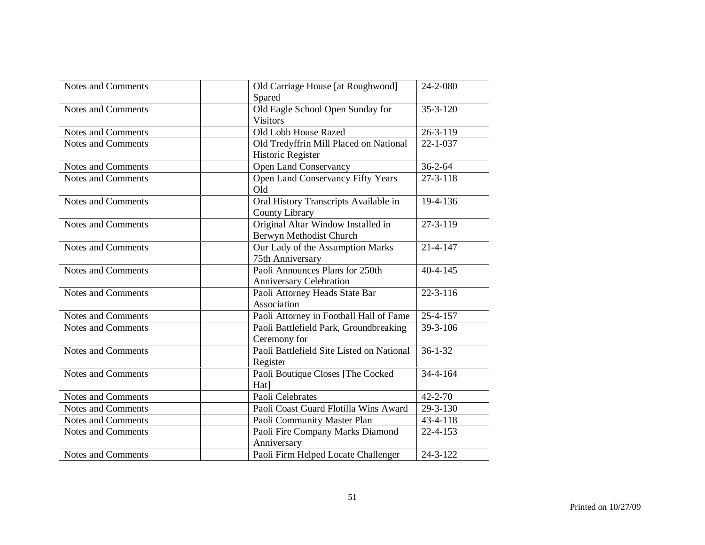| Notes and Comments        | Old Carriage House [at Roughwood]<br>Spared                   | 24-2-080       |
|---------------------------|---------------------------------------------------------------|----------------|
| <b>Notes and Comments</b> | Old Eagle School Open Sunday for<br><b>Visitors</b>           | $35 - 3 - 120$ |
| <b>Notes and Comments</b> | Old Lobb House Razed                                          | $26 - 3 - 119$ |
| <b>Notes and Comments</b> | Old Tredyffrin Mill Placed on National<br>Historic Register   | $22 - 1 - 037$ |
| Notes and Comments        | <b>Open Land Conservancy</b>                                  | $36 - 2 - 64$  |
| Notes and Comments        | Open Land Conservancy Fifty Years<br>Old                      | $27 - 3 - 118$ |
| Notes and Comments        | Oral History Transcripts Available in<br>County Library       | 19-4-136       |
| <b>Notes and Comments</b> | Original Altar Window Installed in<br>Berwyn Methodist Church | 27-3-119       |
| Notes and Comments        | Our Lady of the Assumption Marks<br>75th Anniversary          | $21 - 4 - 147$ |
| <b>Notes and Comments</b> | Paoli Announces Plans for 250th<br>Anniversary Celebration    | $40 - 4 - 145$ |
| <b>Notes and Comments</b> | Paoli Attorney Heads State Bar<br>Association                 | $22 - 3 - 116$ |
| <b>Notes and Comments</b> | Paoli Attorney in Football Hall of Fame                       | 25-4-157       |
| <b>Notes and Comments</b> | Paoli Battlefield Park, Groundbreaking<br>Ceremony for        | 39-3-106       |
| <b>Notes and Comments</b> | Paoli Battlefield Site Listed on National<br>Register         | $36 - 1 - 32$  |
| <b>Notes and Comments</b> | Paoli Boutique Closes [The Cocked<br>Hat]                     | 34-4-164       |
| <b>Notes and Comments</b> | Paoli Celebrates                                              | $42 - 2 - 70$  |
| Notes and Comments        | Paoli Coast Guard Flotilla Wins Award                         | 29-3-130       |
| Notes and Comments        | Paoli Community Master Plan                                   | 43-4-118       |
| <b>Notes and Comments</b> | Paoli Fire Company Marks Diamond<br>Anniversary               | 22-4-153       |
| Notes and Comments        | Paoli Firm Helped Locate Challenger                           | 24-3-122       |
|                           |                                                               |                |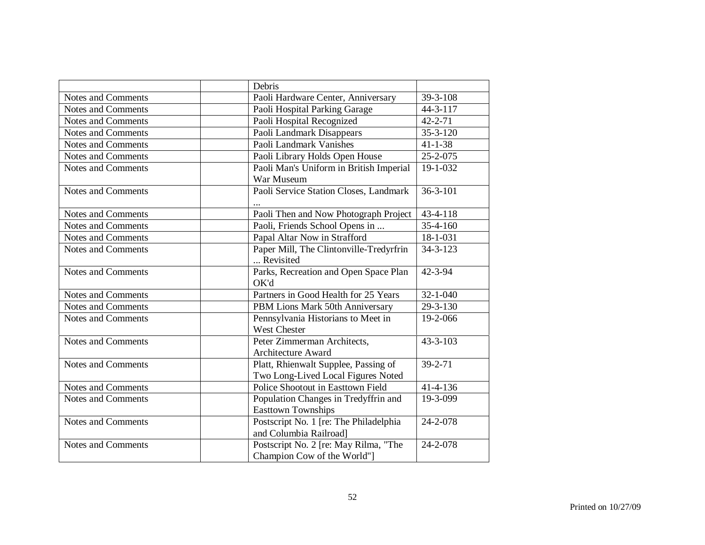|                           | Debris                                                                     |                |
|---------------------------|----------------------------------------------------------------------------|----------------|
| Notes and Comments        | Paoli Hardware Center, Anniversary                                         | 39-3-108       |
| Notes and Comments        | Paoli Hospital Parking Garage                                              | 44-3-117       |
| <b>Notes and Comments</b> | Paoli Hospital Recognized                                                  | $42 - 2 - 71$  |
| Notes and Comments        | Paoli Landmark Disappears                                                  | $35 - 3 - 120$ |
| Notes and Comments        | Paoli Landmark Vanishes                                                    | $41 - 1 - 38$  |
| <b>Notes and Comments</b> | Paoli Library Holds Open House                                             | 25-2-075       |
| Notes and Comments        | Paoli Man's Uniform in British Imperial<br>War Museum                      | 19-1-032       |
| Notes and Comments        | Paoli Service Station Closes, Landmark                                     | $36 - 3 - 101$ |
| Notes and Comments        | Paoli Then and Now Photograph Project                                      | 43-4-118       |
| <b>Notes and Comments</b> | Paoli, Friends School Opens in                                             | $35 - 4 - 160$ |
| <b>Notes and Comments</b> | Papal Altar Now in Strafford                                               | $18 - 1 - 031$ |
| Notes and Comments        | Paper Mill, The Clintonville-Tredyrfrin<br>Revisited                       | $34 - 3 - 123$ |
| Notes and Comments        | Parks, Recreation and Open Space Plan<br>OK'd                              | 42-3-94        |
| Notes and Comments        | Partners in Good Health for 25 Years                                       | $32 - 1 - 040$ |
| Notes and Comments        | PBM Lions Mark 50th Anniversary                                            | 29-3-130       |
| <b>Notes and Comments</b> | Pennsylvania Historians to Meet in<br><b>West Chester</b>                  | 19-2-066       |
| <b>Notes and Comments</b> | Peter Zimmerman Architects,<br><b>Architecture Award</b>                   | $43 - 3 - 103$ |
| <b>Notes and Comments</b> | Platt, Rhienwalt Supplee, Passing of<br>Two Long-Lived Local Figures Noted | $39 - 2 - 71$  |
| Notes and Comments        | Police Shootout in Easttown Field                                          | $41 - 4 - 136$ |
| Notes and Comments        | Population Changes in Tredyffrin and<br><b>Easttown Townships</b>          | 19-3-099       |
| <b>Notes and Comments</b> | Postscript No. 1 [re: The Philadelphia<br>and Columbia Railroad]           | 24-2-078       |
| <b>Notes and Comments</b> | Postscript No. 2 [re: May Rilma, "The<br>Champion Cow of the World"]       | 24-2-078       |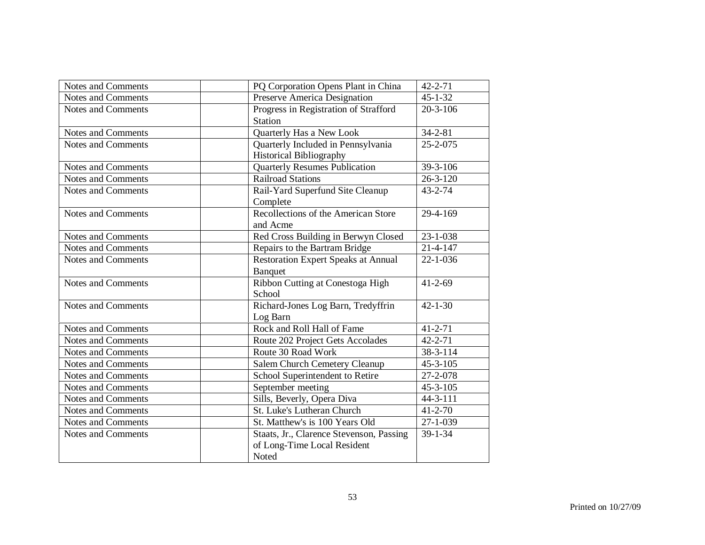| <b>Notes and Comments</b> | PQ Corporation Opens Plant in China        | $42 - 2 - 71$         |
|---------------------------|--------------------------------------------|-----------------------|
| Notes and Comments        | Preserve America Designation               | $45 - 1 - 32$         |
| <b>Notes and Comments</b> | Progress in Registration of Strafford      | $20 - 3 - 106$        |
|                           | <b>Station</b>                             |                       |
| <b>Notes and Comments</b> | Quarterly Has a New Look                   | $34 - 2 - 81$         |
| <b>Notes and Comments</b> | Quarterly Included in Pennsylvania         | $25 - 2 - 075$        |
|                           | <b>Historical Bibliography</b>             |                       |
| Notes and Comments        | <b>Quarterly Resumes Publication</b>       | 39-3-106              |
| <b>Notes and Comments</b> | <b>Railroad Stations</b>                   | $26 - 3 - 120$        |
| <b>Notes and Comments</b> | Rail-Yard Superfund Site Cleanup           | $43 - 2 - 74$         |
|                           | Complete                                   |                       |
| <b>Notes and Comments</b> | Recollections of the American Store        | 29-4-169              |
|                           | and Acme                                   |                       |
| Notes and Comments        | Red Cross Building in Berwyn Closed        | 23-1-038              |
| <b>Notes and Comments</b> | Repairs to the Bartram Bridge              | $21 - 4 - 147$        |
| <b>Notes and Comments</b> | <b>Restoration Expert Speaks at Annual</b> | $22 - 1 - 036$        |
|                           | Banquet                                    |                       |
| <b>Notes and Comments</b> | Ribbon Cutting at Conestoga High           | $41 - 2 - 69$         |
|                           | School                                     |                       |
| <b>Notes and Comments</b> | Richard-Jones Log Barn, Tredyffrin         | $42 - 1 - 30$         |
|                           | Log Barn                                   |                       |
| <b>Notes and Comments</b> | Rock and Roll Hall of Fame                 | $41 - 2 - 71$         |
| <b>Notes and Comments</b> | Route 202 Project Gets Accolades           | $42 - 2 - 71$         |
| <b>Notes and Comments</b> | Route 30 Road Work                         | 38-3-114              |
| Notes and Comments        | Salem Church Cemetery Cleanup              | $45 - 3 - 105$        |
| <b>Notes and Comments</b> | School Superintendent to Retire            | $\overline{27-2-078}$ |
| Notes and Comments        | September meeting                          | $45 - 3 - 105$        |
| Notes and Comments        | Sills, Beverly, Opera Diva                 | 44-3-111              |
| <b>Notes and Comments</b> | St. Luke's Lutheran Church                 | $41 - 2 - 70$         |
| Notes and Comments        | St. Matthew's is 100 Years Old             | $27 - 1 - 039$        |
| <b>Notes and Comments</b> | Staats, Jr., Clarence Stevenson, Passing   | 39-1-34               |
|                           | of Long-Time Local Resident                |                       |
|                           | Noted                                      |                       |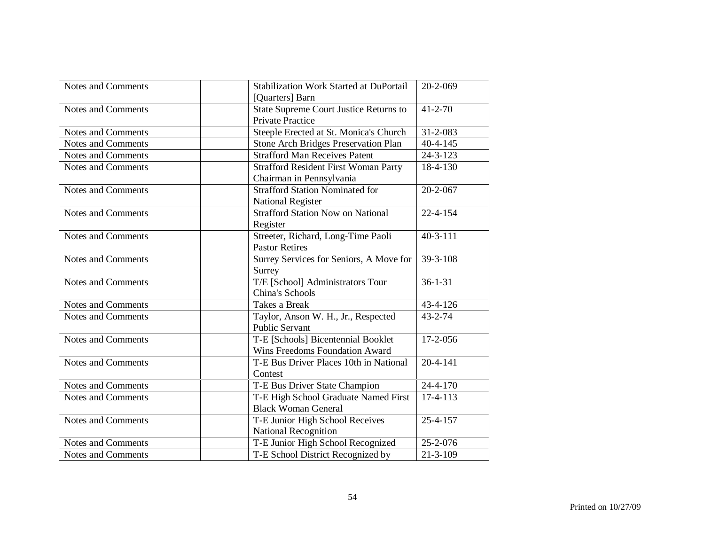| Notes and Comments        | <b>Stabilization Work Started at DuPortail</b><br>[Quarters] Barn        | 20-2-069       |
|---------------------------|--------------------------------------------------------------------------|----------------|
| <b>Notes and Comments</b> | <b>State Supreme Court Justice Returns to</b><br><b>Private Practice</b> | $41 - 2 - 70$  |
| <b>Notes and Comments</b> | Steeple Erected at St. Monica's Church                                   | 31-2-083       |
| <b>Notes and Comments</b> | Stone Arch Bridges Preservation Plan                                     | $40 - 4 - 145$ |
| <b>Notes and Comments</b> | <b>Strafford Man Receives Patent</b>                                     | $24 - 3 - 123$ |
| <b>Notes and Comments</b> | <b>Strafford Resident First Woman Party</b><br>Chairman in Pennsylvania  | 18-4-130       |
| <b>Notes and Comments</b> | <b>Strafford Station Nominated for</b><br><b>National Register</b>       | 20-2-067       |
| <b>Notes and Comments</b> | <b>Strafford Station Now on National</b><br>Register                     | $22 - 4 - 154$ |
| <b>Notes and Comments</b> | Streeter, Richard, Long-Time Paoli<br><b>Pastor Retires</b>              | $40-3-111$     |
| Notes and Comments        | Surrey Services for Seniors, A Move for<br>Surrey                        | 39-3-108       |
| <b>Notes and Comments</b> | T/E [School] Administrators Tour<br>China's Schools                      | $36 - 1 - 31$  |
| <b>Notes and Comments</b> | Takes a Break                                                            | 43-4-126       |
| <b>Notes and Comments</b> | Taylor, Anson W. H., Jr., Respected<br><b>Public Servant</b>             | $43 - 2 - 74$  |
| <b>Notes and Comments</b> | T-E [Schools] Bicentennial Booklet<br>Wins Freedoms Foundation Award     | 17-2-056       |
| Notes and Comments        | T-E Bus Driver Places 10th in National<br>Contest                        | $20 - 4 - 141$ |
| <b>Notes and Comments</b> | T-E Bus Driver State Champion                                            | 24-4-170       |
| <b>Notes and Comments</b> | T-E High School Graduate Named First<br><b>Black Woman General</b>       | $17-4-113$     |
| <b>Notes and Comments</b> | T-E Junior High School Receives<br>National Recognition                  | 25-4-157       |
| Notes and Comments        | T-E Junior High School Recognized                                        | 25-2-076       |
| <b>Notes and Comments</b> | T-E School District Recognized by                                        | $21 - 3 - 109$ |
|                           |                                                                          |                |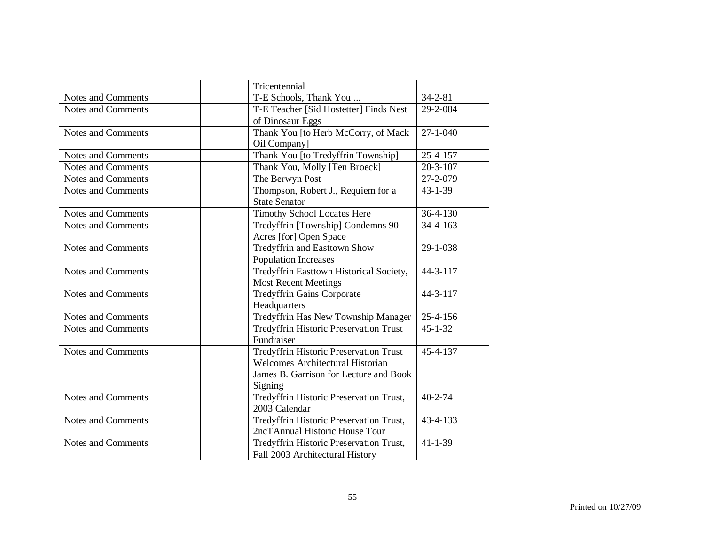|                           | Tricentennial                                              |                |
|---------------------------|------------------------------------------------------------|----------------|
| <b>Notes and Comments</b> | T-E Schools, Thank You                                     | $34 - 2 - 81$  |
| <b>Notes and Comments</b> | T-E Teacher [Sid Hostetter] Finds Nest                     | 29-2-084       |
|                           | of Dinosaur Eggs                                           |                |
| <b>Notes and Comments</b> | Thank You [to Herb McCorry, of Mack                        | $27 - 1 - 040$ |
|                           | Oil Company]                                               |                |
| Notes and Comments        | Thank You [to Tredyffrin Township]                         | 25-4-157       |
| <b>Notes and Comments</b> | Thank You, Molly [Ten Broeck]                              | $20 - 3 - 107$ |
| <b>Notes and Comments</b> | The Berwyn Post                                            | 27-2-079       |
| <b>Notes and Comments</b> | Thompson, Robert J., Requiem for a<br><b>State Senator</b> | $43 - 1 - 39$  |
| <b>Notes and Comments</b> | <b>Timothy School Locates Here</b>                         | 36-4-130       |
| <b>Notes and Comments</b> | Tredyffrin [Township] Condemns 90                          | $34 - 4 - 163$ |
|                           | Acres [for] Open Space                                     |                |
| <b>Notes and Comments</b> | Tredyffrin and Easttown Show                               | 29-1-038       |
|                           | <b>Population Increases</b>                                |                |
| <b>Notes and Comments</b> | Tredyffrin Easttown Historical Society,                    | $44 - 3 - 117$ |
|                           | <b>Most Recent Meetings</b>                                |                |
| <b>Notes and Comments</b> | <b>Tredyffrin Gains Corporate</b>                          | $44 - 3 - 117$ |
|                           | Headquarters                                               |                |
| Notes and Comments        | Tredyffrin Has New Township Manager                        | 25-4-156       |
| <b>Notes and Comments</b> | Tredyffrin Historic Preservation Trust                     | $45 - 1 - 32$  |
|                           | Fundraiser                                                 |                |
| <b>Notes and Comments</b> | <b>Tredyffrin Historic Preservation Trust</b>              | 45-4-137       |
|                           | Welcomes Architectural Historian                           |                |
|                           | James B. Garrison for Lecture and Book                     |                |
|                           | Signing                                                    |                |
| Notes and Comments        | Tredyffrin Historic Preservation Trust,                    | $40 - 2 - 74$  |
|                           | 2003 Calendar                                              |                |
| <b>Notes and Comments</b> | Tredyffrin Historic Preservation Trust,                    | 43-4-133       |
|                           | 2ncTAnnual Historic House Tour                             |                |
| <b>Notes and Comments</b> | Tredyffrin Historic Preservation Trust,                    | $41 - 1 - 39$  |
|                           | Fall 2003 Architectural History                            |                |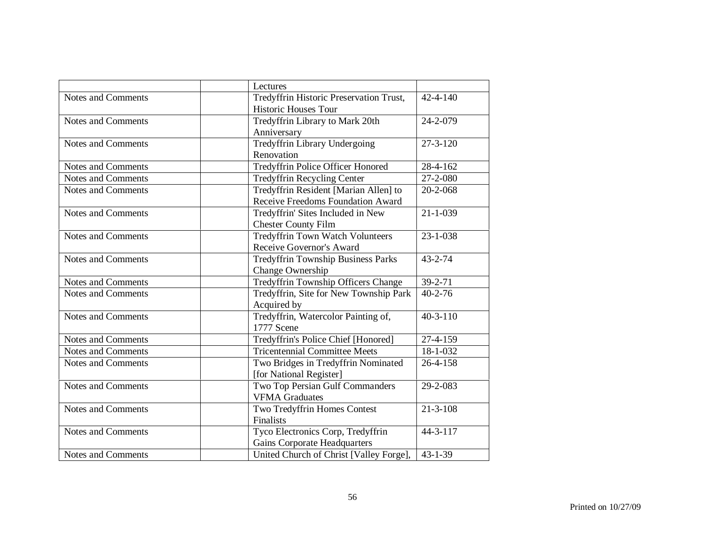|                           | Lectures                                   |                |
|---------------------------|--------------------------------------------|----------------|
| <b>Notes and Comments</b> | Tredyffrin Historic Preservation Trust,    | $42 - 4 - 140$ |
|                           | Historic Houses Tour                       |                |
| <b>Notes and Comments</b> | Tredyffrin Library to Mark 20th            | 24-2-079       |
|                           | Anniversary                                |                |
| <b>Notes and Comments</b> | <b>Tredyffrin Library Undergoing</b>       | $27 - 3 - 120$ |
|                           | Renovation                                 |                |
| Notes and Comments        | Tredyffrin Police Officer Honored          | 28-4-162       |
| <b>Notes and Comments</b> | <b>Tredyffrin Recycling Center</b>         | 27-2-080       |
| <b>Notes and Comments</b> | Tredyffrin Resident [Marian Allen] to      | 20-2-068       |
|                           | Receive Freedoms Foundation Award          |                |
| <b>Notes and Comments</b> | Tredyffrin' Sites Included in New          | $21 - 1 - 039$ |
|                           | <b>Chester County Film</b>                 |                |
| <b>Notes and Comments</b> | <b>Tredyffrin Town Watch Volunteers</b>    | $23 - 1 - 038$ |
|                           | Receive Governor's Award                   |                |
| <b>Notes and Comments</b> | <b>Tredyffrin Township Business Parks</b>  | $43 - 2 - 74$  |
|                           | Change Ownership                           |                |
| <b>Notes and Comments</b> | <b>Tredyffrin Township Officers Change</b> | 39-2-71        |
| <b>Notes and Comments</b> | Tredyffrin, Site for New Township Park     | $40 - 2 - 76$  |
|                           | Acquired by                                |                |
| <b>Notes and Comments</b> | Tredyffrin, Watercolor Painting of,        | $40 - 3 - 110$ |
|                           | 1777 Scene                                 |                |
| <b>Notes and Comments</b> | Tredyffrin's Police Chief [Honored]        | 27-4-159       |
| <b>Notes and Comments</b> | <b>Tricentennial Committee Meets</b>       | 18-1-032       |
| <b>Notes and Comments</b> | Two Bridges in Tredyffrin Nominated        | 26-4-158       |
|                           | [for National Register]                    |                |
| Notes and Comments        | Two Top Persian Gulf Commanders            | 29-2-083       |
|                           | <b>VFMA Graduates</b>                      |                |
| <b>Notes and Comments</b> | Two Tredyffrin Homes Contest               | $21 - 3 - 108$ |
|                           | Finalists                                  |                |
| <b>Notes and Comments</b> | Tyco Electronics Corp, Tredyffrin          | 44-3-117       |
|                           | Gains Corporate Headquarters               |                |
| Notes and Comments        | United Church of Christ [Valley Forge],    | $43 - 1 - 39$  |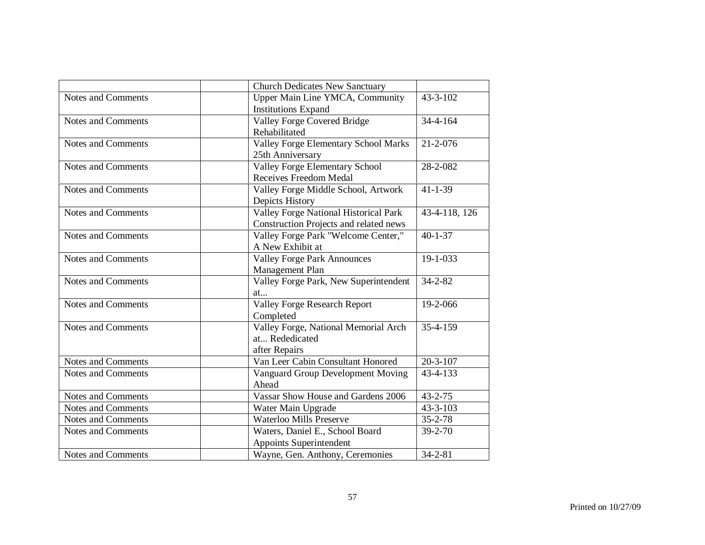|                           | <b>Church Dedicates New Sanctuary</b>                                           |                |
|---------------------------|---------------------------------------------------------------------------------|----------------|
| <b>Notes and Comments</b> | Upper Main Line YMCA, Community<br><b>Institutions Expand</b>                   | $43 - 3 - 102$ |
| <b>Notes and Comments</b> | Valley Forge Covered Bridge<br>Rehabilitated                                    | $34 - 4 - 164$ |
| Notes and Comments        | <b>Valley Forge Elementary School Marks</b><br>25th Anniversary                 | $21 - 2 - 076$ |
| Notes and Comments        | <b>Valley Forge Elementary School</b><br>Receives Freedom Medal                 | 28-2-082       |
| <b>Notes and Comments</b> | Valley Forge Middle School, Artwork<br>Depicts History                          | $41 - 1 - 39$  |
| <b>Notes and Comments</b> | Valley Forge National Historical Park<br>Construction Projects and related news | 43-4-118, 126  |
| Notes and Comments        | Valley Forge Park "Welcome Center,"<br>A New Exhibit at                         | $40 - 1 - 37$  |
| <b>Notes and Comments</b> | <b>Valley Forge Park Announces</b><br>Management Plan                           | 19-1-033       |
| <b>Notes and Comments</b> | Valley Forge Park, New Superintendent<br>at                                     | $34 - 2 - 82$  |
| <b>Notes and Comments</b> | Valley Forge Research Report<br>Completed                                       | 19-2-066       |
| <b>Notes and Comments</b> | Valley Forge, National Memorial Arch<br>at Rededicated<br>after Repairs         | $35 - 4 - 159$ |
| <b>Notes and Comments</b> | Van Leer Cabin Consultant Honored                                               | $20 - 3 - 107$ |
| <b>Notes and Comments</b> | Vanguard Group Development Moving<br>Ahead                                      | 43-4-133       |
| <b>Notes and Comments</b> | Vassar Show House and Gardens 2006                                              | $43 - 2 - 75$  |
| Notes and Comments        | Water Main Upgrade                                                              | $43 - 3 - 103$ |
| <b>Notes and Comments</b> | <b>Waterloo Mills Preserve</b>                                                  | $35 - 2 - 78$  |
| <b>Notes and Comments</b> | Waters, Daniel E., School Board<br>Appoints Superintendent                      | $39 - 2 - 70$  |
| Notes and Comments        | Wayne, Gen. Anthony, Ceremonies                                                 | $34 - 2 - 81$  |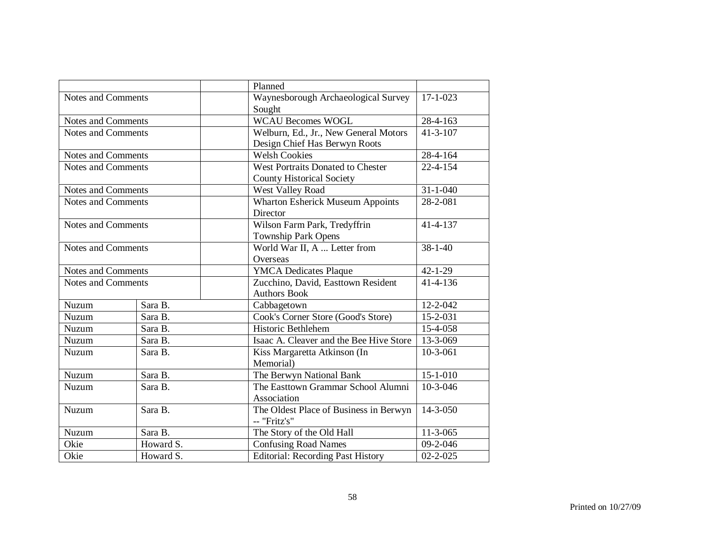|                           |           | Planned                                  |                |
|---------------------------|-----------|------------------------------------------|----------------|
| <b>Notes and Comments</b> |           | Waynesborough Archaeological Survey      | $17 - 1 - 023$ |
|                           |           | Sought                                   |                |
| <b>Notes and Comments</b> |           | <b>WCAU Becomes WOGL</b>                 | $28-4-163$     |
| <b>Notes and Comments</b> |           | Welburn, Ed., Jr., New General Motors    | $41 - 3 - 107$ |
|                           |           | Design Chief Has Berwyn Roots            |                |
| Notes and Comments        |           | <b>Welsh Cookies</b>                     | 28-4-164       |
| <b>Notes and Comments</b> |           | West Portraits Donated to Chester        | $22 - 4 - 154$ |
|                           |           | <b>County Historical Society</b>         |                |
| <b>Notes and Comments</b> |           | West Valley Road                         | $31 - 1 - 040$ |
| <b>Notes and Comments</b> |           | <b>Wharton Esherick Museum Appoints</b>  | $28 - 2 - 081$ |
|                           |           | Director                                 |                |
| Notes and Comments        |           | Wilson Farm Park, Tredyffrin             | $41 - 4 - 137$ |
|                           |           | <b>Township Park Opens</b>               |                |
| <b>Notes and Comments</b> |           | World War II, A  Letter from             | $38 - 1 - 40$  |
|                           |           | Overseas                                 |                |
| <b>Notes and Comments</b> |           | <b>YMCA Dedicates Plaque</b>             | $42 - 1 - 29$  |
| <b>Notes and Comments</b> |           | Zucchino, David, Easttown Resident       | 41-4-136       |
|                           |           | <b>Authors Book</b>                      |                |
| Nuzum                     | Sara B.   | Cabbagetown                              | 12-2-042       |
| Nuzum                     | Sara B.   | Cook's Corner Store (Good's Store)       | 15-2-031       |
| Nuzum                     | Sara B.   | Historic Bethlehem                       | 15-4-058       |
| Nuzum                     | Sara B.   | Isaac A. Cleaver and the Bee Hive Store  | 13-3-069       |
| Nuzum                     | Sara B.   | Kiss Margaretta Atkinson (In             | $10-3-061$     |
|                           |           | Memorial)                                |                |
| Nuzum                     | Sara B.   | The Berwyn National Bank                 | $15 - 1 - 010$ |
| Nuzum                     | Sara B.   | The Easttown Grammar School Alumni       | $10-3-046$     |
|                           |           | Association                              |                |
| Nuzum                     | Sara B.   | The Oldest Place of Business in Berwyn   | 14-3-050       |
|                           |           | -- "Fritz's"                             |                |
| Nuzum                     | Sara B.   | The Story of the Old Hall                | $11-3-065$     |
| Okie                      | Howard S. | <b>Confusing Road Names</b>              | $09 - 2 - 046$ |
| Okie                      | Howard S. | <b>Editorial: Recording Past History</b> | $02 - 2 - 025$ |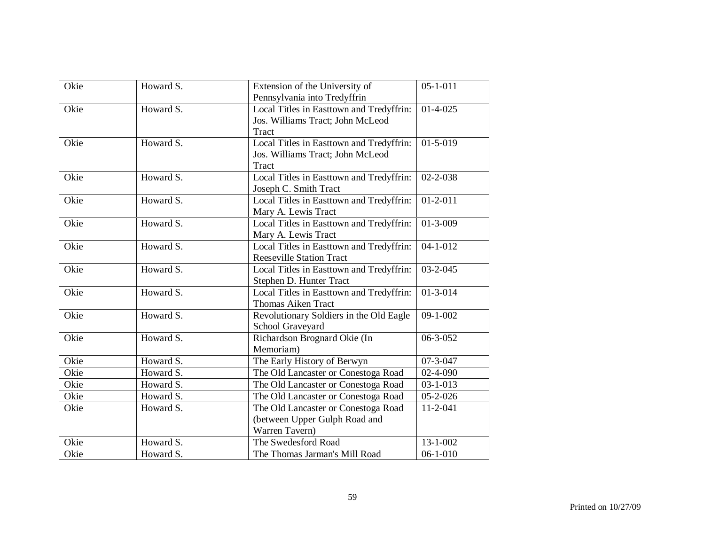|      | Howard S. |                                          | $05 - 1 - 011$ |
|------|-----------|------------------------------------------|----------------|
| Okie |           | Extension of the University of           |                |
|      |           | Pennsylvania into Tredyffrin             |                |
| Okie | Howard S. | Local Titles in Easttown and Tredyffrin: | $01-4-025$     |
|      |           | Jos. Williams Tract; John McLeod         |                |
|      |           | Tract                                    |                |
| Okie | Howard S. | Local Titles in Easttown and Tredyffrin: | $01 - 5 - 019$ |
|      |           | Jos. Williams Tract; John McLeod         |                |
|      |           | <b>Tract</b>                             |                |
| Okie | Howard S. | Local Titles in Easttown and Tredyffrin: | $02 - 2 - 038$ |
|      |           | Joseph C. Smith Tract                    |                |
| Okie | Howard S. | Local Titles in Easttown and Tredyffrin: | $01 - 2 - 011$ |
|      |           | Mary A. Lewis Tract                      |                |
| Okie | Howard S. | Local Titles in Easttown and Tredyffrin: | $01 - 3 - 009$ |
|      |           | Mary A. Lewis Tract                      |                |
| Okie | Howard S. | Local Titles in Easttown and Tredyffrin: | $04 - 1 - 012$ |
|      |           | <b>Reeseville Station Tract</b>          |                |
| Okie | Howard S. | Local Titles in Easttown and Tredyffrin: | $03 - 2 - 045$ |
|      |           | Stephen D. Hunter Tract                  |                |
| Okie | Howard S. | Local Titles in Easttown and Tredyffrin: | $01 - 3 - 014$ |
|      |           | <b>Thomas Aiken Tract</b>                |                |
| Okie | Howard S. | Revolutionary Soldiers in the Old Eagle  | $09 - 1 - 002$ |
|      |           | School Graveyard                         |                |
| Okie | Howard S. | Richardson Brognard Okie (In             | 06-3-052       |
|      |           | Memoriam)                                |                |
| Okie | Howard S. | The Early History of Berwyn              | $07 - 3 - 047$ |
| Okie | Howard S. | The Old Lancaster or Conestoga Road      | 02-4-090       |
| Okie | Howard S. | The Old Lancaster or Conestoga Road      | $03 - 1 - 013$ |
| Okie | Howard S. | The Old Lancaster or Conestoga Road      | $05 - 2 - 026$ |
| Okie | Howard S. | The Old Lancaster or Conestoga Road      | 11-2-041       |
|      |           | (between Upper Gulph Road and            |                |
|      |           | Warren Tavern)                           |                |
| Okie | Howard S. | The Swedesford Road                      | $13 - 1 - 002$ |
| Okie | Howard S. | The Thomas Jarman's Mill Road            | $06 - 1 - 010$ |
|      |           |                                          |                |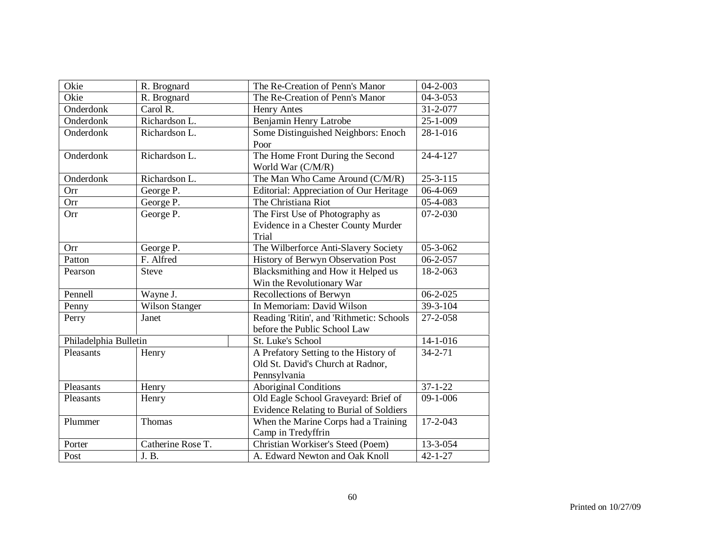| Okie                  | R. Brognard           | The Re-Creation of Penn's Manor                | $04 - 2 - 003$ |
|-----------------------|-----------------------|------------------------------------------------|----------------|
| Okie                  | R. Brognard           | The Re-Creation of Penn's Manor                | $04 - 3 - 053$ |
| Onderdonk             | Carol R.              | <b>Henry Antes</b>                             | 31-2-077       |
| Onderdonk             | Richardson L.         | Benjamin Henry Latrobe                         | $25 - 1 - 009$ |
| Onderdonk             | Richardson L.         | Some Distinguished Neighbors: Enoch            | 28-1-016       |
|                       |                       | Poor                                           |                |
| Onderdonk             | Richardson L.         | The Home Front During the Second               | 24-4-127       |
|                       |                       | World War (C/M/R)                              |                |
| Onderdonk             | Richardson L.         | The Man Who Came Around (C/M/R)                | $25 - 3 - 115$ |
| Orr                   | George P.             | Editorial: Appreciation of Our Heritage        | 06-4-069       |
| Orr                   | George P.             | The Christiana Riot                            | 05-4-083       |
| Orr                   | George P.             | The First Use of Photography as                | $07 - 2 - 030$ |
|                       |                       | Evidence in a Chester County Murder            |                |
|                       |                       | <b>Trial</b>                                   |                |
| Orr                   | George P.             | The Wilberforce Anti-Slavery Society           | 05-3-062       |
| Patton                | F. Alfred             | History of Berwyn Observation Post             | $06 - 2 - 057$ |
| Pearson               | <b>Steve</b>          | Blacksmithing and How it Helped us             | 18-2-063       |
|                       |                       | Win the Revolutionary War                      |                |
| Pennell               | Wayne J.              | Recollections of Berwyn                        | $06 - 2 - 025$ |
| Penny                 | <b>Wilson Stanger</b> | In Memoriam: David Wilson                      | 39-3-104       |
| Perry                 | Janet                 | Reading 'Ritin', and 'Rithmetic: Schools       | 27-2-058       |
|                       |                       | before the Public School Law                   |                |
| Philadelphia Bulletin |                       | St. Luke's School                              | 14-1-016       |
| Pleasants             | Henry                 | A Prefatory Setting to the History of          | $34 - 2 - 71$  |
|                       |                       | Old St. David's Church at Radnor,              |                |
|                       |                       | Pennsylvania                                   |                |
| Pleasants             | Henry                 | Aboriginal Conditions                          | $37 - 1 - 22$  |
| Pleasants             | Henry                 | Old Eagle School Graveyard: Brief of           | $09-1-006$     |
|                       |                       | <b>Evidence Relating to Burial of Soldiers</b> |                |
| Plummer               | Thomas                | When the Marine Corps had a Training           | 17-2-043       |
|                       |                       | Camp in Tredyffrin                             |                |
| Porter                | Catherine Rose T.     | Christian Workiser's Steed (Poem)              | 13-3-054       |
| Post                  | J. B.                 | A. Edward Newton and Oak Knoll                 | $42 - 1 - 27$  |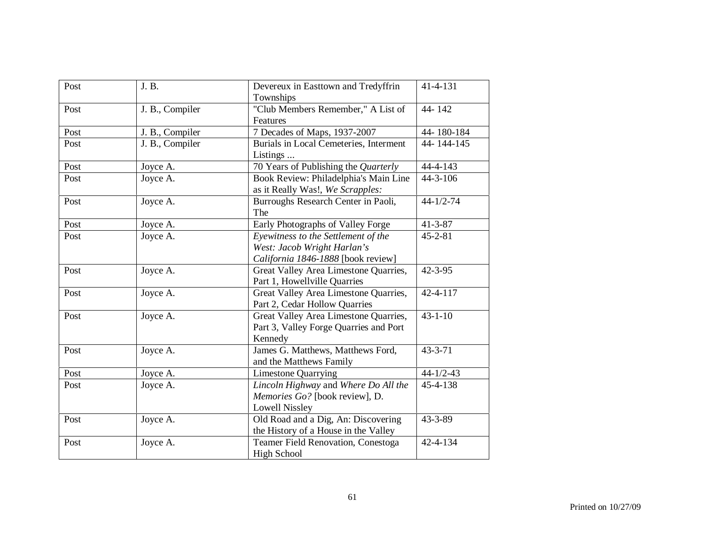| Post | J. B.           | Devereux in Easttown and Tredyffrin<br>Townships                                                         | 41-4-131                |
|------|-----------------|----------------------------------------------------------------------------------------------------------|-------------------------|
| Post | J. B., Compiler | "Club Members Remember," A List of<br>Features                                                           | 44-142                  |
| Post | J. B., Compiler | 7 Decades of Maps, 1937-2007                                                                             | 44-180-184              |
| Post | J. B., Compiler | Burials in Local Cemeteries, Interment<br>Listings                                                       | $\overline{44-144-145}$ |
| Post | Joyce A.        | 70 Years of Publishing the Quarterly                                                                     | 44-4-143                |
| Post | Joyce A.        | Book Review: Philadelphia's Main Line<br>as it Really Was!, We Scrapples:                                | $44 - 3 - 106$          |
| Post | Joyce A.        | Burroughs Research Center in Paoli,<br>The                                                               | $44 - 1/2 - 74$         |
| Post | Joyce A.        | Early Photographs of Valley Forge                                                                        | $41 - 3 - 87$           |
| Post | Joyce A.        | Eyewitness to the Settlement of the<br>West: Jacob Wright Harlan's<br>California 1846-1888 [book review] | $45 - 2 - 81$           |
| Post | Joyce A.        | Great Valley Area Limestone Quarries,<br>Part 1, Howellville Quarries                                    | $42 - 3 - 95$           |
| Post | Joyce A.        | Great Valley Area Limestone Quarries,<br>Part 2, Cedar Hollow Quarries                                   | 42-4-117                |
| Post | Joyce A.        | Great Valley Area Limestone Quarries,<br>Part 3, Valley Forge Quarries and Port<br>Kennedy               | $43 - 1 - 10$           |
| Post | Joyce A.        | James G. Matthews, Matthews Ford,<br>and the Matthews Family                                             | $43 - 3 - 71$           |
| Post | Joyce A.        | <b>Limestone Quarrying</b>                                                                               | $44 - 1/2 - 43$         |
| Post | Joyce A.        | Lincoln Highway and Where Do All the<br>Memories Go? [book review], D.<br><b>Lowell Nissley</b>          | 45-4-138                |
| Post | Joyce A.        | Old Road and a Dig, An: Discovering<br>the History of a House in the Valley                              | 43-3-89                 |
| Post | Joyce A.        | Teamer Field Renovation, Conestoga<br><b>High School</b>                                                 | 42-4-134                |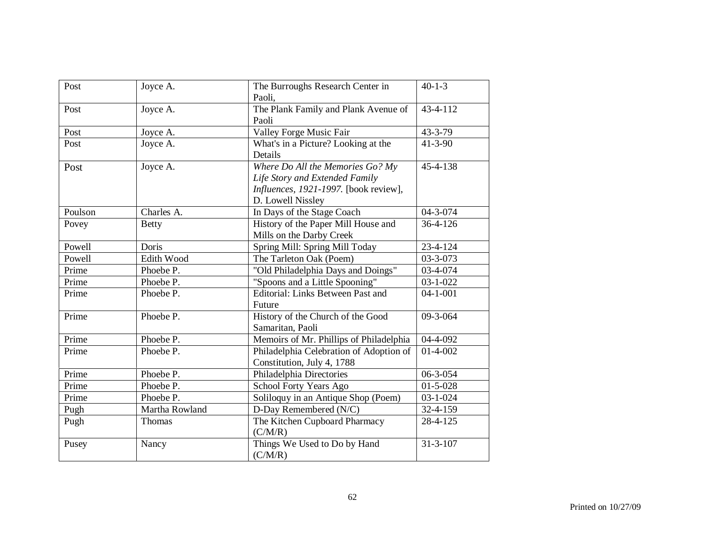| Post    | Joyce A.       | The Burroughs Research Center in<br>Paoli,                                                                                       | $40 - 1 - 3$           |
|---------|----------------|----------------------------------------------------------------------------------------------------------------------------------|------------------------|
| Post    | Joyce A.       | The Plank Family and Plank Avenue of<br>Paoli                                                                                    | 43-4-112               |
| Post    | Joyce A.       | Valley Forge Music Fair                                                                                                          | $43 - 3 - 79$          |
| Post    | Joyce A.       | What's in a Picture? Looking at the<br>Details                                                                                   | $41 - 3 - 90$          |
| Post    | Joyce A.       | Where Do All the Memories Go? My<br>Life Story and Extended Family<br>Influences, 1921-1997. [book review],<br>D. Lowell Nissley | 45-4-138               |
| Poulson | Charles A.     | In Days of the Stage Coach                                                                                                       | 04-3-074               |
| Povey   | <b>Betty</b>   | History of the Paper Mill House and<br>Mills on the Darby Creek                                                                  | 36-4-126               |
| Powell  | Doris          | Spring Mill: Spring Mill Today                                                                                                   | 23-4-124               |
| Powell  | Edith Wood     | The Tarleton Oak (Poem)                                                                                                          | 03-3-073               |
| Prime   | Phoebe P.      | "Old Philadelphia Days and Doings"                                                                                               | 03-4-074               |
| Prime   | Phoebe P.      | "Spoons and a Little Spooning"                                                                                                   | $03 - 1 - 022$         |
| Prime   | Phoebe P.      | <b>Editorial: Links Between Past and</b><br>Future                                                                               | $04 - 1 - 001$         |
| Prime   | Phoebe P.      | History of the Church of the Good<br>Samaritan, Paoli                                                                            | 09-3-064               |
| Prime   | Phoebe P.      | Memoirs of Mr. Phillips of Philadelphia                                                                                          | 04-4-092               |
| Prime   | Phoebe P.      | Philadelphia Celebration of Adoption of<br>Constitution, July 4, 1788                                                            | $01-4-002$             |
| Prime   | Phoebe P.      | Philadelphia Directories                                                                                                         | 06-3-054               |
| Prime   | Phoebe P.      | <b>School Forty Years Ago</b>                                                                                                    | $\overline{0}$ 1-5-028 |
| Prime   | Phoebe P.      | Soliloquy in an Antique Shop (Poem)                                                                                              | $03 - 1 - 024$         |
| Pugh    | Martha Rowland | D-Day Remembered (N/C)                                                                                                           | 32-4-159               |
| Pugh    | Thomas         | The Kitchen Cupboard Pharmacy<br>(C/M/R)                                                                                         | 28-4-125               |
| Pusey   | Nancy          | Things We Used to Do by Hand<br>(C/M/R)                                                                                          | $31 - 3 - 107$         |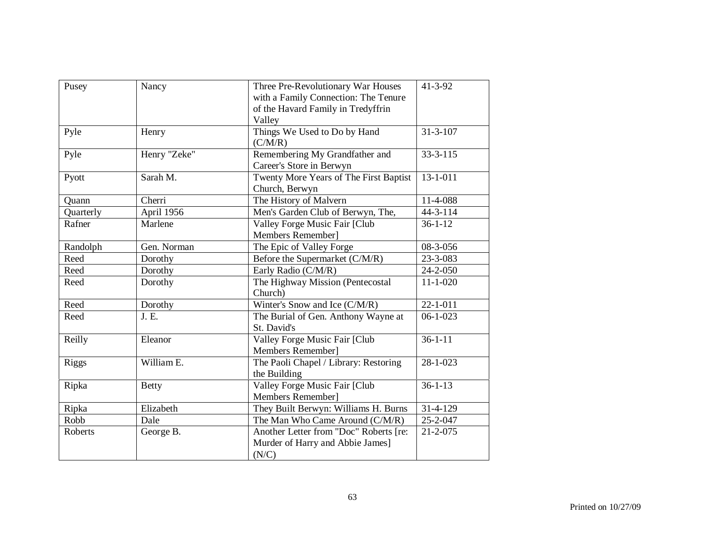| Pusey        | Nancy        | Three Pre-Revolutionary War Houses<br>with a Family Connection: The Tenure<br>of the Havard Family in Tredyffrin | $41 - 3 - 92$  |
|--------------|--------------|------------------------------------------------------------------------------------------------------------------|----------------|
|              |              | Valley                                                                                                           |                |
| Pyle         | Henry        | Things We Used to Do by Hand<br>(C/M/R)                                                                          | $31 - 3 - 107$ |
| Pyle         | Henry "Zeke" | Remembering My Grandfather and<br>Career's Store in Berwyn                                                       | $33 - 3 - 115$ |
| Pyott        | Sarah M.     | Twenty More Years of The First Baptist<br>Church, Berwyn                                                         | $13 - 1 - 011$ |
| Quann        | Cherri       | The History of Malvern                                                                                           | 11-4-088       |
| Quarterly    | April 1956   | Men's Garden Club of Berwyn, The,                                                                                | $44 - 3 - 114$ |
| Rafner       | Marlene      | Valley Forge Music Fair [Club<br>Members Remember]                                                               | $36 - 1 - 12$  |
| Randolph     | Gen. Norman  | The Epic of Valley Forge                                                                                         | 08-3-056       |
| Reed         | Dorothy      | Before the Supermarket (C/M/R)                                                                                   | 23-3-083       |
| Reed         | Dorothy      | Early Radio (C/M/R)                                                                                              | 24-2-050       |
| Reed         | Dorothy      | The Highway Mission (Pentecostal<br>Church)                                                                      | $11 - 1 - 020$ |
| Reed         | Dorothy      | Winter's Snow and Ice (C/M/R)                                                                                    | $22 - 1 - 011$ |
| Reed         | J. E.        | The Burial of Gen. Anthony Wayne at<br>St. David's                                                               | $06 - 1 - 023$ |
| Reilly       | Eleanor      | Valley Forge Music Fair [Club<br>Members Remember]                                                               | $36 - 1 - 11$  |
| <b>Riggs</b> | William E.   | The Paoli Chapel / Library: Restoring<br>the Building                                                            | $28 - 1 - 023$ |
| Ripka        | <b>Betty</b> | Valley Forge Music Fair [Club<br>Members Remember]                                                               | $36 - 1 - 13$  |
| Ripka        | Elizabeth    | They Built Berwyn: Williams H. Burns                                                                             | 31-4-129       |
| Robb         | Dale         | The Man Who Came Around (C/M/R)                                                                                  | 25-2-047       |
| Roberts      | George B.    | Another Letter from "Doc" Roberts [re:<br>Murder of Harry and Abbie James]<br>(N/C)                              | $21 - 2 - 075$ |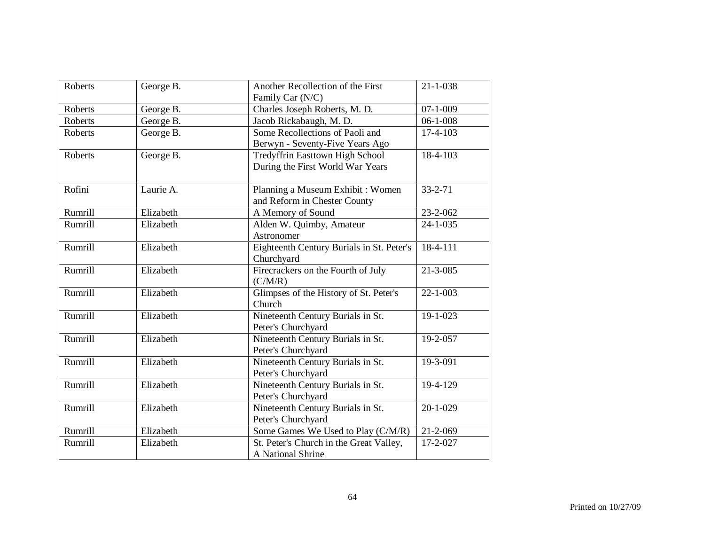| Roberts        | George B. | Another Recollection of the First<br>Family Car (N/C)               | $21 - 1 - 038$ |
|----------------|-----------|---------------------------------------------------------------------|----------------|
| <b>Roberts</b> | George B. | Charles Joseph Roberts, M. D.                                       | $07 - 1 - 009$ |
| Roberts        | George B. | Jacob Rickabaugh, M. D.                                             | $06 - 1 - 008$ |
| Roberts        | George B. | Some Recollections of Paoli and<br>Berwyn - Seventy-Five Years Ago  | 17-4-103       |
| Roberts        | George B. | Tredyffrin Easttown High School<br>During the First World War Years | 18-4-103       |
| Rofini         | Laurie A. | Planning a Museum Exhibit : Women<br>and Reform in Chester County   | $33 - 2 - 71$  |
| Rumrill        | Elizabeth | A Memory of Sound                                                   | 23-2-062       |
| Rumrill        | Elizabeth | Alden W. Quimby, Amateur<br>Astronomer                              | $24 - 1 - 035$ |
| Rumrill        | Elizabeth | Eighteenth Century Burials in St. Peter's<br>Churchyard             | $18-4-111$     |
| Rumrill        | Elizabeth | Firecrackers on the Fourth of July<br>(C/M/R)                       | $21 - 3 - 085$ |
| Rumrill        | Elizabeth | Glimpses of the History of St. Peter's<br>Church                    | $22 - 1 - 003$ |
| Rumrill        | Elizabeth | Nineteenth Century Burials in St.<br>Peter's Churchyard             | $19 - 1 - 023$ |
| Rumrill        | Elizabeth | Nineteenth Century Burials in St.<br>Peter's Churchyard             | 19-2-057       |
| Rumrill        | Elizabeth | Nineteenth Century Burials in St.<br>Peter's Churchyard             | 19-3-091       |
| Rumrill        | Elizabeth | Nineteenth Century Burials in St.<br>Peter's Churchyard             | 19-4-129       |
| Rumrill        | Elizabeth | Nineteenth Century Burials in St.<br>Peter's Churchyard             | $20 - 1 - 029$ |
| Rumrill        | Elizabeth | Some Games We Used to Play (C/M/R)                                  | 21-2-069       |
| Rumrill        | Elizabeth | St. Peter's Church in the Great Valley,<br>A National Shrine        | 17-2-027       |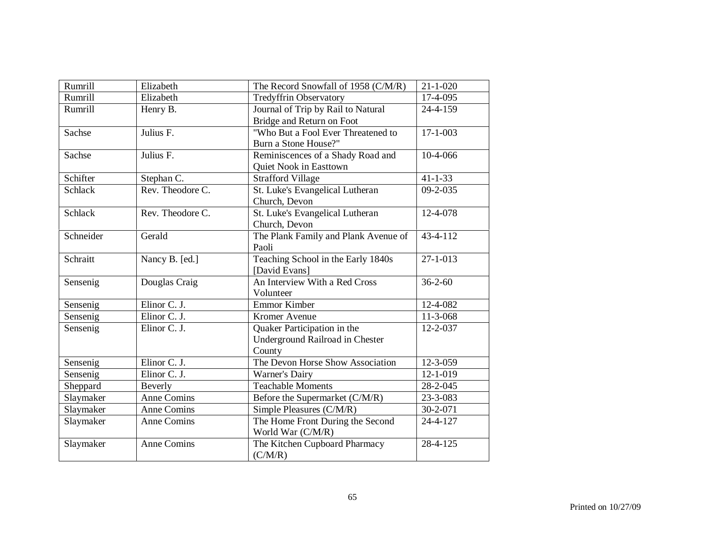| Rumrill        | Elizabeth          | The Record Snowfall of 1958 (C/M/R)  | $21 - 1 - 020$ |
|----------------|--------------------|--------------------------------------|----------------|
| Rumrill        | Elizabeth          | <b>Tredyffrin Observatory</b>        | 17-4-095       |
| Rumrill        | Henry B.           | Journal of Trip by Rail to Natural   | 24-4-159       |
|                |                    | Bridge and Return on Foot            |                |
| Sachse         | Julius F.          | "Who But a Fool Ever Threatened to   | $17 - 1 - 003$ |
|                |                    | Burn a Stone House?"                 |                |
| Sachse         | Julius F.          | Reminiscences of a Shady Road and    | 10-4-066       |
|                |                    | Quiet Nook in Easttown               |                |
| Schifter       | Stephan C.         | <b>Strafford Village</b>             | $41 - 1 - 33$  |
| <b>Schlack</b> | Rev. Theodore C.   | St. Luke's Evangelical Lutheran      | $09 - 2 - 035$ |
|                |                    | Church, Devon                        |                |
| <b>Schlack</b> | Rev. Theodore C.   | St. Luke's Evangelical Lutheran      | 12-4-078       |
|                |                    | Church, Devon                        |                |
| Schneider      | Gerald             | The Plank Family and Plank Avenue of | $43 - 4 - 112$ |
|                |                    | Paoli                                |                |
| Schraitt       | Nancy B. [ed.]     | Teaching School in the Early 1840s   | $27 - 1 - 013$ |
|                |                    | [David Evans]                        |                |
| Sensenig       | Douglas Craig      | An Interview With a Red Cross        | $36 - 2 - 60$  |
|                |                    | Volunteer                            |                |
| Sensenig       | Elinor C. J.       | Emmor Kimber                         | 12-4-082       |
| Sensenig       | Elinor C. J.       | Kromer Avenue                        | 11-3-068       |
| Sensenig       | Elinor C. J.       | Quaker Participation in the          | $12 - 2 - 037$ |
|                |                    | Underground Railroad in Chester      |                |
|                |                    | County                               |                |
| Sensenig       | Elinor C. J.       | The Devon Horse Show Association     | 12-3-059       |
| Sensenig       | Elinor C. J.       | Warner's Dairy                       | $12 - 1 - 019$ |
| Sheppard       | Beverly            | <b>Teachable Moments</b>             | 28-2-045       |
| Slaymaker      | <b>Anne Comins</b> | Before the Supermarket (C/M/R)       | 23-3-083       |
| Slaymaker      | Anne Comins        | Simple Pleasures (C/M/R)             | 30-2-071       |
| Slaymaker      | Anne Comins        | The Home Front During the Second     | 24-4-127       |
|                |                    | World War (C/M/R)                    |                |
| Slaymaker      | Anne Comins        | The Kitchen Cupboard Pharmacy        | 28-4-125       |
|                |                    | (C/M/R)                              |                |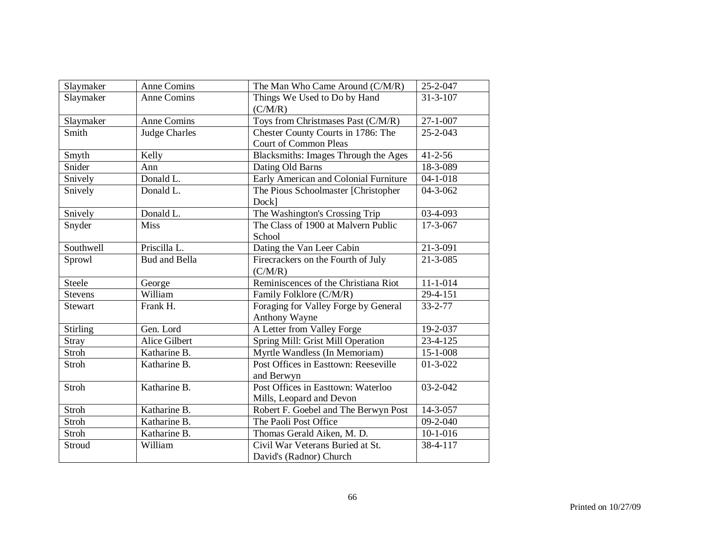| Slaymaker       | <b>Anne Comins</b>   | The Man Who Came Around (C/M/R)         | 25-2-047       |
|-----------------|----------------------|-----------------------------------------|----------------|
| Slaymaker       | <b>Anne Comins</b>   | Things We Used to Do by Hand<br>(C/M/R) | $31 - 3 - 107$ |
| Slaymaker       | <b>Anne Comins</b>   | Toys from Christmases Past (C/M/R)      | $27 - 1 - 007$ |
| Smith           | <b>Judge Charles</b> | Chester County Courts in 1786: The      | $25 - 2 - 043$ |
|                 |                      | <b>Court of Common Pleas</b>            |                |
| Smyth           | Kelly                | Blacksmiths: Images Through the Ages    | $41 - 2 - 56$  |
| Snider          | Ann                  | Dating Old Barns                        | 18-3-089       |
| Snively         | Donald L.            | Early American and Colonial Furniture   | $04 - 1 - 018$ |
| Snively         | Donald L.            | The Pious Schoolmaster [Christopher     | 04-3-062       |
|                 |                      | Dock]                                   |                |
| Snively         | Donald L.            | The Washington's Crossing Trip          | 03-4-093       |
| Snyder          | <b>Miss</b>          | The Class of 1900 at Malvern Public     | 17-3-067       |
|                 |                      | School                                  |                |
| Southwell       | Priscilla L.         | Dating the Van Leer Cabin               | 21-3-091       |
| Sprowl          | <b>Bud and Bella</b> | Firecrackers on the Fourth of July      | $21 - 3 - 085$ |
|                 |                      | (C/M/R)                                 |                |
| <b>Steele</b>   | George               | Reminiscences of the Christiana Riot    | $11 - 1 - 014$ |
| <b>Stevens</b>  | William              | Family Folklore (C/M/R)                 | 29-4-151       |
| <b>Stewart</b>  | Frank H.             | Foraging for Valley Forge by General    | $33 - 2 - 77$  |
|                 |                      | Anthony Wayne                           |                |
| <b>Stirling</b> | Gen. Lord            | A Letter from Valley Forge              | 19-2-037       |
| Stray           | <b>Alice Gilbert</b> | Spring Mill: Grist Mill Operation       | 23-4-125       |
| Stroh           | Katharine B.         | Myrtle Wandless (In Memoriam)           | 15-1-008       |
| Stroh           | Katharine B.         | Post Offices in Easttown: Reeseville    | $01-3-022$     |
|                 |                      | and Berwyn                              |                |
| <b>Stroh</b>    | Katharine B.         | Post Offices in Easttown: Waterloo      | 03-2-042       |
|                 |                      | Mills, Leopard and Devon                |                |
| Stroh           | Katharine B.         | Robert F. Goebel and The Berwyn Post    | 14-3-057       |
| Stroh           | Katharine B.         | The Paoli Post Office                   | $09 - 2 - 040$ |
| Stroh           | Katharine B.         | Thomas Gerald Aiken, M. D.              | $10-1-016$     |
| Stroud          | William              | Civil War Veterans Buried at St.        | 38-4-117       |
|                 |                      | David's (Radnor) Church                 |                |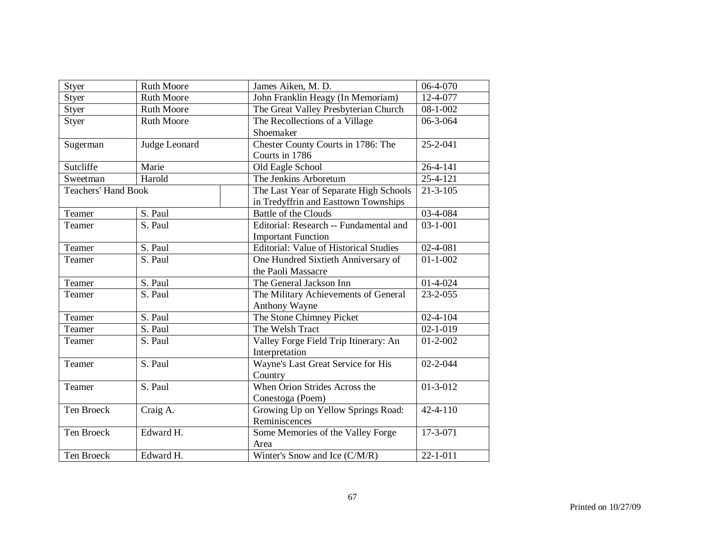| Styer                      | <b>Ruth Moore</b> | James Aiken, M. D.                     | 06-4-070       |
|----------------------------|-------------------|----------------------------------------|----------------|
| Styer                      | <b>Ruth Moore</b> | John Franklin Heagy (In Memoriam)      | 12-4-077       |
| Styer                      | <b>Ruth Moore</b> | The Great Valley Presbyterian Church   | $08 - 1 - 002$ |
| Styer                      | <b>Ruth Moore</b> | The Recollections of a Village         | 06-3-064       |
|                            |                   | Shoemaker                              |                |
| Sugerman                   | Judge Leonard     | Chester County Courts in 1786: The     | 25-2-041       |
|                            |                   | Courts in 1786                         |                |
| Sutcliffe                  | Marie             | Old Eagle School                       | 26-4-141       |
| Sweetman                   | Harold            | The Jenkins Arboretum                  | $25 - 4 - 121$ |
| <b>Teachers' Hand Book</b> |                   | The Last Year of Separate High Schools | $21 - 3 - 105$ |
|                            |                   | in Tredyffrin and Easttown Townships   |                |
| Teamer                     | S. Paul           | <b>Battle of the Clouds</b>            | 03-4-084       |
| Teamer                     | S. Paul           | Editorial: Research -- Fundamental and | $03 - 1 - 001$ |
|                            |                   | <b>Important Function</b>              |                |
| Teamer                     | S. Paul           | Editorial: Value of Historical Studies | 02-4-081       |
| Teamer                     | S. Paul           | One Hundred Sixtieth Anniversary of    | $01 - 1 - 002$ |
|                            |                   | the Paoli Massacre                     |                |
| Teamer                     | S. Paul           | The General Jackson Inn                | $01-4-024$     |
| Teamer                     | S. Paul           | The Military Achievements of General   | $23 - 2 - 055$ |
|                            |                   | Anthony Wayne                          |                |
| Teamer                     | S. Paul           | The Stone Chimney Picket               | $02 - 4 - 104$ |
| Teamer                     | S. Paul           | The Welsh Tract                        | $02 - 1 - 019$ |
| Teamer                     | S. Paul           | Valley Forge Field Trip Itinerary: An  | $01 - 2 - 002$ |
|                            |                   | Interpretation                         |                |
| Teamer                     | S. Paul           | Wayne's Last Great Service for His     | $02 - 2 - 044$ |
|                            |                   | Country                                |                |
| Teamer                     | S. Paul           | When Orion Strides Across the          | $01 - 3 - 012$ |
|                            |                   | Conestoga (Poem)                       |                |
| Ten Broeck                 | Craig A.          | Growing Up on Yellow Springs Road:     | 42-4-110       |
|                            |                   | Reminiscences                          |                |
| Ten Broeck                 | Edward H.         | Some Memories of the Valley Forge      | 17-3-071       |
|                            |                   | Area                                   |                |
| Ten Broeck                 | Edward H.         | Winter's Snow and Ice (C/M/R)          | $22 - 1 - 011$ |
|                            |                   |                                        |                |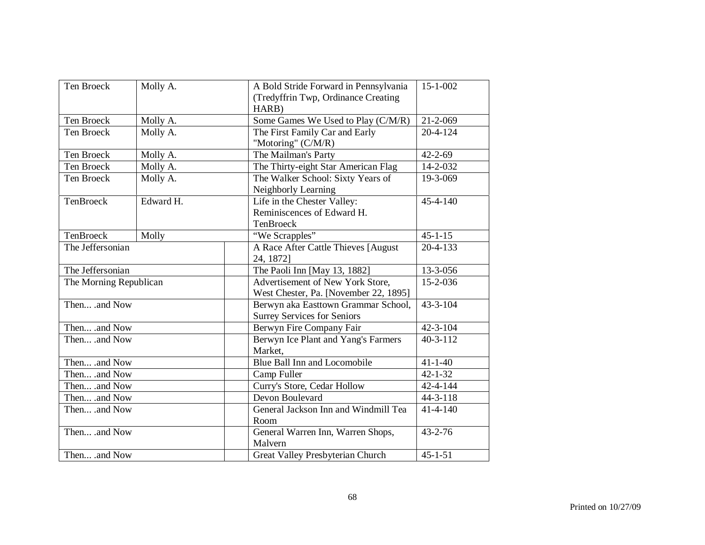| Ten Broeck             | Molly A.  |                                              | A Bold Stride Forward in Pennsylvania<br>(Tredyffrin Twp, Ordinance Creating<br>HARB) | $15 - 1 - 002$ |
|------------------------|-----------|----------------------------------------------|---------------------------------------------------------------------------------------|----------------|
| Ten Broeck             | Molly A.  |                                              | Some Games We Used to Play (C/M/R)                                                    | $21 - 2 - 069$ |
| Ten Broeck             | Molly A.  |                                              | The First Family Car and Early<br>"Motoring" (C/M/R)                                  | $20 - 4 - 124$ |
| Ten Broeck             | Molly A.  |                                              | The Mailman's Party                                                                   | $42 - 2 - 69$  |
| Ten Broeck             | Molly A.  |                                              | The Thirty-eight Star American Flag                                                   | 14-2-032       |
| Ten Broeck             | Molly A.  |                                              | The Walker School: Sixty Years of<br>Neighborly Learning                              | 19-3-069       |
| TenBroeck              | Edward H. |                                              | Life in the Chester Valley:<br>Reminiscences of Edward H.<br>TenBroeck                | $45 - 4 - 140$ |
| TenBroeck              | Molly     |                                              | "We Scrapples"                                                                        | $45 - 1 - 15$  |
| The Jeffersonian       |           |                                              | A Race After Cattle Thieves [August<br>24, 1872]                                      | $20 - 4 - 133$ |
| The Jeffersonian       |           |                                              | The Paoli Inn [May 13, 1882]                                                          | 13-3-056       |
| The Morning Republican |           |                                              | Advertisement of New York Store,<br>West Chester, Pa. [November 22, 1895]             | 15-2-036       |
| Then .and Now          |           |                                              | Berwyn aka Easttown Grammar School,<br><b>Surrey Services for Seniors</b>             | $43 - 3 - 104$ |
| Then .and Now          |           |                                              | Berwyn Fire Company Fair                                                              | $42 - 3 - 104$ |
| Then .and Now          |           |                                              | Berwyn Ice Plant and Yang's Farmers<br>Market,                                        | $40 - 3 - 112$ |
| Then .and Now          |           |                                              | Blue Ball Inn and Locomobile                                                          | $41 - 1 - 40$  |
| Then .and Now          |           |                                              | Camp Fuller                                                                           | $42 - 1 - 32$  |
| Then .and Now          |           | Curry's Store, Cedar Hollow                  | $42 - 4 - 144$                                                                        |                |
| Then .and Now          |           | Devon Boulevard                              | $44 - 3 - 118$                                                                        |                |
| Then .and Now          |           | General Jackson Inn and Windmill Tea<br>Room | $41 - 4 - 140$                                                                        |                |
| Then .and Now          |           | General Warren Inn, Warren Shops,<br>Malvern | $43 - 2 - 76$                                                                         |                |
| Then .and Now          |           |                                              | Great Valley Presbyterian Church                                                      | $45 - 1 - 51$  |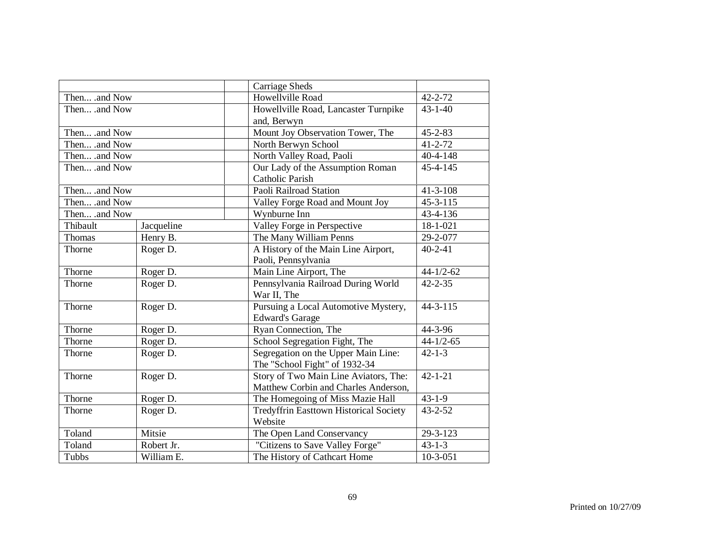|               |            | <b>Carriage Sheds</b>                         |                 |
|---------------|------------|-----------------------------------------------|-----------------|
| Then .and Now |            | Howellville Road                              | 42-2-72         |
| Then .and Now |            | Howellville Road, Lancaster Turnpike          | $43 - 1 - 40$   |
|               |            | and, Berwyn                                   |                 |
| Then .and Now |            | Mount Joy Observation Tower, The              | $45 - 2 - 83$   |
| Then .and Now |            | North Berwyn School                           | $41 - 2 - 72$   |
| Then .and Now |            | North Valley Road, Paoli                      | $40 - 4 - 148$  |
| Then .and Now |            | Our Lady of the Assumption Roman              | 45-4-145        |
|               |            | <b>Catholic Parish</b>                        |                 |
| Then .and Now |            | Paoli Railroad Station                        | $41 - 3 - 108$  |
| Then .and Now |            | Valley Forge Road and Mount Joy               | $45-3-115$      |
| Then .and Now |            | Wynburne Inn                                  | 43-4-136        |
| Thibault      | Jacqueline | Valley Forge in Perspective                   | 18-1-021        |
| Thomas        | Henry B.   | The Many William Penns                        | 29-2-077        |
| Thorne        | Roger D.   | A History of the Main Line Airport,           | $40 - 2 - 41$   |
|               |            | Paoli, Pennsylvania                           |                 |
| Thorne        | Roger D.   | Main Line Airport, The                        | $44 - 1/2 - 62$ |
| Thorne        | Roger D.   | Pennsylvania Railroad During World            | $42 - 2 - 35$   |
|               |            | War II, The                                   |                 |
| Thorne        | Roger D.   | Pursuing a Local Automotive Mystery,          | $44 - 3 - 115$  |
|               |            | <b>Edward's Garage</b>                        |                 |
| Thorne        | Roger D.   | Ryan Connection, The                          | 44-3-96         |
| Thorne        | Roger D.   | School Segregation Fight, The                 | $44 - 1/2 - 65$ |
| Thorne        | Roger D.   | Segregation on the Upper Main Line:           | $42 - 1 - 3$    |
|               |            | The "School Fight" of 1932-34                 |                 |
| Thorne        | Roger D.   | Story of Two Main Line Aviators, The:         | $42 - 1 - 21$   |
|               |            | Matthew Corbin and Charles Anderson,          |                 |
| Thorne        | Roger D.   | The Homegoing of Miss Mazie Hall              | $43 - 1 - 9$    |
| Thorne        | Roger D.   | <b>Tredyffrin Easttown Historical Society</b> | $43 - 2 - 52$   |
|               |            | Website                                       |                 |
| Toland        | Mitsie     | The Open Land Conservancy                     | 29-3-123        |
| Toland        | Robert Jr. | "Citizens to Save Valley Forge"               | $43 - 1 - 3$    |
| Tubbs         | William E. | The History of Cathcart Home                  | $10-3-051$      |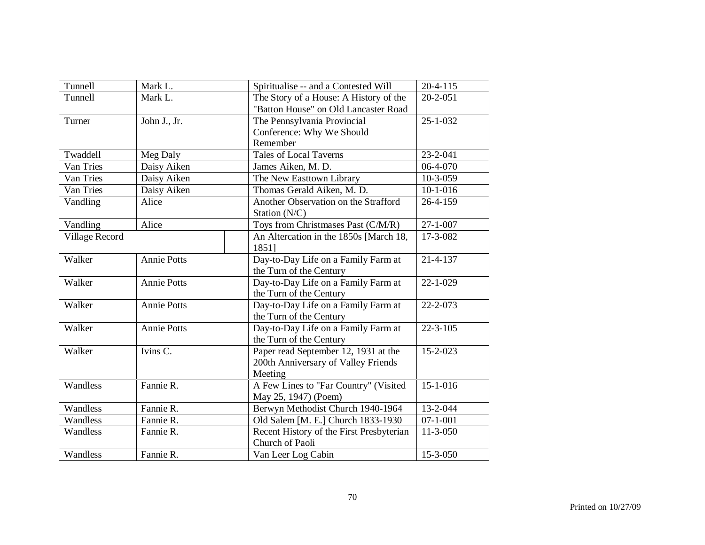| Tunnell<br>Mark L.<br>The Story of a House: A History of the<br>$20 - 2 - 051$<br>"Batton House" on Old Lancaster Road<br>John J., Jr.<br>The Pennsylvania Provincial<br>$25 - 1 - 032$<br>Turner<br>Conference: Why We Should<br>Remember |  |
|--------------------------------------------------------------------------------------------------------------------------------------------------------------------------------------------------------------------------------------------|--|
|                                                                                                                                                                                                                                            |  |
|                                                                                                                                                                                                                                            |  |
|                                                                                                                                                                                                                                            |  |
|                                                                                                                                                                                                                                            |  |
|                                                                                                                                                                                                                                            |  |
| <b>Tales of Local Taverns</b><br>Twaddell<br>23-2-041<br>Meg Daly                                                                                                                                                                          |  |
| 06-4-070<br>Van Tries<br>Daisy Aiken<br>James Aiken, M. D.                                                                                                                                                                                 |  |
| Van Tries<br>Daisy Aiken<br>The New Easttown Library<br>$10-3-059$                                                                                                                                                                         |  |
| Van Tries<br>Daisy Aiken<br>Thomas Gerald Aiken, M. D.<br>$10-1-016$                                                                                                                                                                       |  |
| Another Observation on the Strafford<br>26-4-159<br>Vandling<br>Alice                                                                                                                                                                      |  |
| Station (N/C)                                                                                                                                                                                                                              |  |
| Vandling<br>Alice<br>Toys from Christmases Past (C/M/R)<br>$27 - 1 - 007$                                                                                                                                                                  |  |
| An Altercation in the 1850s [March 18,<br>17-3-082<br>Village Record                                                                                                                                                                       |  |
| 18511                                                                                                                                                                                                                                      |  |
| Day-to-Day Life on a Family Farm at<br>Walker<br><b>Annie Potts</b><br>$21 - 4 - 137$                                                                                                                                                      |  |
| the Turn of the Century                                                                                                                                                                                                                    |  |
| Day-to-Day Life on a Family Farm at<br>Walker<br><b>Annie Potts</b><br>$22 - 1 - 029$                                                                                                                                                      |  |
| the Turn of the Century                                                                                                                                                                                                                    |  |
| <b>Annie Potts</b><br>Day-to-Day Life on a Family Farm at<br>Walker<br>22-2-073                                                                                                                                                            |  |
| the Turn of the Century                                                                                                                                                                                                                    |  |
| Day-to-Day Life on a Family Farm at<br><b>Annie Potts</b><br>$22 - 3 - 105$<br>Walker                                                                                                                                                      |  |
| the Turn of the Century                                                                                                                                                                                                                    |  |
| Paper read September 12, 1931 at the<br>Walker<br>Ivins C.<br>15-2-023                                                                                                                                                                     |  |
| 200th Anniversary of Valley Friends                                                                                                                                                                                                        |  |
| Meeting                                                                                                                                                                                                                                    |  |
| Fannie R.<br>A Few Lines to "Far Country" (Visited<br>$15-1-016$<br>Wandless                                                                                                                                                               |  |
| May 25, 1947) (Poem)                                                                                                                                                                                                                       |  |
| Wandless<br>Fannie R.<br>Berwyn Methodist Church 1940-1964<br>13-2-044                                                                                                                                                                     |  |
| Fannie R.<br>Wandless<br>Old Salem [M. E.] Church 1833-1930<br>$07 - 1 - 001$                                                                                                                                                              |  |
| Recent History of the First Presbyterian<br>Fannie R.<br>$11-3-050$<br>Wandless                                                                                                                                                            |  |
| Church of Paoli                                                                                                                                                                                                                            |  |
| Fannie R.<br>Wandless<br>15-3-050<br>Van Leer Log Cabin                                                                                                                                                                                    |  |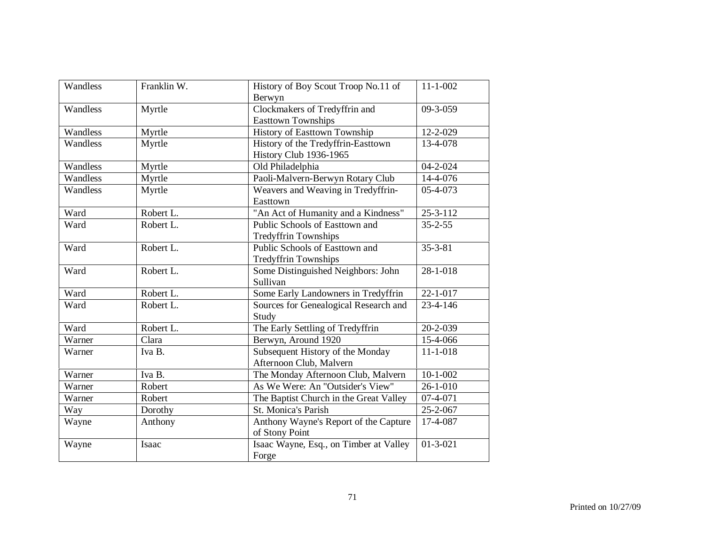| Wandless | Franklin W. | History of Boy Scout Troop No.11 of<br>Berwyn                       | $11 - 1 - 002$          |
|----------|-------------|---------------------------------------------------------------------|-------------------------|
| Wandless | Myrtle      | Clockmakers of Tredyffrin and<br><b>Easttown Townships</b>          | 09-3-059                |
| Wandless | Myrtle      | History of Easttown Township                                        | 12-2-029                |
| Wandless | Myrtle      | History of the Tredyffrin-Easttown<br><b>History Club 1936-1965</b> | 13-4-078                |
| Wandless | Myrtle      | Old Philadelphia                                                    | $04 - 2 - 024$          |
| Wandless | Myrtle      | Paoli-Malvern-Berwyn Rotary Club                                    | 14-4-076                |
| Wandless | Myrtle      | Weavers and Weaving in Tredyffrin-<br>Easttown                      | 05-4-073                |
| Ward     | Robert L.   | "An Act of Humanity and a Kindness"                                 | $25 - 3 - 112$          |
| Ward     | Robert L.   | Public Schools of Easttown and<br><b>Tredyffrin Townships</b>       | $35 - 2 - 55$           |
| Ward     | Robert L.   | Public Schools of Easttown and<br><b>Tredyffrin Townships</b>       | $35 - 3 - 81$           |
| Ward     | Robert L.   | Some Distinguished Neighbors: John<br>Sullivan                      | 28-1-018                |
| Ward     | Robert L.   | Some Early Landowners in Tredyffrin                                 | $22 - 1 - 017$          |
| Ward     | Robert L.   | Sources for Genealogical Research and<br>Study                      | 23-4-146                |
| Ward     | Robert L.   | The Early Settling of Tredyffrin                                    | 20-2-039                |
| Warner   | Clara       | Berwyn, Around 1920                                                 | 15-4-066                |
| Warner   | Iva B.      | Subsequent History of the Monday<br>Afternoon Club, Malvern         | $11 - 1 - 018$          |
| Warner   | Iva B.      | The Monday Afternoon Club, Malvern                                  | $10 - 1 - 002$          |
| Warner   | Robert      | As We Were: An "Outsider's View"                                    | $\overline{26-1} - 010$ |
| Warner   | Robert      | The Baptist Church in the Great Valley                              | 07-4-071                |
| Way      | Dorothy     | St. Monica's Parish                                                 | 25-2-067                |
| Wayne    | Anthony     | Anthony Wayne's Report of the Capture<br>of Stony Point             | 17-4-087                |
| Wayne    | Isaac       | Isaac Wayne, Esq., on Timber at Valley<br>Forge                     | $01 - 3 - 021$          |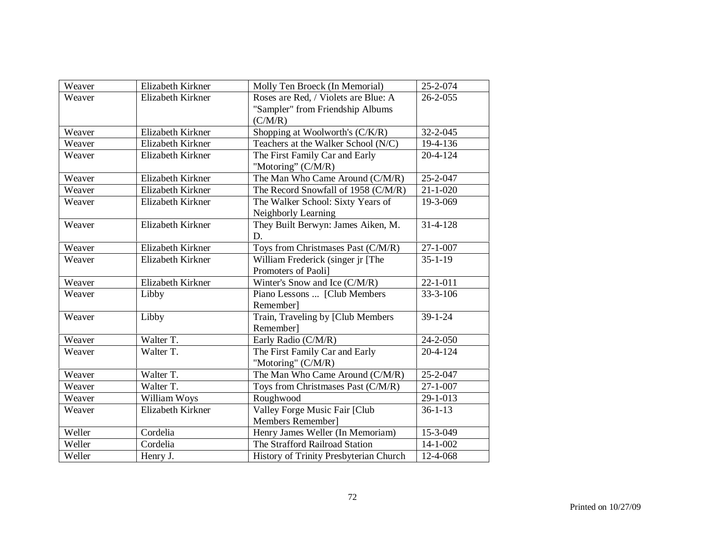| Weaver | Elizabeth Kirkner | Molly Ten Broeck (In Memorial)         | 25-2-074       |
|--------|-------------------|----------------------------------------|----------------|
| Weaver | Elizabeth Kirkner | Roses are Red, / Violets are Blue: A   | $26 - 2 - 055$ |
|        |                   | "Sampler" from Friendship Albums       |                |
|        |                   | (C/M/R)                                |                |
| Weaver | Elizabeth Kirkner | Shopping at Woolworth's (C/K/R)        | $32 - 2 - 045$ |
| Weaver | Elizabeth Kirkner | Teachers at the Walker School (N/C)    | 19-4-136       |
| Weaver | Elizabeth Kirkner | The First Family Car and Early         | $20 - 4 - 124$ |
|        |                   | "Motoring" (C/M/R)                     |                |
| Weaver | Elizabeth Kirkner | The Man Who Came Around (C/M/R)        | 25-2-047       |
| Weaver | Elizabeth Kirkner | The Record Snowfall of 1958 (C/M/R)    | $21 - 1 - 020$ |
| Weaver | Elizabeth Kirkner | The Walker School: Sixty Years of      | 19-3-069       |
|        |                   | Neighborly Learning                    |                |
| Weaver | Elizabeth Kirkner | They Built Berwyn: James Aiken, M.     | 31-4-128       |
|        |                   | D.                                     |                |
| Weaver | Elizabeth Kirkner | Toys from Christmases Past (C/M/R)     | $27 - 1 - 007$ |
| Weaver | Elizabeth Kirkner | William Frederick (singer jr [The      | $35 - 1 - 19$  |
|        |                   | Promoters of Paoli]                    |                |
| Weaver | Elizabeth Kirkner | Winter's Snow and Ice (C/M/R)          | $22 - 1 - 011$ |
| Weaver | Libby             | Piano Lessons  [Club Members           | $33 - 3 - 106$ |
|        |                   | Remember]                              |                |
| Weaver | Libby             | Train, Traveling by [Club Members      | $39 - 1 - 24$  |
|        |                   | Remember]                              |                |
| Weaver | Walter T.         | Early Radio (C/M/R)                    | 24-2-050       |
| Weaver | Walter T.         | The First Family Car and Early         | $20 - 4 - 124$ |
|        |                   | "Motoring" (C/M/R)                     |                |
| Weaver | Walter T.         | The Man Who Came Around (C/M/R)        | 25-2-047       |
| Weaver | Walter T.         | Toys from Christmases Past (C/M/R)     | $27 - 1 - 007$ |
| Weaver | William Woys      | Roughwood                              | 29-1-013       |
| Weaver | Elizabeth Kirkner | Valley Forge Music Fair [Club          | $36 - 1 - 13$  |
|        |                   | Members Remember]                      |                |
| Weller | Cordelia          | Henry James Weller (In Memoriam)       | 15-3-049       |
| Weller | Cordelia          | The Strafford Railroad Station         | $14 - 1 - 002$ |
| Weller | Henry J.          | History of Trinity Presbyterian Church | 12-4-068       |
|        |                   |                                        |                |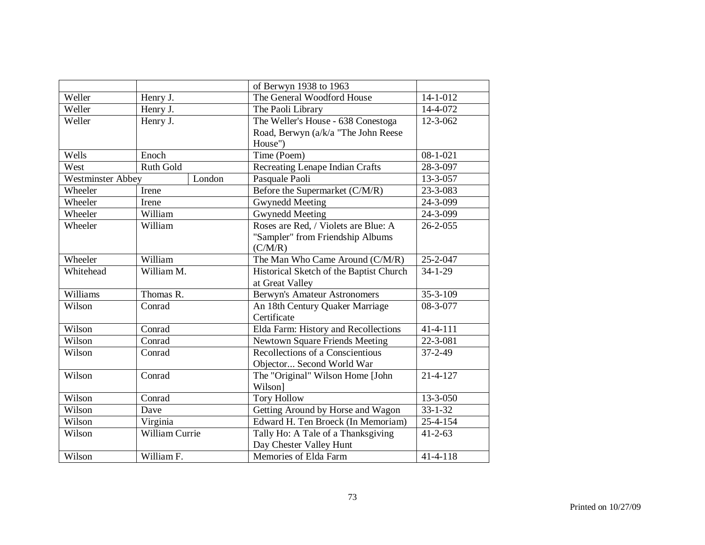|                   |                        |        | of Berwyn 1938 to 1963                  |                |
|-------------------|------------------------|--------|-----------------------------------------|----------------|
| Weller            | Henry J.               |        | The General Woodford House              | 14-1-012       |
| Weller            | Henry $\overline{J}$ . |        | The Paoli Library                       | 14-4-072       |
| Weller            | Henry J.               |        | The Weller's House - 638 Conestoga      | 12-3-062       |
|                   |                        |        | Road, Berwyn (a/k/a "The John Reese     |                |
|                   |                        |        | House")                                 |                |
| Wells             | Enoch                  |        | Time (Poem)                             | $08 - 1 - 021$ |
| West              | Ruth Gold              |        | Recreating Lenape Indian Crafts         | 28-3-097       |
| Westminster Abbey |                        | London | Pasquale Paoli                          | 13-3-057       |
| Wheeler           | Irene                  |        | Before the Supermarket (C/M/R)          | 23-3-083       |
| Wheeler           | Irene                  |        | <b>Gwynedd Meeting</b>                  | 24-3-099       |
| Wheeler           | William                |        | <b>Gwynedd Meeting</b>                  | 24-3-099       |
| Wheeler           | William                |        | Roses are Red, / Violets are Blue: A    | $26 - 2 - 055$ |
|                   |                        |        | "Sampler" from Friendship Albums        |                |
|                   |                        |        | (C/M/R)                                 |                |
| Wheeler           | William                |        | The Man Who Came Around (C/M/R)         | 25-2-047       |
| Whitehead         | William M.             |        | Historical Sketch of the Baptist Church | $34 - 1 - 29$  |
|                   |                        |        | at Great Valley                         |                |
| Williams          | Thomas R.              |        | <b>Berwyn's Amateur Astronomers</b>     | $35 - 3 - 109$ |
| Wilson            | Conrad                 |        | An 18th Century Quaker Marriage         | 08-3-077       |
|                   |                        |        | Certificate                             |                |
| Wilson            | Conrad                 |        | Elda Farm: History and Recollections    | $41 - 4 - 111$ |
| Wilson            | Conrad                 |        | <b>Newtown Square Friends Meeting</b>   | 22-3-081       |
| Wilson            | Conrad                 |        | Recollections of a Conscientious        | $37 - 2 - 49$  |
|                   |                        |        | Objector Second World War               |                |
| Wilson            | Conrad                 |        | The "Original" Wilson Home [John        | $21 - 4 - 127$ |
|                   |                        |        | Wilson]                                 |                |
| Wilson            | Conrad                 |        | <b>Tory Hollow</b>                      | 13-3-050       |
| Wilson            | Dave                   |        | Getting Around by Horse and Wagon       | $33 - 1 - 32$  |
| Wilson            | Virginia               |        | Edward H. Ten Broeck (In Memoriam)      | $25 - 4 - 154$ |
| Wilson            | William Currie         |        | Tally Ho: A Tale of a Thanksgiving      | $41 - 2 - 63$  |
|                   |                        |        | Day Chester Valley Hunt                 |                |
| Wilson            | William F.             |        | Memories of Elda Farm                   | $41 - 4 - 118$ |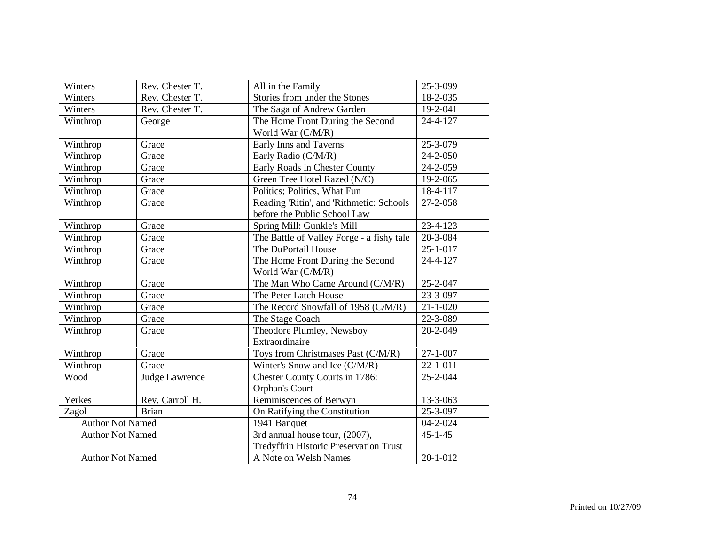| Winters                 | Rev. Chester T. | All in the Family                             | 25-3-099       |
|-------------------------|-----------------|-----------------------------------------------|----------------|
| Winters                 | Rev. Chester T. | Stories from under the Stones                 | 18-2-035       |
| Winters                 | Rev. Chester T. | The Saga of Andrew Garden                     | 19-2-041       |
| Winthrop                | George          | The Home Front During the Second              | 24-4-127       |
|                         |                 | World War (C/M/R)                             |                |
| Winthrop                | Grace           | Early Inns and Taverns                        | 25-3-079       |
| Winthrop                | Grace           | Early Radio (C/M/R)                           | $24 - 2 - 050$ |
| Winthrop                | Grace           | Early Roads in Chester County                 | 24-2-059       |
| Winthrop                | Grace           | Green Tree Hotel Razed (N/C)                  | 19-2-065       |
| Winthrop                | Grace           | Politics; Politics, What Fun                  | 18-4-117       |
| Winthrop                | Grace           | Reading 'Ritin', and TRithmetic: Schools      | 27-2-058       |
|                         |                 | before the Public School Law                  |                |
| Winthrop                | Grace           | Spring Mill: Gunkle's Mill                    | 23-4-123       |
| Winthrop                | Grace           | The Battle of Valley Forge - a fishy tale     | 20-3-084       |
| Winthrop                | Grace           | The DuPortail House                           | $25 - 1 - 017$ |
| Winthrop                | Grace           | The Home Front During the Second              | 24-4-127       |
|                         |                 | World War (C/M/R)                             |                |
| Winthrop                | Grace           | The Man Who Came Around (C/M/R)               | $25 - 2 - 047$ |
| Winthrop                | Grace           | The Peter Latch House                         | 23-3-097       |
| Winthrop                | Grace           | The Record Snowfall of 1958 (C/M/R)           | $21 - 1 - 020$ |
| Winthrop                | Grace           | The Stage Coach                               | 22-3-089       |
| Winthrop                | Grace           | Theodore Plumley, Newsboy                     | 20-2-049       |
|                         |                 | Extraordinaire                                |                |
| Winthrop                | Grace           | Toys from Christmases Past (C/M/R)            | $27 - 1 - 007$ |
| Winthrop                | Grace           | Winter's Snow and Ice (C/M/R)                 | $22 - 1 - 011$ |
| Wood                    | Judge Lawrence  | Chester County Courts in 1786:                | 25-2-044       |
|                         |                 | Orphan's Court                                |                |
| Yerkes                  | Rev. Carroll H. | Reminiscences of Berwyn                       | 13-3-063       |
| Zagol                   | <b>Brian</b>    | On Ratifying the Constitution                 | 25-3-097       |
| <b>Author Not Named</b> |                 | $1941$ Banquet                                | 04-2-024       |
| <b>Author Not Named</b> |                 | 3rd annual house tour, (2007),                | $45 - 1 - 45$  |
|                         |                 | <b>Tredyffrin Historic Preservation Trust</b> |                |
| <b>Author Not Named</b> |                 | A Note on Welsh Names                         | $20 - 1 - 012$ |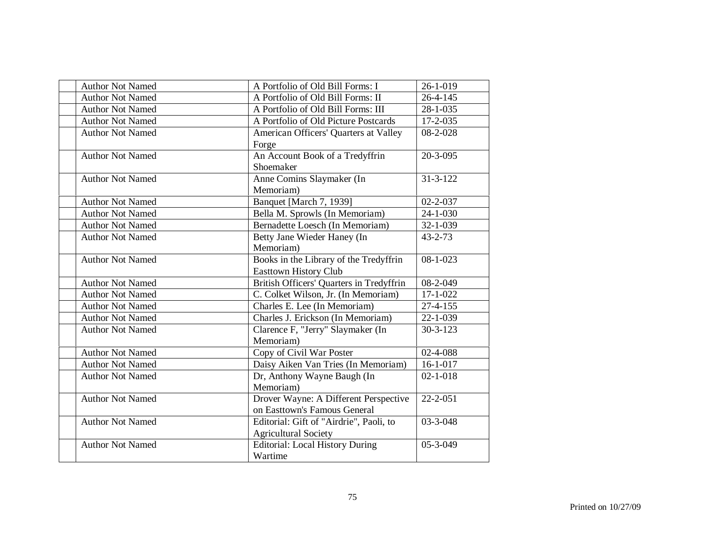| <b>Author Not Named</b> | A Portfolio of Old Bill Forms: I         | 26-1-019       |
|-------------------------|------------------------------------------|----------------|
| <b>Author Not Named</b> | A Portfolio of Old Bill Forms: II        | $26 - 4 - 145$ |
| <b>Author Not Named</b> | A Portfolio of Old Bill Forms: III       | 28-1-035       |
| <b>Author Not Named</b> | A Portfolio of Old Picture Postcards     | $17 - 2 - 035$ |
| <b>Author Not Named</b> | American Officers' Quarters at Valley    | 08-2-028       |
|                         | Forge                                    |                |
| <b>Author Not Named</b> | An Account Book of a Tredyffrin          | $20 - 3 - 095$ |
|                         | Shoemaker                                |                |
| <b>Author Not Named</b> | Anne Comins Slaymaker (In                | $31 - 3 - 122$ |
|                         | Memoriam)                                |                |
| <b>Author Not Named</b> | Banquet [March 7, 1939]                  | $02 - 2 - 037$ |
| <b>Author Not Named</b> | Bella M. Sprowls (In Memoriam)           | $24 - 1 - 030$ |
| <b>Author Not Named</b> | Bernadette Loesch (In Memoriam)          | $32 - 1 - 039$ |
| <b>Author Not Named</b> | Betty Jane Wieder Haney (In              | $43 - 2 - 73$  |
|                         | Memoriam)                                |                |
| <b>Author Not Named</b> | Books in the Library of the Tredyffrin   | $08 - 1 - 023$ |
|                         | <b>Easttown History Club</b>             |                |
| <b>Author Not Named</b> | British Officers' Quarters in Tredyffrin | 08-2-049       |
| <b>Author Not Named</b> | C. Colket Wilson, Jr. (In Memoriam)      | $17 - 1 - 022$ |
| <b>Author Not Named</b> | Charles E. Lee (In Memoriam)             | $27 - 4 - 155$ |
| <b>Author Not Named</b> | Charles J. Erickson (In Memoriam)        | 22-1-039       |
| <b>Author Not Named</b> | Clarence F, "Jerry" Slaymaker (In        | $30 - 3 - 123$ |
|                         | Memoriam)                                |                |
| <b>Author Not Named</b> | Copy of Civil War Poster                 | 02-4-088       |
| <b>Author Not Named</b> | Daisy Aiken Van Tries (In Memoriam)      | $16-1-017$     |
| <b>Author Not Named</b> | Dr, Anthony Wayne Baugh (In              | $02 - 1 - 018$ |
|                         | Memoriam)                                |                |
| <b>Author Not Named</b> | Drover Wayne: A Different Perspective    | 22-2-051       |
|                         | on Easttown's Famous General             |                |
| <b>Author Not Named</b> | Editorial: Gift of "Airdrie", Paoli, to  | $03 - 3 - 048$ |
|                         | <b>Agricultural Society</b>              |                |
| <b>Author Not Named</b> | <b>Editorial: Local History During</b>   | 05-3-049       |
|                         | Wartime                                  |                |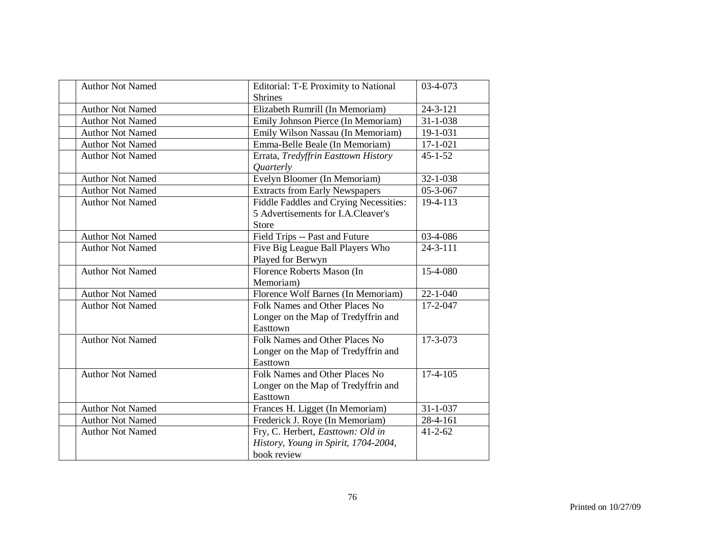| <b>Author Not Named</b> | Editorial: T-E Proximity to National<br><b>Shrines</b> | 03-4-073       |
|-------------------------|--------------------------------------------------------|----------------|
| <b>Author Not Named</b> | Elizabeth Rumrill (In Memoriam)                        | $24 - 3 - 121$ |
| <b>Author Not Named</b> | Emily Johnson Pierce (In Memoriam)                     | $31 - 1 - 038$ |
| <b>Author Not Named</b> | Emily Wilson Nassau (In Memoriam)                      | 19-1-031       |
| <b>Author Not Named</b> | Emma-Belle Beale (In Memoriam)                         | $17 - 1 - 021$ |
| <b>Author Not Named</b> | Errata, Tredyffrin Easttown History                    | $45 - 1 - 52$  |
|                         | <i><b>Quarterly</b></i>                                |                |
| <b>Author Not Named</b> | Evelyn Bloomer (In Memoriam)                           | 32-1-038       |
| <b>Author Not Named</b> | <b>Extracts from Early Newspapers</b>                  | 05-3-067       |
| <b>Author Not Named</b> | Fiddle Faddles and Crying Necessities:                 | 19-4-113       |
|                         | 5 Advertisements for I.A.Cleaver's                     |                |
|                         | Store                                                  |                |
| <b>Author Not Named</b> | Field Trips -- Past and Future                         | 03-4-086       |
| <b>Author Not Named</b> | Five Big League Ball Players Who                       | $24 - 3 - 111$ |
|                         | Played for Berwyn                                      |                |
| <b>Author Not Named</b> | Florence Roberts Mason (In                             | 15-4-080       |
|                         | Memoriam)                                              |                |
| <b>Author Not Named</b> | Florence Wolf Barnes (In Memoriam)                     | $22 - 1 - 040$ |
| <b>Author Not Named</b> | Folk Names and Other Places No                         | $17 - 2 - 047$ |
|                         | Longer on the Map of Tredyffrin and                    |                |
|                         | Easttown                                               |                |
| <b>Author Not Named</b> | Folk Names and Other Places No                         | 17-3-073       |
|                         | Longer on the Map of Tredyffrin and                    |                |
|                         | Easttown                                               |                |
| <b>Author Not Named</b> | Folk Names and Other Places No                         | $17-4-105$     |
|                         | Longer on the Map of Tredyffrin and                    |                |
|                         | Easttown                                               |                |
| <b>Author Not Named</b> | Frances H. Ligget (In Memoriam)                        | $31 - 1 - 037$ |
| <b>Author Not Named</b> | Frederick J. Roye (In Memoriam)                        | 28-4-161       |
| <b>Author Not Named</b> | Fry, C. Herbert, Easttown: Old in                      | $41 - 2 - 62$  |
|                         | History, Young in Spirit, 1704-2004,                   |                |
|                         | book review                                            |                |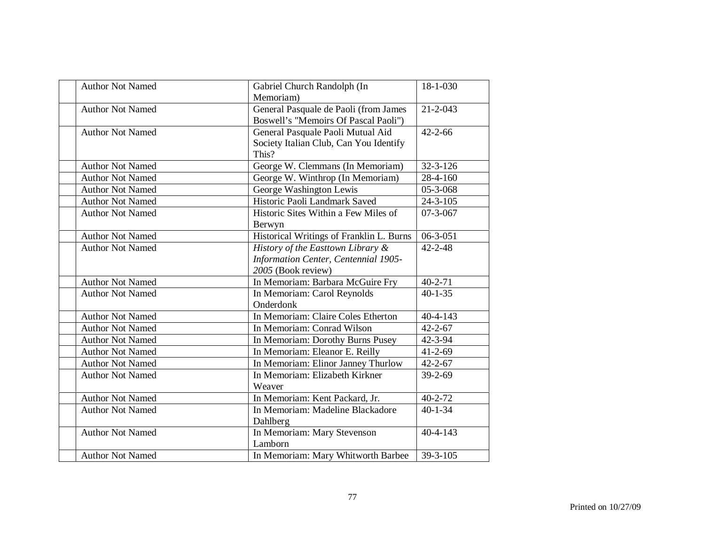| <b>Author Not Named</b> | Gabriel Church Randolph (In<br>Memoriam)                                                        | 18-1-030               |
|-------------------------|-------------------------------------------------------------------------------------------------|------------------------|
| <b>Author Not Named</b> | General Pasquale de Paoli (from James<br>Boswell's "Memoirs Of Pascal Paoli")                   | $21 - 2 - 043$         |
| <b>Author Not Named</b> | General Pasquale Paoli Mutual Aid<br>Society Italian Club, Can You Identify<br>This?            | $42 - 2 - 66$          |
| <b>Author Not Named</b> | George W. Clemmans (In Memoriam)                                                                | $32 - 3 - 126$         |
| <b>Author Not Named</b> | George W. Winthrop (In Memoriam)                                                                | 28-4-160               |
| <b>Author Not Named</b> | George Washington Lewis                                                                         | $\overline{05-3-068}$  |
| <b>Author Not Named</b> | Historic Paoli Landmark Saved                                                                   | $\overline{2}$ 4-3-105 |
| <b>Author Not Named</b> | Historic Sites Within a Few Miles of<br>Berwyn                                                  | $07 - 3 - 067$         |
| <b>Author Not Named</b> | Historical Writings of Franklin L. Burns                                                        | $06 - 3 - 051$         |
| <b>Author Not Named</b> | History of the Easttown Library &<br>Information Center, Centennial 1905-<br>2005 (Book review) | $42 - 2 - 48$          |
| <b>Author Not Named</b> | In Memoriam: Barbara McGuire Fry                                                                | $40 - 2 - 71$          |
| <b>Author Not Named</b> | In Memoriam: Carol Reynolds<br>Onderdonk                                                        | $40 - 1 - 35$          |
| <b>Author Not Named</b> | In Memoriam: Claire Coles Etherton                                                              | $40 - 4 - 143$         |
| <b>Author Not Named</b> | In Memoriam: Conrad Wilson                                                                      | $42 - 2 - 67$          |
| <b>Author Not Named</b> | In Memoriam: Dorothy Burns Pusey                                                                | 42-3-94                |
| <b>Author Not Named</b> | In Memoriam: Eleanor E. Reilly                                                                  | $41 - 2 - 69$          |
| <b>Author Not Named</b> | In Memoriam: Elinor Janney Thurlow                                                              | $42 - 2 - 67$          |
| <b>Author Not Named</b> | In Memoriam: Elizabeth Kirkner<br>Weaver                                                        | 39-2-69                |
| <b>Author Not Named</b> | In Memoriam: Kent Packard, Jr.                                                                  | $40 - 2 - 72$          |
| <b>Author Not Named</b> | In Memoriam: Madeline Blackadore<br>Dahlberg                                                    | $40 - 1 - 34$          |
| <b>Author Not Named</b> | In Memoriam: Mary Stevenson<br>Lamborn                                                          | $40 - 4 - 143$         |
| <b>Author Not Named</b> | In Memoriam: Mary Whitworth Barbee                                                              | 39-3-105               |
|                         |                                                                                                 |                        |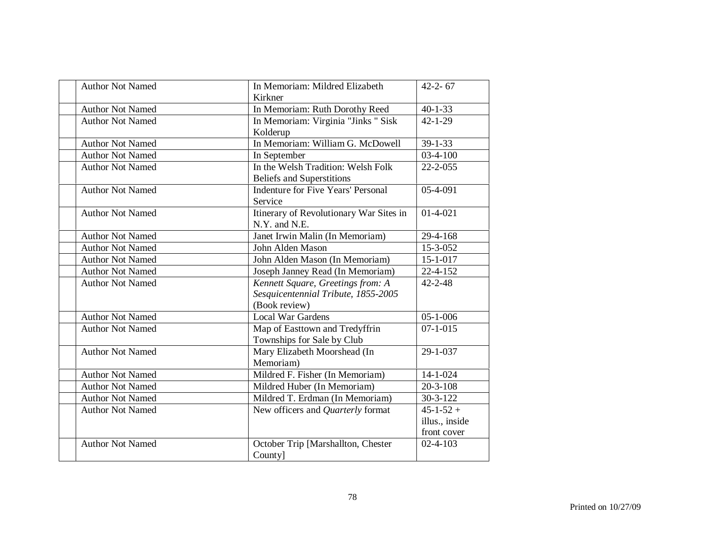| <b>Author Not Named</b> | In Memoriam: Mildred Elizabeth<br>Kirkner                                                 | $42 - 2 - 67$                 |
|-------------------------|-------------------------------------------------------------------------------------------|-------------------------------|
| <b>Author Not Named</b> | In Memoriam: Ruth Dorothy Reed                                                            | $40 - 1 - 33$                 |
| <b>Author Not Named</b> | In Memoriam: Virginia "Jinks " Sisk<br>Kolderup                                           | $42 - 1 - 29$                 |
| <b>Author Not Named</b> | In Memoriam: William G. McDowell                                                          | $39 - 1 - 33$                 |
| <b>Author Not Named</b> | In September                                                                              | $03-4-100$                    |
| <b>Author Not Named</b> | In the Welsh Tradition: Welsh Folk<br><b>Beliefs and Superstitions</b>                    | $22 - 2 - 055$                |
| <b>Author Not Named</b> | <b>Indenture for Five Years' Personal</b><br>Service                                      | 05-4-091                      |
| <b>Author Not Named</b> | Itinerary of Revolutionary War Sites in<br>N.Y. and N.E.                                  | $01-4-021$                    |
| <b>Author Not Named</b> | Janet Irwin Malin (In Memoriam)                                                           | 29-4-168                      |
| <b>Author Not Named</b> | John Alden Mason                                                                          | 15-3-052                      |
| <b>Author Not Named</b> | John Alden Mason (In Memoriam)                                                            | $15 - 1 - 017$                |
| <b>Author Not Named</b> | Joseph Janney Read (In Memoriam)                                                          | $22 - 4 - 152$                |
| <b>Author Not Named</b> | Kennett Square, Greetings from: A<br>Sesquicentennial Tribute, 1855-2005<br>(Book review) | $42 - 2 - 48$                 |
| <b>Author Not Named</b> | <b>Local War Gardens</b>                                                                  | $05 - 1 - 006$                |
| <b>Author Not Named</b> | Map of Easttown and Tredyffrin<br>Townships for Sale by Club                              | $07 - 1 - 015$                |
| <b>Author Not Named</b> | Mary Elizabeth Moorshead (In<br>Memoriam)                                                 | 29-1-037                      |
| <b>Author Not Named</b> | Mildred F. Fisher (In Memoriam)                                                           | $14 - 1 - 024$                |
| <b>Author Not Named</b> | Mildred Huber (In Memoriam)                                                               | $20 - 3 - 108$                |
| <b>Author Not Named</b> | Mildred T. Erdman (In Memoriam)                                                           | $30 - 3 - 122$                |
| <b>Author Not Named</b> | New officers and Quarterly format                                                         | $45 - 1 - 52 +$               |
|                         |                                                                                           | illus., inside<br>front cover |
| <b>Author Not Named</b> | October Trip [Marshallton, Chester<br>County]                                             | $02 - 4 - 103$                |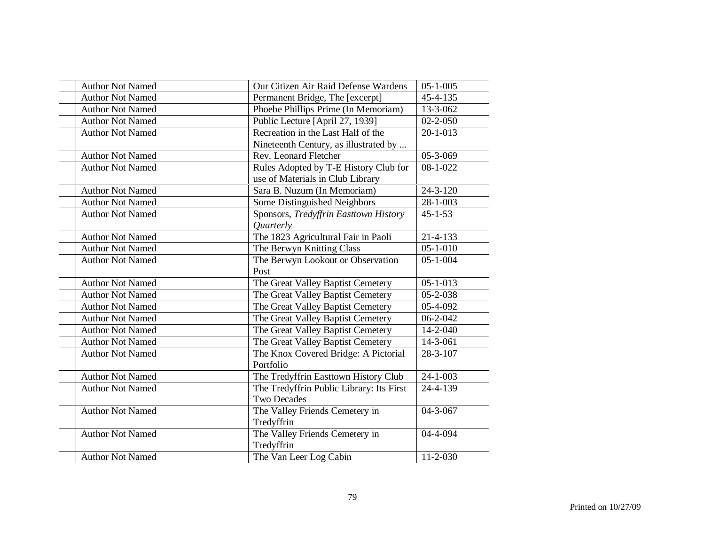| <b>Author Not Named</b> | Our Citizen Air Raid Defense Wardens     | $05 - 1 - 005$            |
|-------------------------|------------------------------------------|---------------------------|
| <b>Author Not Named</b> | Permanent Bridge, The [excerpt]          | 45-4-135                  |
| <b>Author Not Named</b> | Phoebe Phillips Prime (In Memoriam)      | 13-3-062                  |
| <b>Author Not Named</b> | Public Lecture [April 27, 1939]          | $02 - 2 - 050$            |
| <b>Author Not Named</b> | Recreation in the Last Half of the       | $20 - 1 - 013$            |
|                         | Nineteenth Century, as illustrated by    |                           |
| <b>Author Not Named</b> | Rev. Leonard Fletcher                    | $05 - 3 - 069$            |
| <b>Author Not Named</b> | Rules Adopted by T-E History Club for    | $08 - 1 - 022$            |
|                         | use of Materials in Club Library         |                           |
| <b>Author Not Named</b> | Sara B. Nuzum (In Memoriam)              | 24-3-120                  |
| <b>Author Not Named</b> | Some Distinguished Neighbors             | $\overline{28} - 1 - 003$ |
| <b>Author Not Named</b> | Sponsors, Tredyffrin Easttown History    | $45 - 1 - 53$             |
|                         | <i><u>Ouarterly</u></i>                  |                           |
| <b>Author Not Named</b> | The 1823 Agricultural Fair in Paoli      | 21-4-133                  |
| <b>Author Not Named</b> | The Berwyn Knitting Class                | $05 - 1 - 010$            |
| <b>Author Not Named</b> | The Berwyn Lookout or Observation        | $05 - 1 - 004$            |
|                         | Post                                     |                           |
| <b>Author Not Named</b> | The Great Valley Baptist Cemetery        | $05 - 1 - 013$            |
| <b>Author Not Named</b> | The Great Valley Baptist Cemetery        | 05-2-038                  |
| <b>Author Not Named</b> | The Great Valley Baptist Cemetery        | 05-4-092                  |
| <b>Author Not Named</b> | The Great Valley Baptist Cemetery        | $06 - 2 - 042$            |
| <b>Author Not Named</b> | The Great Valley Baptist Cemetery        | 14-2-040                  |
| <b>Author Not Named</b> | The Great Valley Baptist Cemetery        | 14-3-061                  |
| <b>Author Not Named</b> | The Knox Covered Bridge: A Pictorial     | 28-3-107                  |
|                         | Portfolio                                |                           |
| <b>Author Not Named</b> | The Tredyffrin Easttown History Club     | $24 - 1 - 003$            |
| <b>Author Not Named</b> | The Tredyffrin Public Library: Its First | 24-4-139                  |
|                         | <b>Two Decades</b>                       |                           |
| <b>Author Not Named</b> | The Valley Friends Cemetery in           | 04-3-067                  |
|                         | Tredyffrin                               |                           |
| <b>Author Not Named</b> | The Valley Friends Cemetery in           | 04-4-094                  |
|                         | Tredyffrin                               |                           |
| <b>Author Not Named</b> | The Van Leer Log Cabin                   | $11 - 2 - 030$            |
|                         |                                          |                           |